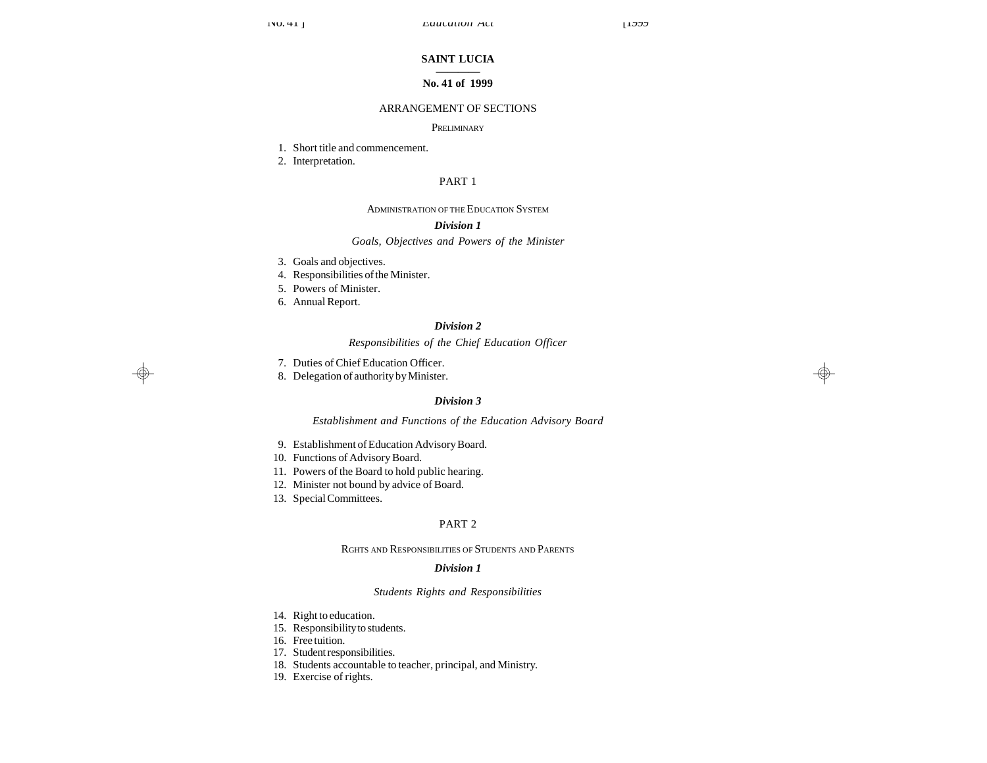$\circledast$ 

## **SAINT LUCIA ————**

#### **No. 41 of 1999**

## ARRANGEMENT OF SECTIONS

### **PRELIMINARY**

- 1. Short title and commencement.
- 2. Interpretation.

### PART 1

## ADMINISTRATION OF THE EDUCATION SYSTEM

## *Division 1*

## *Goals, Objectives and Powers of the Minister*

- 3. Goals and objectives.
- 4. Responsibilities of the Minister.
- 5. Powers of Minister.
- 6. Annual Report.

 $\bigcirc$ 

## *Division 2*

### *Responsibilities of the Chief Education Officer*

- 7. Duties of Chief Education Officer.
- 8. Delegation of authority by Minister.

#### *Division 3*

### *Establishment and Functions of the Education Advisory Board*

- 9. Establishment of Education Advisory Board.
- 10. Functions of Advisory Board.
- 11. Powers of the Board to hold public hearing.
- 12. Minister not bound by advice of Board.
- 13. Special Committees.

## PART 2

#### RGHTS AND RESPONSIBILITIES OF STUDENTS AND PARENTS

#### *Division 1*

### *Students Rights and Responsibilities*

- 14. Right to education.
- 15. Responsibility to students.
- 16. Free tuition.
- 17. Student responsibilities.
- 18. Students accountable to teacher, principal, and Ministry.
- 19. Exercise of rights.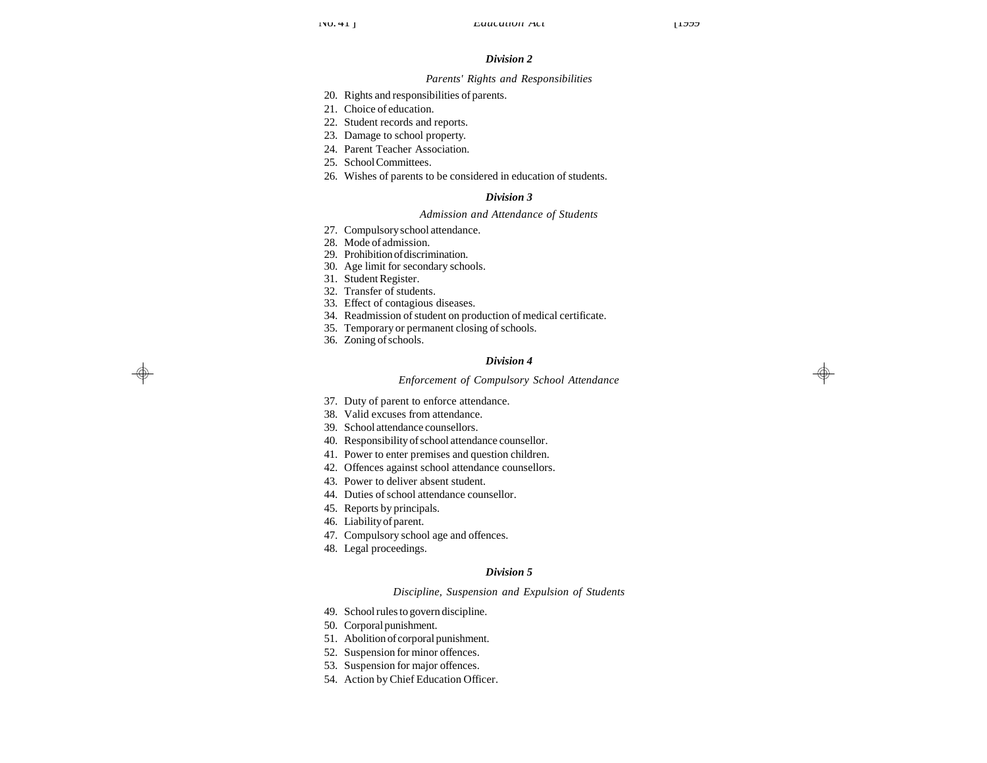## *Division 2*

## *Parents' Rights and Responsibilities*

- 20. Rights and responsibilities of parents.
- 21. Choice of education.
- 22. Student records and reports.
- 23. Damage to school property.
- 24. Parent Teacher Association.
- 25. School Committees.
- 26. Wishes of parents to be considered in education of students.

## *Division 3*

### *Admission and Attendance of Students*

- 27. Compulsory school attendance.
- 28. Mode of admission.
- 29. Prohibition of discrimination.
- 30. Age limit for secondary schools.
- 31. Student Register.
- 32. Transfer of students.
- 33. Effect of contagious diseases.
- 34. Readmission of student on production of medical certificate.
- 35. Temporary or permanent closing of schools.
- 36. Zoning of schools.

## *Division 4*

*Enforcement of Compulsory School Attendance*



- 37. Duty of parent to enforce attendance.
- 38. Valid excuses from attendance.
- 39. School attendance counsellors.
- 40. Responsibility of school attendance counsellor.
- 41. Power to enter premises and question children.
- 42. Offences against school attendance counsellors.
- 43. Power to deliver absent student.
- 44. Duties of school attendance counsellor.
- 45. Reports by principals.
- 46. Liability of parent.
- 47. Compulsory school age and offences.
- 48. Legal proceedings.

### *Division 5*

### *Discipline, Suspension and Expulsion of Students*

- 49. School rules to govern discipline.
- 50. Corporal punishment.
- 51. Abolition of corporal punishment.
- 52. Suspension for minor offences.
- 53. Suspension for major offences.
- 54. Action by Chief Education Officer.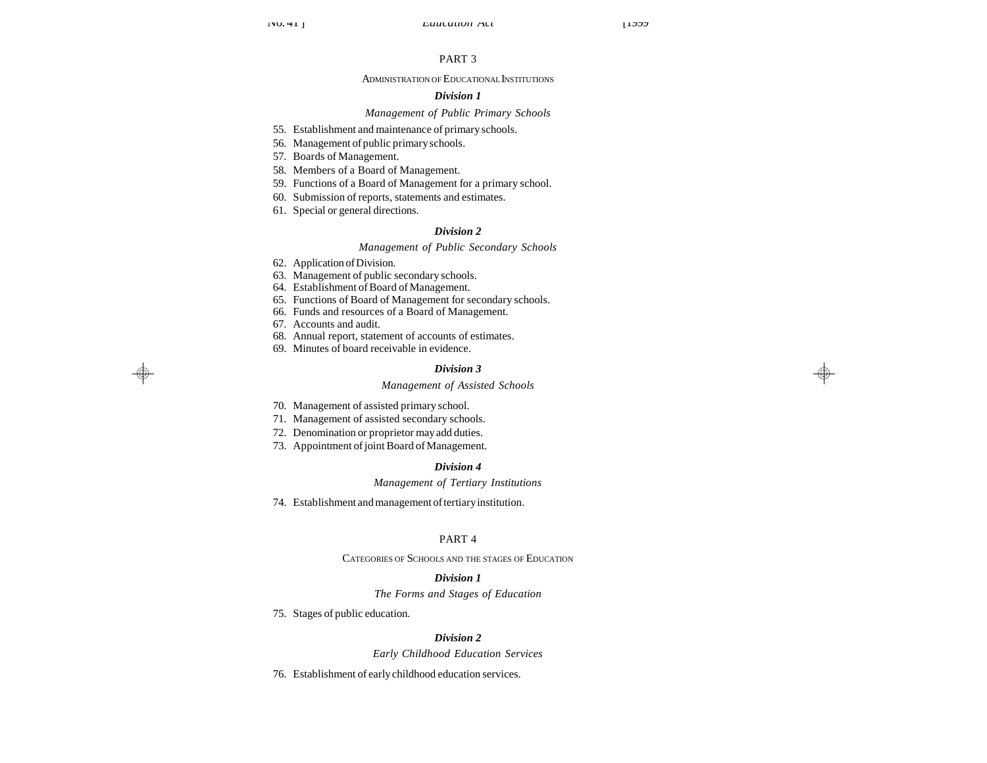## PART 3

### ADMINISTRATION OF EDUCATIONAL INSTITUTIONS

### *Division 1*

### *Management of Public Primary Schools*

- 55. Establishment and maintenance of primary schools.
- 56. Management of public primary schools.
- 57. Boards of Management.
- 58. Members of a Board of Management.
- 59. Functions of a Board of Management for a primary school.
- 60. Submission of reports, statements and estimates.
- 61. Special or general directions.

### *Division 2*

### *Management of Public Secondary Schools*

- 62. Application of Division.
- 63. Management of public secondary schools.
- 64. Establishment of Board of Management.
- 65. Functions of Board of Management for secondary schools.
- 66. Funds and resources of a Board of Management.
- 67. Accounts and audit.
- 68. Annual report, statement of accounts of estimates.
- 69. Minutes of board receivable in evidence.

#### *Division 3*

### *Management of Assisted Schools*

- 70. Management of assisted primary school.
- 71. Management of assisted secondary schools.
- 72. Denomination or proprietor may add duties.
- 73. Appointment of joint Board of Management.

#### *Division 4*

#### *Management of Tertiary Institutions*

74. Establishment and management of tertiary institution.

### PART 4

#### CATEGORIES OF SCHOOLS AND THE STAGES OF EDUCATION

## *Division 1*

## *The Forms and Stages of Education*

75. Stages of public education.

#### *Division 2*

### *Early Childhood Education Services*

76. Establishment of early childhood education services.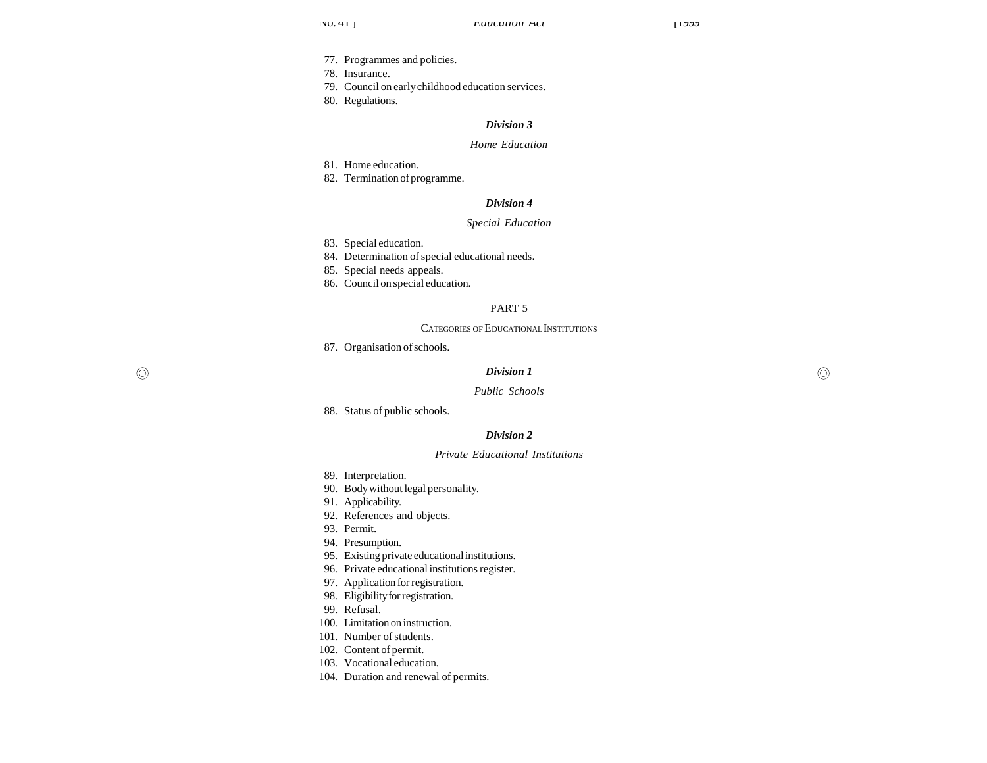- 77. Programmes and policies.
- 78. Insurance.
- 79. Council on early childhood education services.
- 80. Regulations.

### *Division 3*

#### *Home Education*

- 81. Home education.
- 82. Termination of programme.

## *Division 4*

### *Special Education*

- 83. Special education.
- 84. Determination of special educational needs.
- 85. Special needs appeals.
- 86. Council on special education.

### PART 5

### CATEGORIES OF EDUCATIONAL INSTITUTIONS

87. Organisation of schools.

### *Division 1*



#### *Public Schools*

88. Status of public schools.

## *Division 2*

#### *Private Educational Institutions*

- 89. Interpretation.
- 90. Body without legal personality.
- 91. Applicability.
- 92. References and objects.
- 93. Permit.

 $\bigcirc$ 

- 94. Presumption.
- 95. Existing private educational institutions.
- 96. Private educational institutions register.
- 97. Application for registration.
- 98. Eligibility for registration.
- 99. Refusal.
- 100. Limitation on instruction.
- 101. Number of students.
- 102. Content of permit.
- 103. Vocational education.
- 104. Duration and renewal of permits.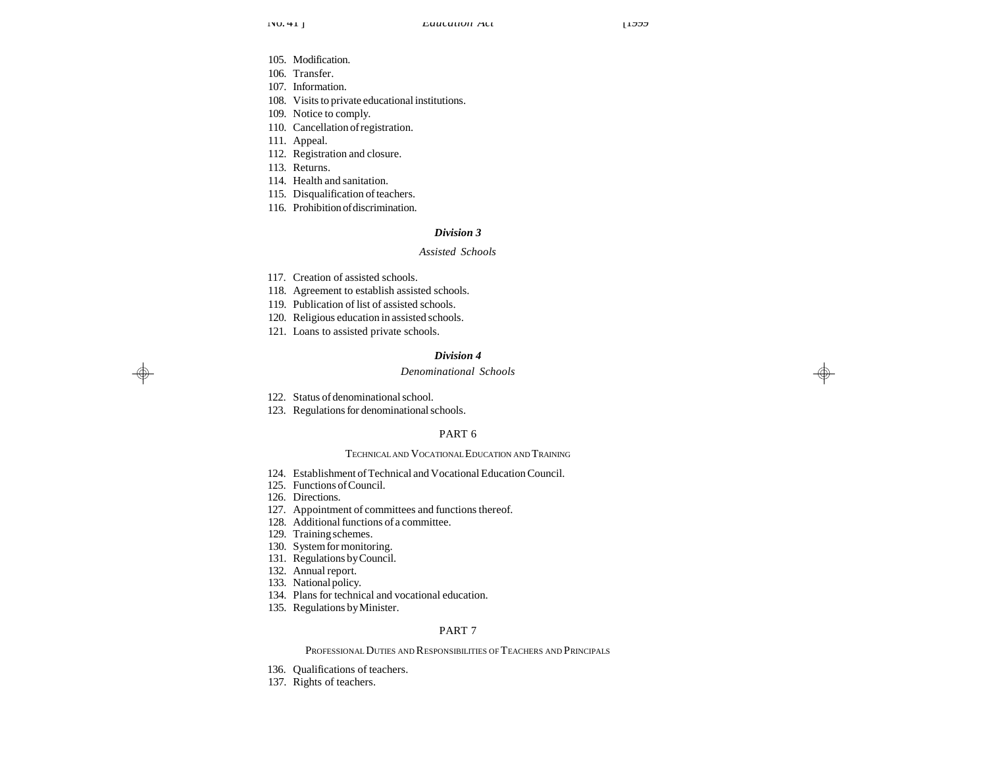- 105. Modification.
- 106. Transfer.
- 107. Information.
- 108. Visits to private educational institutions.
- 109. Notice to comply.
- 110. Cancellation of registration.
- 111. Appeal.
- 112. Registration and closure.
- 113. Returns.
- 114. Health and sanitation.
- 115. Disqualification of teachers.
- 116. Prohibition of discrimination.

### *Division 3*

#### *Assisted Schools*

- 117. Creation of assisted schools.
- 118. Agreement to establish assisted schools.
- 119. Publication of list of assisted schools.
- 120. Religious education in assisted schools.
- 121. Loans to assisted private schools.

#### *Division 4*

### *Denominational Schools*

122. Status of denominational school.

123. Regulations for denominational schools.

#### PART 6

#### TECHNICAL AND VOCATIONAL EDUCATION AND TRAINING

- 124. Establishment of Technical and Vocational Education Council.
- 125. Functions of Council.
- 126. Directions.

 $\bigcirc$ 

- 127. Appointment of committees and functions thereof.
- 128. Additional functions of a committee.
- 129. Training schemes.
- 130. System for monitoring.
- 131. Regulations by Council.
- 132. Annual report.
- 133. National policy.
- 134. Plans for technical and vocational education.
- 135. Regulations by Minister.

### PART 7

#### PROFESSIONAL DUTIES AND RESPONSIBILITIES OF TEACHERS AND PRINCIPALS

- 136. Qualifications of teachers.
- 137. Rights of teachers.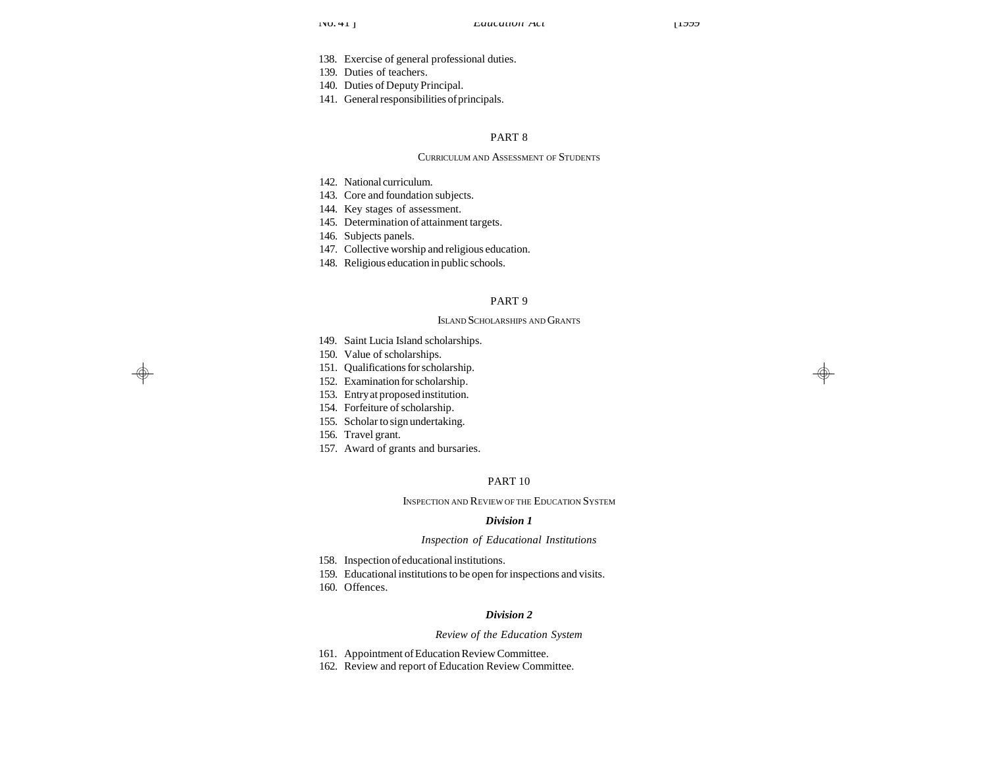- 138. Exercise of general professional duties.
- 139. Duties of teachers.
- 140. Duties of Deputy Principal.
- 141. General responsibilities of principals.

### PART 8

### CURRICULUM AND ASSESSMENT OF STUDENTS

- 142. National curriculum.
- 143. Core and foundation subjects.
- 144. Key stages of assessment.
- 145. Determination of attainment targets.
- 146. Subjects panels.
- 147. Collective worship and religious education.
- 148. Religious education in public schools.

## PART 9

## ISLAND SCHOLARSHIPS AND GRANTS

- 149. Saint Lucia Island scholarships.
- 150. Value of scholarships.
- 151. Qualifications for scholarship.
- 152. Examination for scholarship.
- 153. Entry at proposed institution.
- 154. Forfeiture of scholarship.
- 155. Scholar to sign undertaking.
- 156. Travel grant.
- 157. Award of grants and bursaries.

## PART 10

#### INSPECTION AND REVIEW OF THE EDUCATION SYSTEM

#### *Division 1*

### *Inspection of Educational Institutions*

- 158. Inspection of educational institutions.
- 159. Educational institutions to be open for inspections and visits.
- 160. Offences.

## *Division 2*

## *Review of the Education System*

- 161. Appointment of Education Review Committee.
- 162. Review and report of Education Review Committee.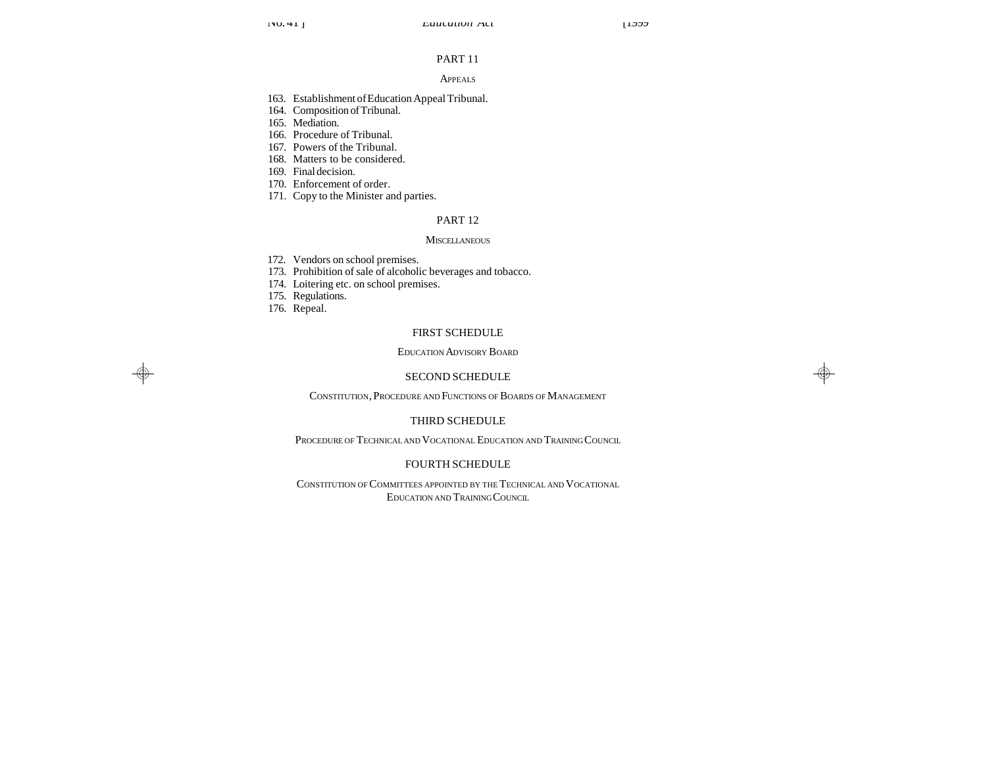## PART 11

## APPEALS

- 163. Establishment of Education Appeal Tribunal.
- 164. Composition of Tribunal.
- 165. Mediation.
- 166. Procedure of Tribunal.
- 167. Powers of the Tribunal.
- 168. Matters to be considered.
- 169. Final decision.
- 170. Enforcement of order.
- 171. Copy to the Minister and parties.

## PART 12

## **MISCELLANEOUS**

- 172. Vendors on school premises.
- 173. Prohibition of sale of alcoholic beverages and tobacco.
- 174. Loitering etc. on school premises.
- 175. Regulations.
- 176. Repeal.

⊕

### FIRST SCHEDULE

## EDUCATION ADVISORY BOARD

### SECOND SCHEDULE



## CONSTITUTION, PROCEDURE AND FUNCTIONS OF BOARDS OF MANAGEMENT

### THIRD SCHEDULE

PROCEDURE OF TECHNICAL AND VOCATIONAL EDUCATION AND TRAINING COUNCIL

#### FOURTH SCHEDULE

CONSTITUTION OF COMMITTEES APPOINTED BY THE TECHNICAL AND VOCATIONAL EDUCATION AND TRAINING COUNCIL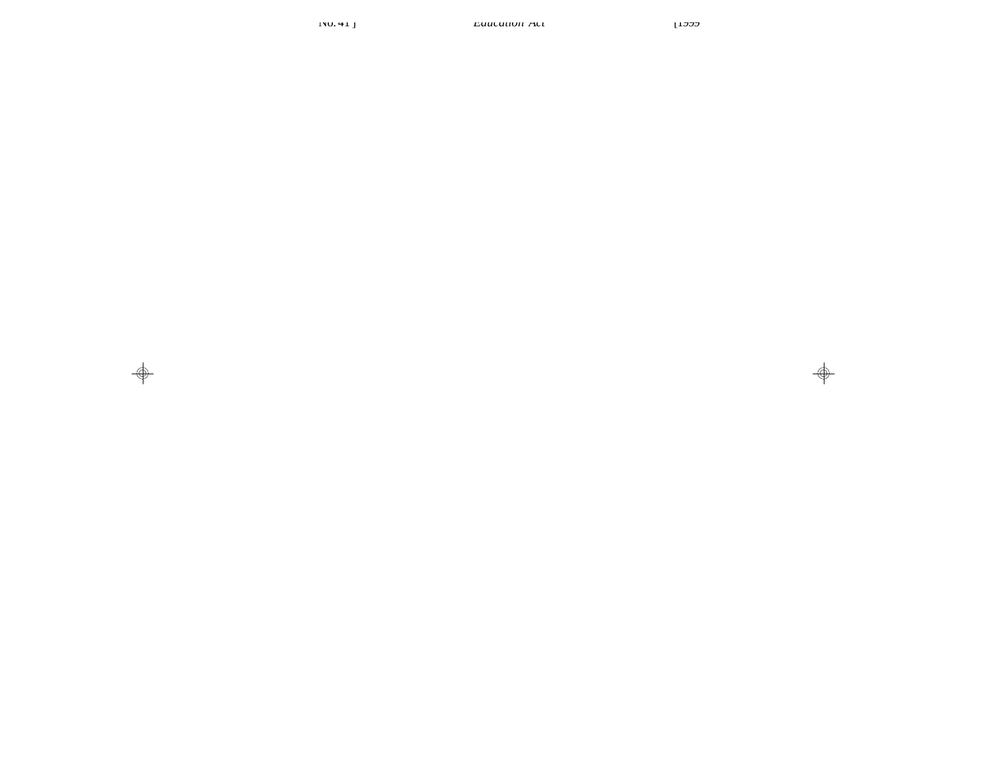



 $\bigoplus$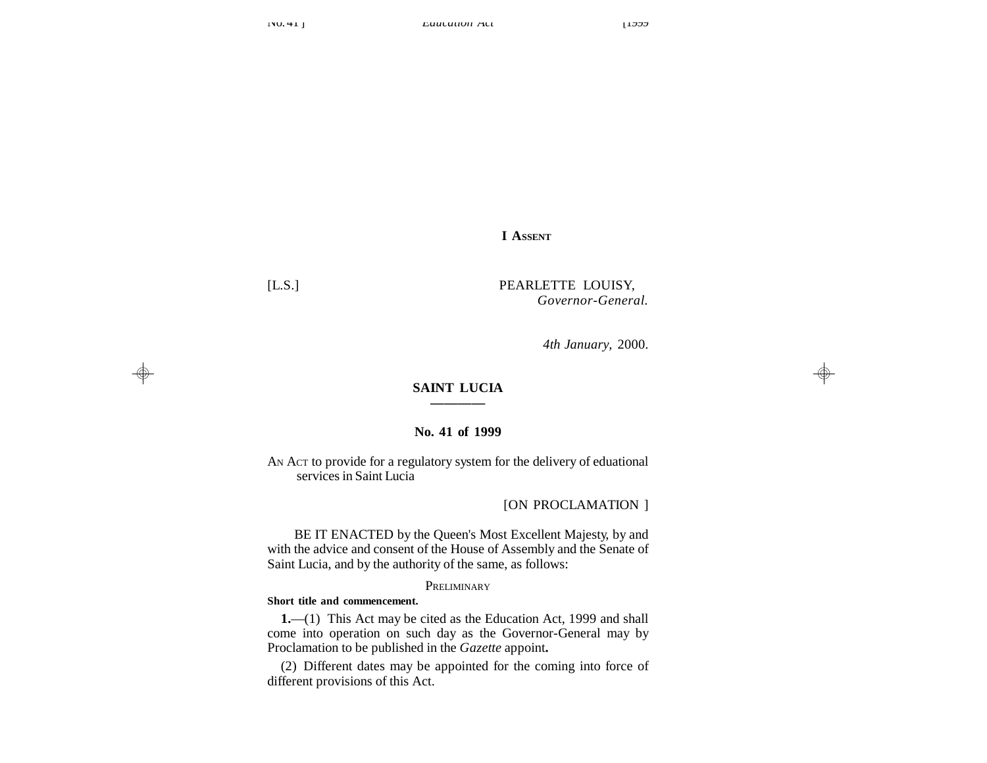## **I ASSENT**

[L.S.] PEARLETTE LOUISY, *Governor-General.*

*4th January,* 2000.

⊕

# **SAINT LUCIA ————**

# **No. 41 of 1999**

AN ACT to provide for a regulatory system for the delivery of eduational services in Saint Lucia

[ON PROCLAMATION ]

BE IT ENACTED by the Queen's Most Excellent Majesty, by and with the advice and consent of the House of Assembly and the Senate of Saint Lucia, and by the authority of the same, as follows:

## **PRELIMINARY**

## **Short title and commencement.**

**1.**—(1) This Act may be cited as the Education Act, 1999 and shall come into operation on such day as the Governor-General may by Proclamation to be published in the *Gazette* appoint**.**

(2) Different dates may be appointed for the coming into force of different provisions of this Act.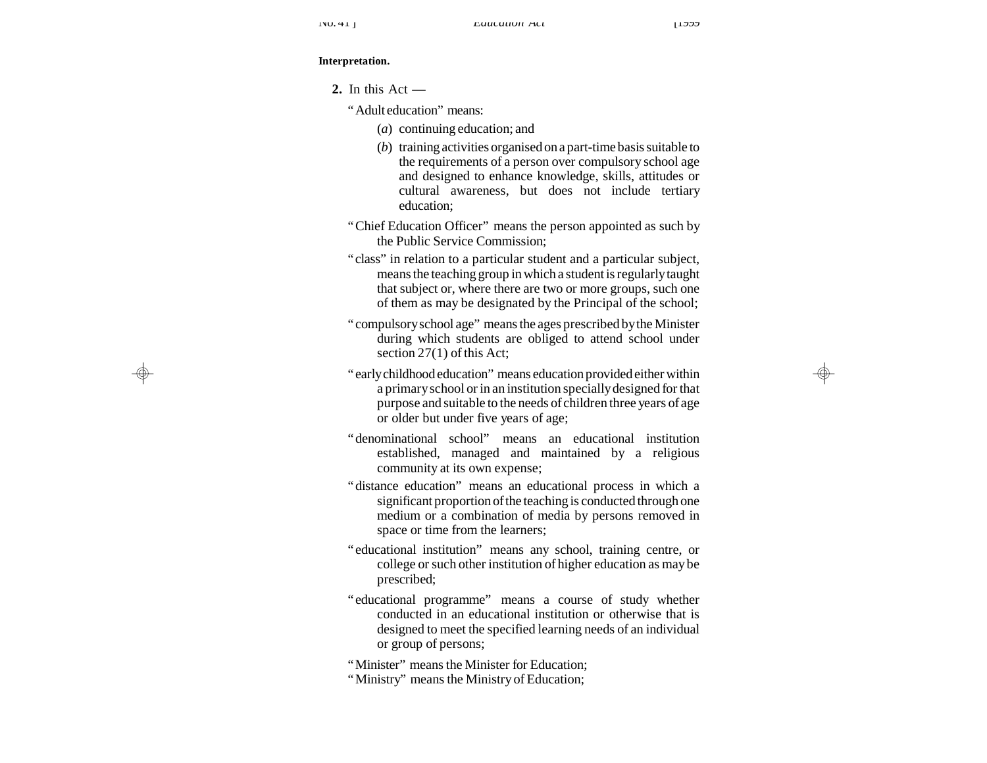## **Interpretation.**

 $\bigcirc$ 

**2.** In this Act —

"Adult education" means:

- (*a*) continuing education; and
- (*b*) training activities organised on a part-time basis suitable to the requirements of a person over compulsory school age and designed to enhance knowledge, skills, attitudes or cultural awareness, but does not include tertiary education;
- "Chief Education Officer" means the person appointed as such by the Public Service Commission;
- "class" in relation to a particular student and a particular subject, means the teaching group in which a student is regularly taught that subject or, where there are two or more groups, such one of them as may be designated by the Principal of the school;
- "compulsory school age" means the ages prescribed by the Minister during which students are obliged to attend school under section 27(1) of this Act;
- "early childhood education" means education provided either within a primary school or in an institution specially designed for that purpose and suitable to the needs of children three years of age or older but under five years of age;
- "denominational school" means an educational institution established, managed and maintained by a religious community at its own expense;
- "distance education" means an educational process in which a significant proportion of the teaching is conducted through one medium or a combination of media by persons removed in space or time from the learners;
- "educational institution" means any school, training centre, or college or such other institution of higher education as may be prescribed;
- "educational programme" means a course of study whether conducted in an educational institution or otherwise that is designed to meet the specified learning needs of an individual or group of persons;

"Minister" means the Minister for Education;

"Ministry" means the Ministry of Education;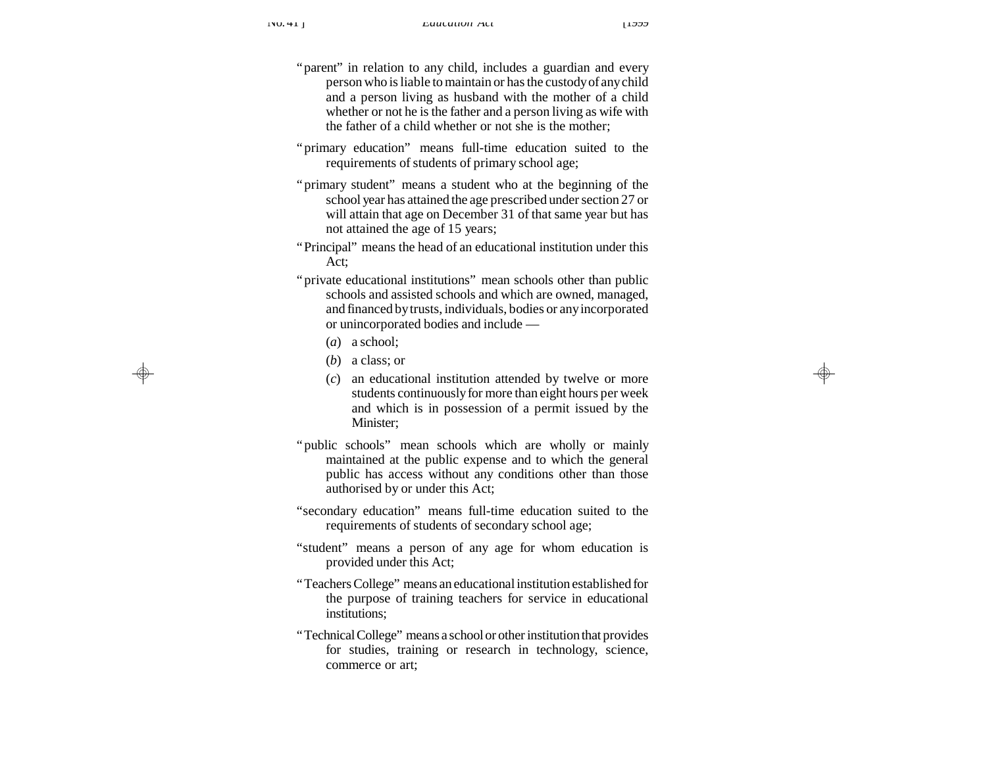$\bigcirc$ 

⊕

- "parent" in relation to any child, includes a guardian and every person who is liable to maintain or has the custody of any child and a person living as husband with the mother of a child whether or not he is the father and a person living as wife with the father of a child whether or not she is the mother;
- "primary education" means full-time education suited to the requirements of students of primary school age;
- "primary student" means a student who at the beginning of the school year has attained the age prescribed under section 27 or will attain that age on December 31 of that same year but has not attained the age of 15 years;
- "Principal" means the head of an educational institution under this Act;
- "private educational institutions" mean schools other than public schools and assisted schools and which are owned, managed, and financed by trusts, individuals, bodies or any incorporated or unincorporated bodies and include —
	- (*a*) a school;
	- (*b*) a class; or
	- (*c*) an educational institution attended by twelve or more students continuously for more than eight hours per week and which is in possession of a permit issued by the Minister;
- "public schools" mean schools which are wholly or mainly maintained at the public expense and to which the general public has access without any conditions other than those authorised by or under this Act;
- "secondary education" means full-time education suited to the requirements of students of secondary school age;
- "student" means a person of any age for whom education is provided under this Act;
- "Teachers College" means an educational institution established for the purpose of training teachers for service in educational institutions;
- "Technical College" means a school or other institution that provides for studies, training or research in technology, science, commerce or art;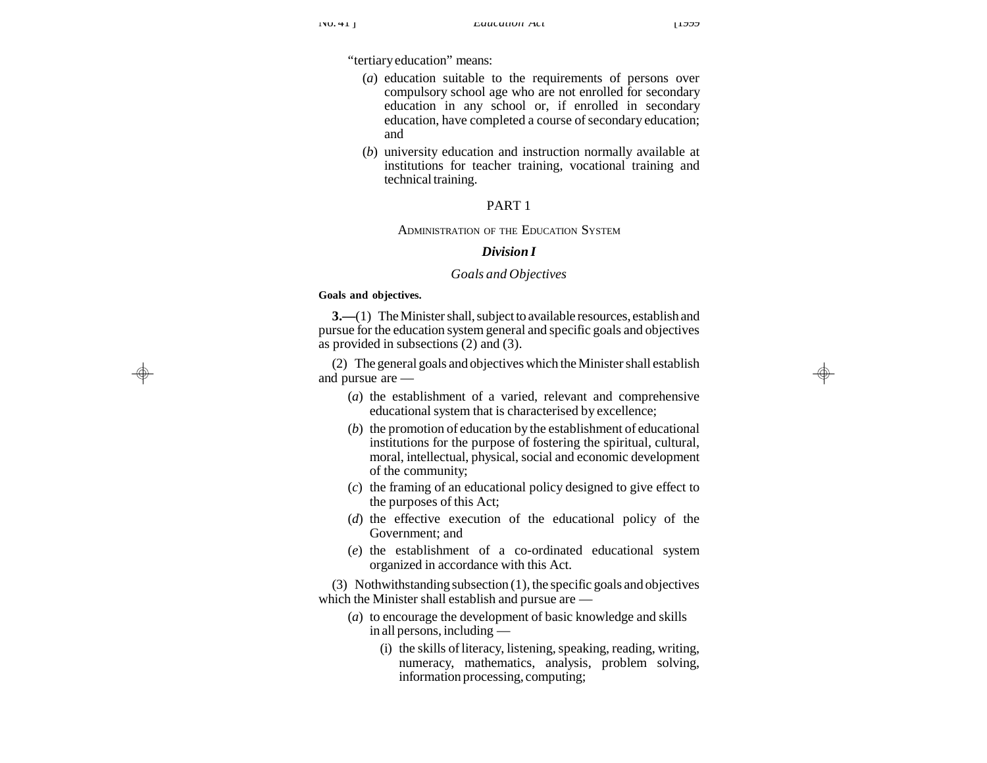$\circledcirc$ 

"tertiary education" means:

- (*a*) education suitable to the requirements of persons over compulsory school age who are not enrolled for secondary education in any school or, if enrolled in secondary education, have completed a course of secondary education; and
- (*b*) university education and instruction normally available at institutions for teacher training, vocational training and technical training.

# PART 1

## ADMINISTRATION OF THE EDUCATION SYSTEM

## *Division I*

## *Goals and Objectives*

### **Goals and objectives.**

 $\bigcirc$ 

**3.**—(1) The Minister shall, subject to available resources, establish and pursue for the education system general and specific goals and objectives as provided in subsections (2) and (3).

(2) The general goals and objectives which the Minister shall establish and pursue are —

- (*a*) the establishment of a varied, relevant and comprehensive educational system that is characterised by excellence;
- (*b*) the promotion of education by the establishment of educational institutions for the purpose of fostering the spiritual, cultural, moral, intellectual, physical, social and economic development of the community;
- (*c*) the framing of an educational policy designed to give effect to the purposes of this Act;
- (*d*) the effective execution of the educational policy of the Government; and
- (*e*) the establishment of a co-ordinated educational system organized in accordance with this Act.

(3) Nothwithstanding subsection (1), the specific goals and objectives which the Minister shall establish and pursue are —

- (*a*) to encourage the development of basic knowledge and skills in all persons, including —
	- (i) the skills of literacy, listening, speaking, reading, writing, numeracy, mathematics, analysis, problem solving, information processing, computing;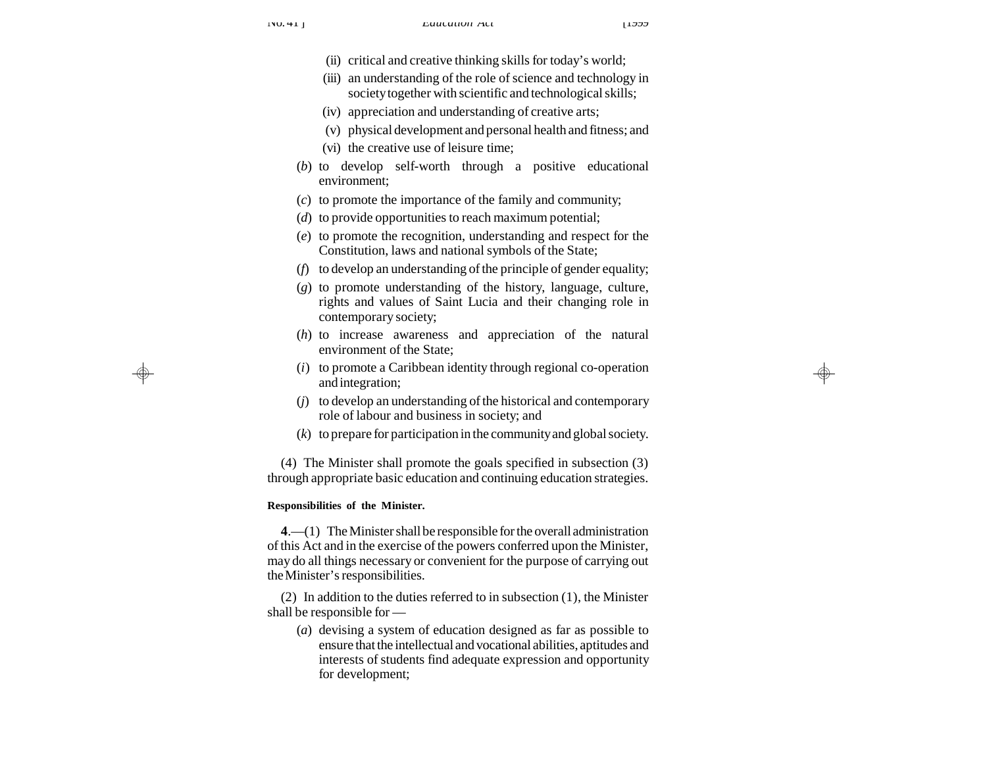⊕

- (ii) critical and creative thinking skills for today's world;
- (iii) an understanding of the role of science and technology in society together with scientific and technological skills;
- (iv) appreciation and understanding of creative arts;
- (v) physical development and personal health and fitness; and
- (vi) the creative use of leisure time;
- (*b*) to develop self-worth through a positive educational environment;
- (*c*) to promote the importance of the family and community;
- (*d*) to provide opportunities to reach maximum potential;
- (*e*) to promote the recognition, understanding and respect for the Constitution, laws and national symbols of the State;
- (*f*) to develop an understanding of the principle of gender equality;
- (*g*) to promote understanding of the history, language, culture, rights and values of Saint Lucia and their changing role in contemporary society;
- (*h*) to increase awareness and appreciation of the natural environment of the State;
- (*i*) to promote a Caribbean identity through regional co-operation and integration;
- (*j*) to develop an understanding of the historical and contemporary role of labour and business in society; and
- (*k*) to prepare for participation in the community and global society.

(4) The Minister shall promote the goals specified in subsection (3) through appropriate basic education and continuing education strategies.

## **Responsibilities of the Minister.**

**4**.— (1) The Minister shall be responsible for the overall administration of this Act and in the exercise of the powers conferred upon the Minister, may do all things necessary or convenient for the purpose of carrying out the Minister's responsibilities.

(2) In addition to the duties referred to in subsection (1), the Minister shall be responsible for —

(*a*) devising a system of education designed as far as possible to ensure that the intellectual and vocational abilities, aptitudes and interests of students find adequate expression and opportunity for development;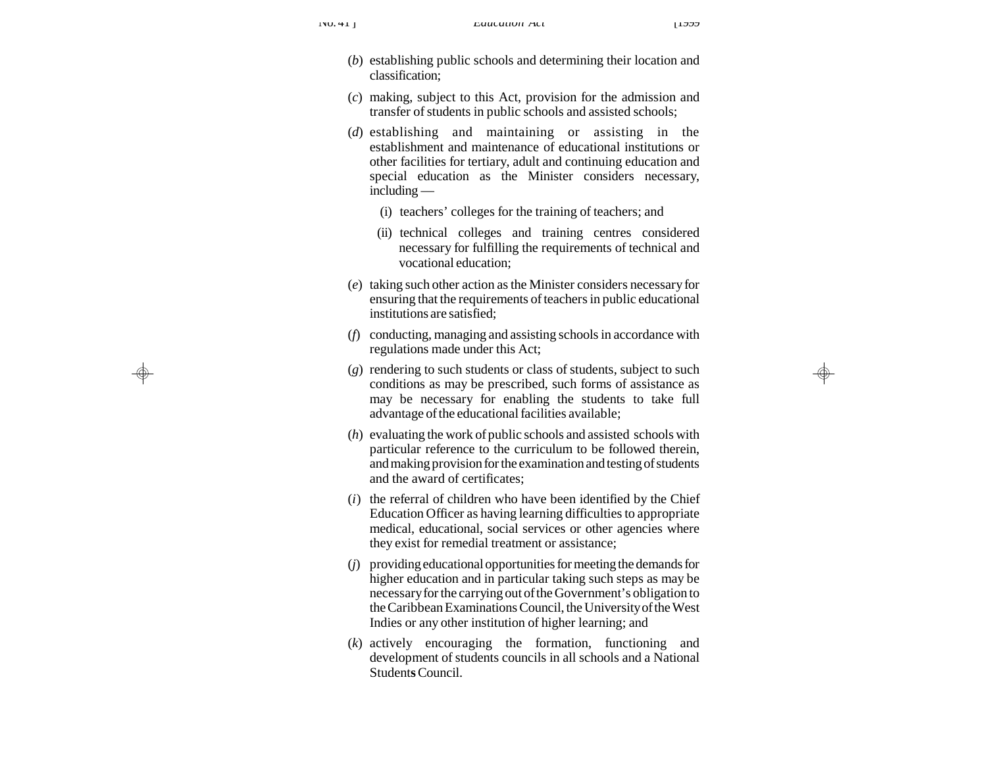$\bigcirc$ 

⊕

- (*b*) establishing public schools and determining their location and classification;
- (*c*) making, subject to this Act, provision for the admission and transfer of students in public schools and assisted schools;
- (*d*) establishing and maintaining or assisting in the establishment and maintenance of educational institutions or other facilities for tertiary, adult and continuing education and special education as the Minister considers necessary, including —
	- (i) teachers' colleges for the training of teachers; and
	- (ii) technical colleges and training centres considered necessary for fulfilling the requirements of technical and vocational education;
- (*e*) taking such other action as the Minister considers necessary for ensuring that the requirements of teachers in public educational institutions are satisfied;
- (*f*) conducting, managing and assisting schools in accordance with regulations made under this Act;
- (*g*) rendering to such students or class of students, subject to such conditions as may be prescribed, such forms of assistance as may be necessary for enabling the students to take full advantage of the educational facilities available;
- (*h*) evaluating the work of public schools and assisted schools with particular reference to the curriculum to be followed therein, and making provision for the examination and testing of students and the award of certificates;
- (*i*) the referral of children who have been identified by the Chief Education Officer as having learning difficulties to appropriate medical, educational, social services or other agencies where they exist for remedial treatment or assistance;
- (*j*) providing educational opportunities for meeting the demands for higher education and in particular taking such steps as may be necessary for the carrying out of the Government's obligation to the Caribbean Examinations Council, the University of the West Indies or any other institution of higher learning; and
- (*k*) actively encouraging the formation, functioning and development of students councils in all schools and a National Student**s** Council.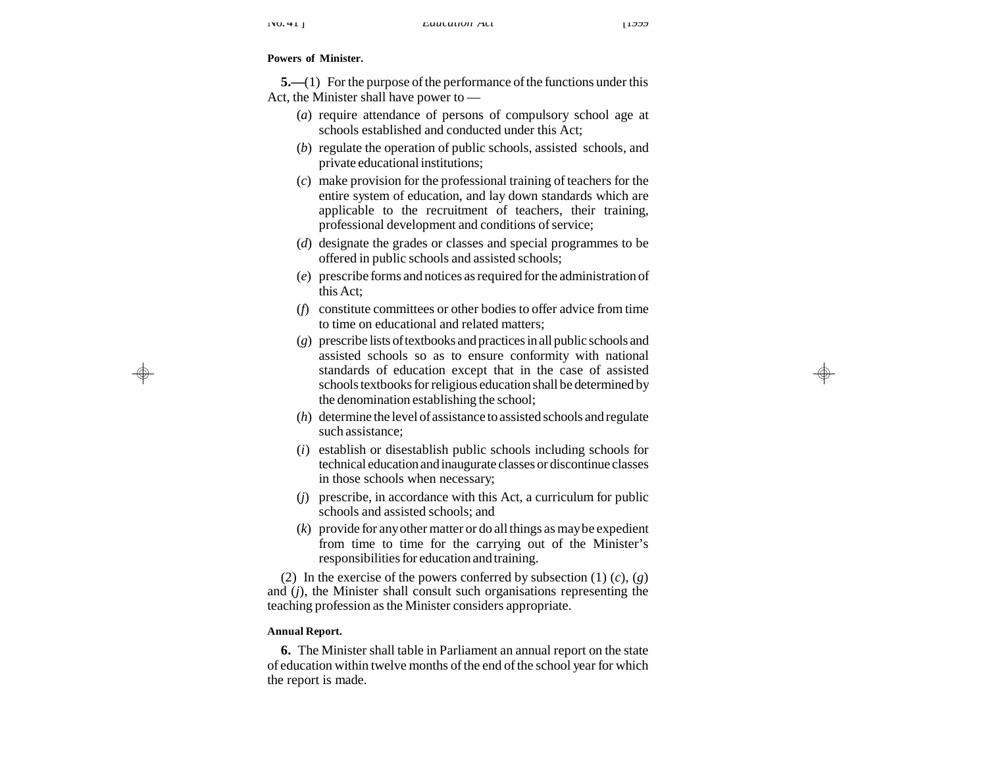## **Powers of Minister.**

**5.—(1)** For the purpose of the performance of the functions under this Act, the Minister shall have power to —

- (*a*) require attendance of persons of compulsory school age at schools established and conducted under this Act;
- (*b*) regulate the operation of public schools, assisted schools, and private educational institutions;
- (*c*) make provision for the professional training of teachers for the entire system of education, and lay down standards which are applicable to the recruitment of teachers, their training, professional development and conditions of service;
- (*d*) designate the grades or classes and special programmes to be offered in public schools and assisted schools;
- (*e*) prescribe forms and notices as required for the administration of this Act;
- (*f*) constitute committees or other bodies to offer advice from time to time on educational and related matters;
- (*g*) prescribe lists of textbooks and practices in all public schools and assisted schools so as to ensure conformity with national standards of education except that in the case of assisted schools textbooks for religious education shall be determined by the denomination establishing the school;
- (*h*) determine the level of assistance to assisted schools and regulate such assistance;
- (*i*) establish or disestablish public schools including schools for technical education and inaugurate classes or discontinue classes in those schools when necessary;
- (*j*) prescribe, in accordance with this Act, a curriculum for public schools and assisted schools; and
- (*k*) provide for any other matter or do all things as may be expedient from time to time for the carrying out of the Minister's responsibilities for education and training.

(2) In the exercise of the powers conferred by subsection  $(1)$   $(c)$ ,  $(g)$ and (*j*), the Minister shall consult such organisations representing the teaching profession as the Minister considers appropriate.

## **Annual Report.**

 $\bigcirc$ 

**6.** The Minister shall table in Parliament an annual report on the state of education within twelve months of the end of the school year for which the report is made.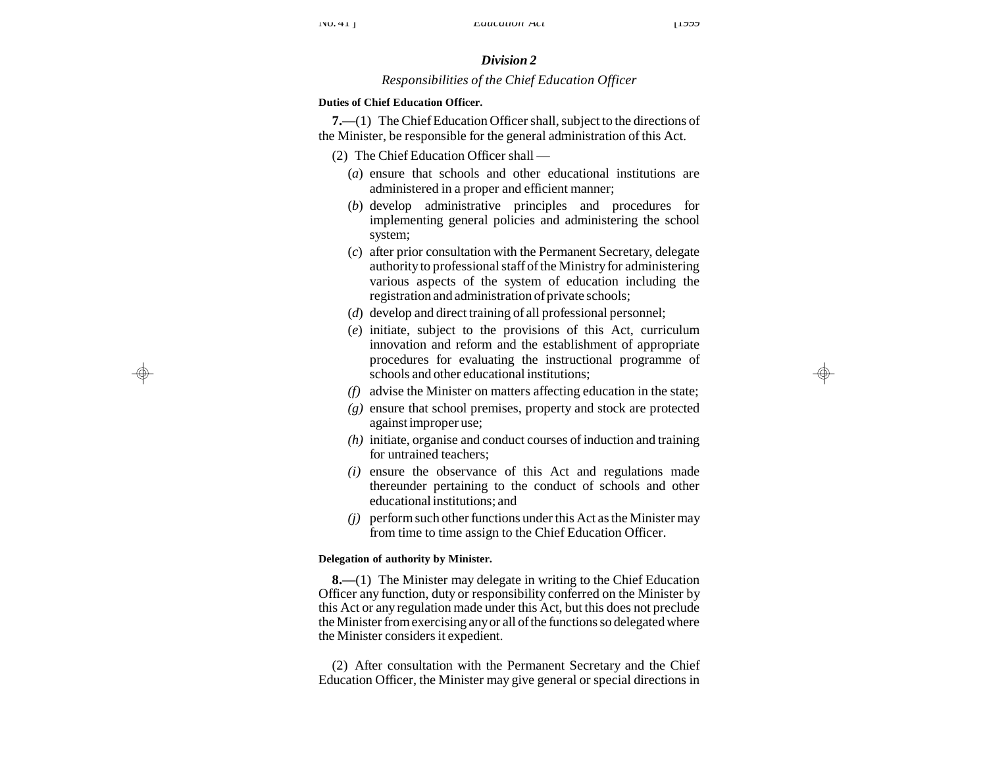$\bigcirc$ 

 $\circledcirc$ 

## *Division 2*

## *Responsibilities of the Chief Education Officer*

## **Duties of Chief Education Officer.**

**7.**—(1) The Chief Education Officer shall, subject to the directions of the Minister, be responsible for the general administration of this Act.

(2) The Chief Education Officer shall —

- (*a*) ensure that schools and other educational institutions are administered in a proper and efficient manner;
- (*b*) develop administrative principles and procedures for implementing general policies and administering the school system;
- (*c*) after prior consultation with the Permanent Secretary, delegate authority to professional staff of the Ministry for administering various aspects of the system of education including the registration and administration of private schools;
- (*d*) develop and direct training of all professional personnel;
- (*e*) initiate, subject to the provisions of this Act, curriculum innovation and reform and the establishment of appropriate procedures for evaluating the instructional programme of schools and other educational institutions;
- *(f)* advise the Minister on matters affecting education in the state;
- *(g)* ensure that school premises, property and stock are protected against improper use;
- *(h)* initiate, organise and conduct courses of induction and training for untrained teachers;
- *(i)* ensure the observance of this Act and regulations made thereunder pertaining to the conduct of schools and other educational institutions; and
- *(j)* perform such other functions under this Act as the Minister may from time to time assign to the Chief Education Officer.

## **Delegation of authority by Minister.**

**8.—(1)** The Minister may delegate in writing to the Chief Education Officer any function, duty or responsibility conferred on the Minister by this Act or any regulation made under this Act, but this does not preclude the Minister from exercising any or all of the functions so delegated where the Minister considers it expedient.

(2) After consultation with the Permanent Secretary and the Chief Education Officer, the Minister may give general or special directions in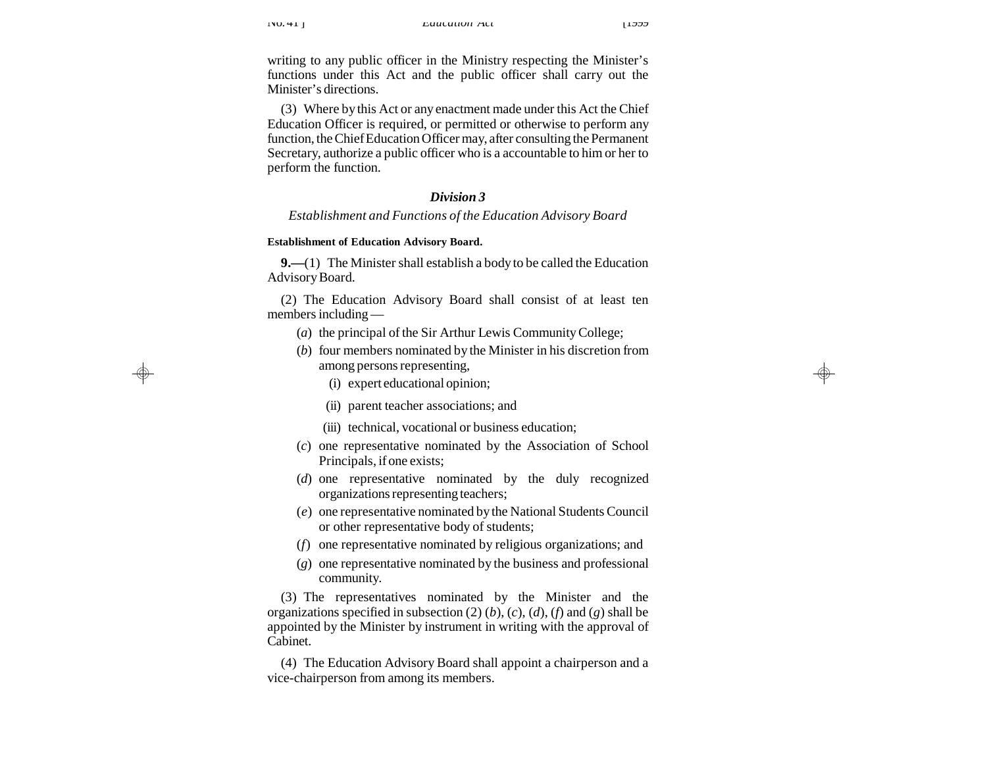$\bigcirc$ 

⊕

writing to any public officer in the Ministry respecting the Minister's functions under this Act and the public officer shall carry out the Minister's directions.

(3) Where by this Act or any enactment made under this Act the Chief Education Officer is required, or permitted or otherwise to perform any function, the Chief Education Officer may, after consulting the Permanent Secretary, authorize a public officer who is a accountable to him or her to perform the function.

## *Division 3*

## *Establishment and Functions of the Education Advisory Board*

## **Establishment of Education Advisory Board.**

**9.**—(1) The Minister shall establish a body to be called the Education Advisory Board.

(2) The Education Advisory Board shall consist of at least ten members including —

- (*a*) the principal of the Sir Arthur Lewis Community College;
- (*b*) four members nominated by the Minister in his discretion from among persons representing,
	- (i) expert educational opinion;
	- (ii) parent teacher associations; and
	- (iii) technical, vocational or business education;
- (*c*) one representative nominated by the Association of School Principals, if one exists;
- (*d*) one representative nominated by the duly recognized organizations representing teachers;
- (*e*) one representative nominated by the National Students Council or other representative body of students;
- (*f*) one representative nominated by religious organizations; and
- (*g*) one representative nominated by the business and professional community.

(3) The representatives nominated by the Minister and the organizations specified in subsection (2) (*b*), (*c*), (*d*), (*f*) and (*g*) shall be appointed by the Minister by instrument in writing with the approval of Cabinet.

(4) The Education Advisory Board shall appoint a chairperson and a vice-chairperson from among its members.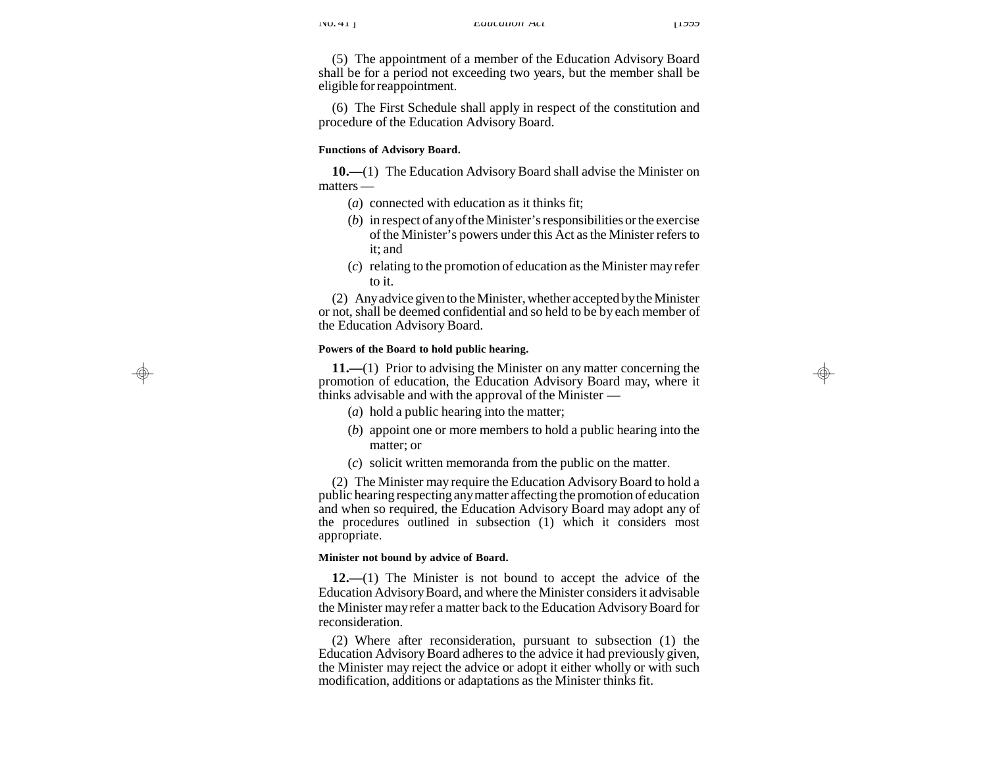⊕

(5) The appointment of a member of the Education Advisory Board shall be for a period not exceeding two years, but the member shall be eligible for reappointment.

(6) The First Schedule shall apply in respect of the constitution and procedure of the Education Advisory Board.

## **Functions of Advisory Board.**

**10.—(1)** The Education Advisory Board shall advise the Minister on matters —

- (*a*) connected with education as it thinks fit;
- (*b*) in respect of any of the Minister's responsibilities or the exercise of the Minister's powers under this Act as the Minister refers to it; and
- (*c*) relating to the promotion of education as the Minister may refer to it.

(2) Any advice given to the Minister, whether accepted by the Minister or not, shall be deemed confidential and so held to be by each member of the Education Advisory Board.

## **Powers of the Board to hold public hearing.**

**11.—(1)** Prior to advising the Minister on any matter concerning the promotion of education, the Education Advisory Board may, where it thinks advisable and with the approval of the Minister —

- (*a*) hold a public hearing into the matter;
- (*b*) appoint one or more members to hold a public hearing into the matter; or
- (*c*) solicit written memoranda from the public on the matter.

(2) The Minister may require the Education Advisory Board to hold a public hearing respecting any matter affecting the promotion of education and when so required, the Education Advisory Board may adopt any of the procedures outlined in subsection (1) which it considers most appropriate.

## **Minister not bound by advice of Board.**

**12.—(1)** The Minister is not bound to accept the advice of the Education Advisory Board, and where the Minister considers it advisable the Minister may refer a matter back to the Education Advisory Board for reconsideration.

(2) Where after reconsideration, pursuant to subsection (1) the Education Advisory Board adheres to the advice it had previously given, the Minister may reject the advice or adopt it either wholly or with such modification, additions or adaptations as the Minister thinks fit.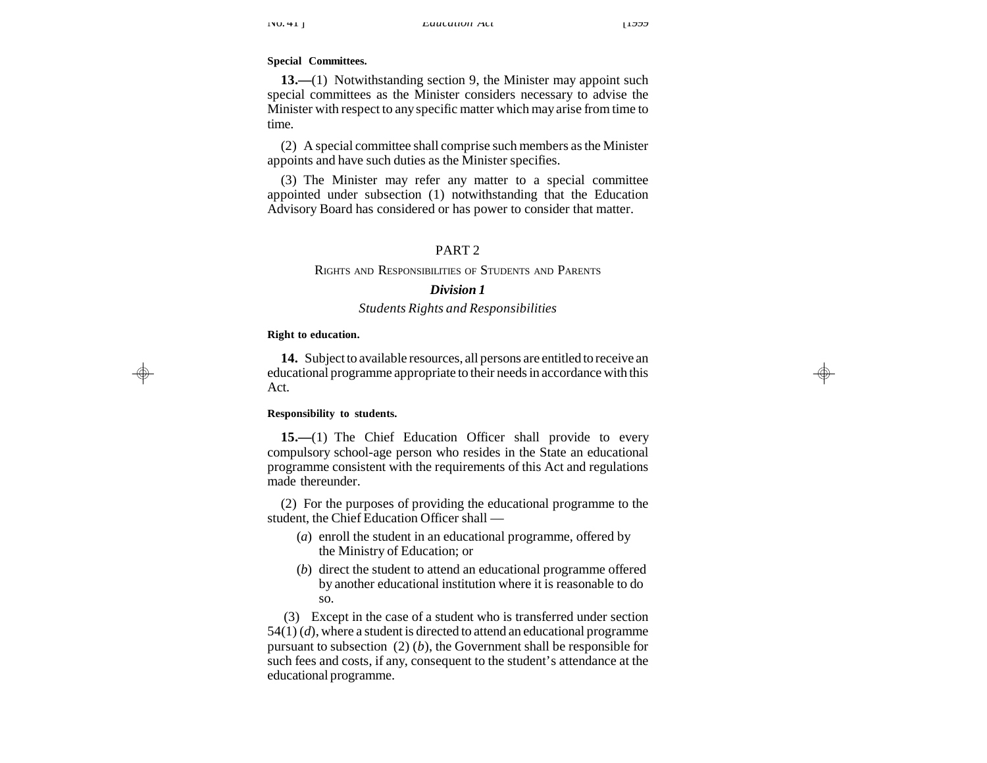### **Special Committees.**

**13.—(1)** Notwithstanding section 9, the Minister may appoint such special committees as the Minister considers necessary to advise the Minister with respect to any specific matter which may arise from time to time.

(2) A special committee shall comprise such members as the Minister appoints and have such duties as the Minister specifies.

(3) The Minister may refer any matter to a special committee appointed under subsection (1) notwithstanding that the Education Advisory Board has considered or has power to consider that matter.

## PART 2

## RIGHTS AND RESPONSIBILITIES OF STUDENTS AND PARENTS

## *Division 1*

## *Students Rights and Responsibilities*

### **Right to education.**

 $\bigcirc$ 

**14.** Subject to available resources, all persons are entitled to receive an educational programme appropriate to their needs in accordance with this Act.

### **Responsibility to students.**

**15.—(1)** The Chief Education Officer shall provide to every compulsory school-age person who resides in the State an educational programme consistent with the requirements of this Act and regulations made thereunder.

(2) For the purposes of providing the educational programme to the student, the Chief Education Officer shall —

- (*a*) enroll the student in an educational programme, offered by the Ministry of Education; or
- (*b*) direct the student to attend an educational programme offered by another educational institution where it is reasonable to do so.

 (3) Except in the case of a student who is transferred under section 54(1) (*d*), where a student is directed to attend an educational programme pursuant to subsection (2) (*b*), the Government shall be responsible for such fees and costs, if any, consequent to the student's attendance at the educational programme.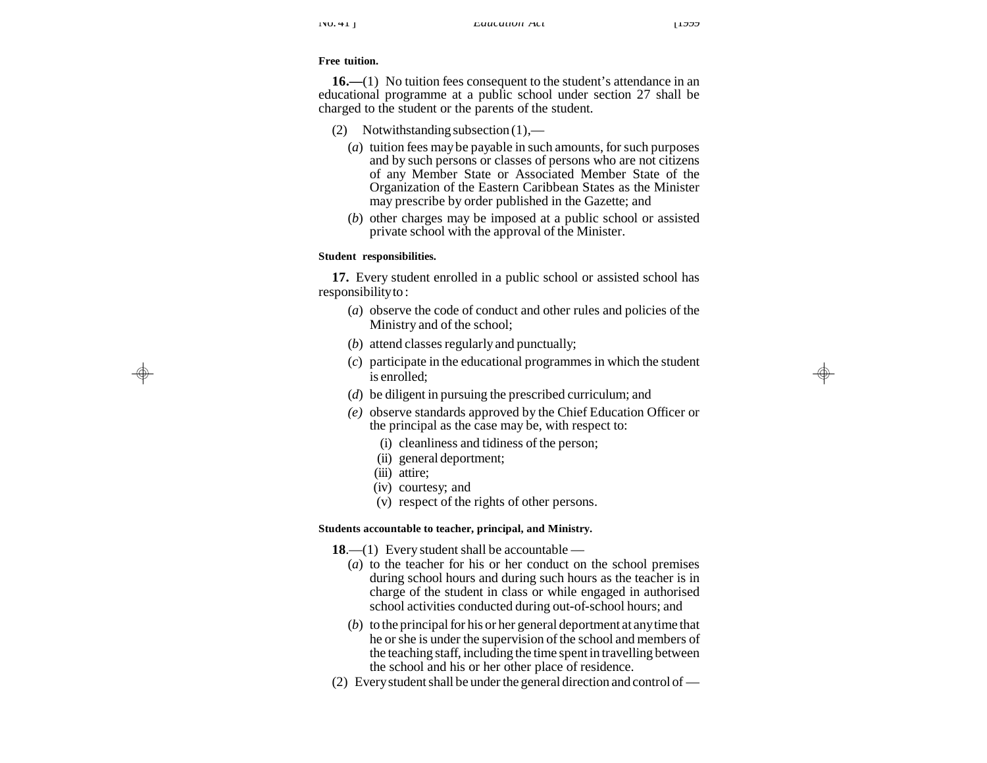### **Free tuition.**

**16.—(1)** No tuition fees consequent to the student's attendance in an educational programme at a public school under section 27 shall be charged to the student or the parents of the student.

# (2) Notwithstanding subsection (1),—

- (*a*) tuition fees may be payable in such amounts, for such purposes and by such persons or classes of persons who are not citizens of any Member State or Associated Member State of the Organization of the Eastern Caribbean States as the Minister may prescribe by order published in the Gazette; and
- (*b*) other charges may be imposed at a public school or assisted private school with the approval of the Minister.

## **Student responsibilities.**

**17.** Every student enrolled in a public school or assisted school has responsibility to :

- (*a*) observe the code of conduct and other rules and policies of the Ministry and of the school;
- (*b*) attend classes regularly and punctually;
- (*c*) participate in the educational programmes in which the student is enrolled;
- (*d*) be diligent in pursuing the prescribed curriculum; and
- *(e)* observe standards approved by the Chief Education Officer or the principal as the case may be, with respect to:
	- (i) cleanliness and tidiness of the person;
	- (ii) general deportment;
	- (iii) attire;
	- (iv) courtesy; and
	- (v) respect of the rights of other persons.

## **Students accountable to teacher, principal, and Ministry.**

**18.**—(1) Every student shall be accountable —

- (*a*) to the teacher for his or her conduct on the school premises during school hours and during such hours as the teacher is in charge of the student in class or while engaged in authorised school activities conducted during out-of-school hours; and
- (*b*) to the principal for his or her general deportment at any time that he or she is under the supervision of the school and members of the teaching staff, including the time spent in travelling between the school and his or her other place of residence.
- (2) Every student shall be under the general direction and control of —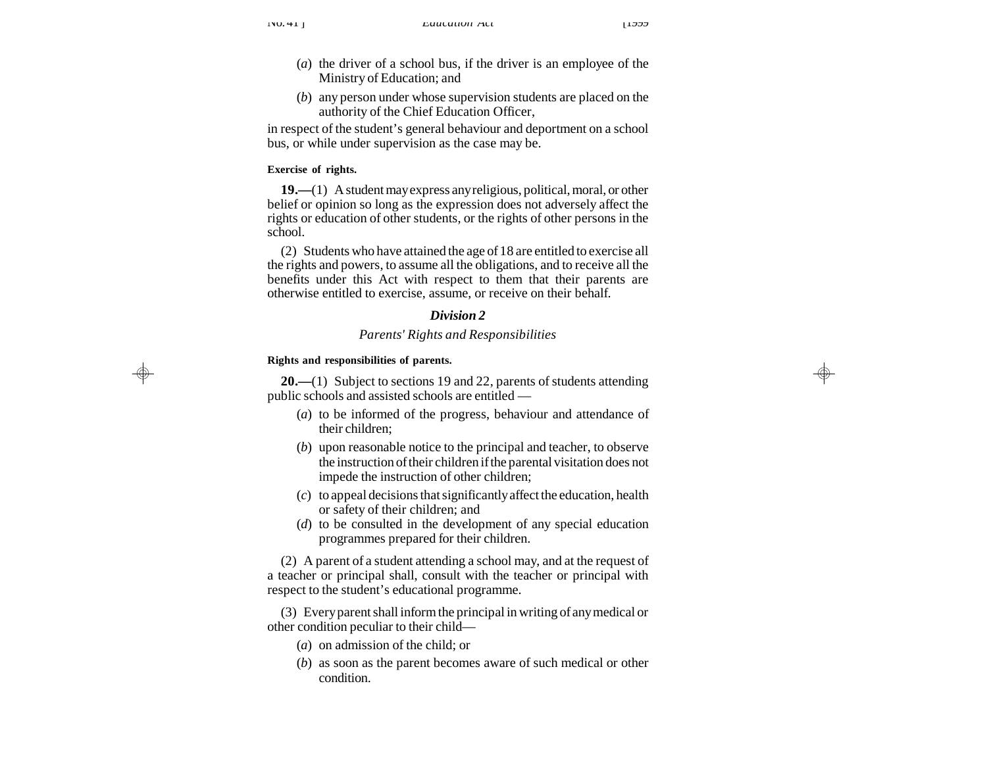- (*a*) the driver of a school bus, if the driver is an employee of the Ministry of Education; and
- (*b*) any person under whose supervision students are placed on the authority of the Chief Education Officer,

in respect of the student's general behaviour and deportment on a school bus, or while under supervision as the case may be.

## **Exercise of rights.**

 $\bigcirc$ 

**19.**—(1) A student may express any religious, political, moral, or other belief or opinion so long as the expression does not adversely affect the rights or education of other students, or the rights of other persons in the school.

(2) Students who have attained the age of 18 are entitled to exercise all the rights and powers, to assume all the obligations, and to receive all the benefits under this Act with respect to them that their parents are otherwise entitled to exercise, assume, or receive on their behalf.

## *Division 2*

# *Parents' Rights and Responsibilities*

## **Rights and responsibilities of parents.**

**20.**—(1) Subject to sections 19 and 22, parents of students attending public schools and assisted schools are entitled —

- (*a*) to be informed of the progress, behaviour and attendance of their children;
- (*b*) upon reasonable notice to the principal and teacher, to observe the instruction of their children if the parental visitation does not impede the instruction of other children;
- (*c*) to appeal decisions that significantly affect the education, health or safety of their children; and
- (*d*) to be consulted in the development of any special education programmes prepared for their children.

(2) A parent of a student attending a school may, and at the request of a teacher or principal shall, consult with the teacher or principal with respect to the student's educational programme.

(3) Every parent shall inform the principal in writing of any medical or other condition peculiar to their child—

- (*a*) on admission of the child; or
- (*b*) as soon as the parent becomes aware of such medical or other condition.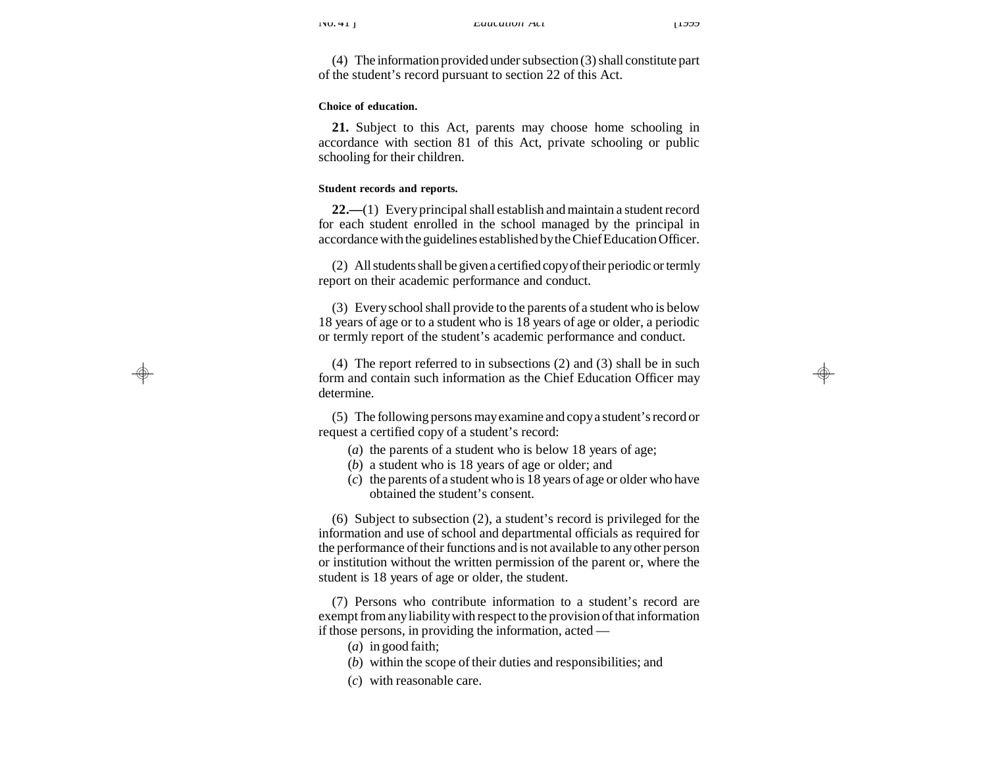(4) The information provided under subsection (3) shall constitute part of the student's record pursuant to section 22 of this Act.

### **Choice of education.**

**21.** Subject to this Act, parents may choose home schooling in accordance with section 81 of this Act, private schooling or public schooling for their children.

## **Student records and reports.**

**22.**—(1) Every principal shall establish and maintain a student record for each student enrolled in the school managed by the principal in accordance with the guidelines established by the Chief Education Officer.

(2) All students shall be given a certified copy of their periodic or termly report on their academic performance and conduct.

(3) Every school shall provide to the parents of a student who is below 18 years of age or to a student who is 18 years of age or older, a periodic or termly report of the student's academic performance and conduct.

(4) The report referred to in subsections (2) and (3) shall be in such form and contain such information as the Chief Education Officer may determine.

(5) The following persons may examine and copy a student's record or request a certified copy of a student's record:

- (*a*) the parents of a student who is below 18 years of age;
- (*b*) a student who is 18 years of age or older; and
- (*c*) the parents of a student who is 18 years of age or older who have obtained the student's consent.

(6) Subject to subsection (2), a student's record is privileged for the information and use of school and departmental officials as required for the performance of their functions and is not available to any other person or institution without the written permission of the parent or, where the student is 18 years of age or older, the student.

(7) Persons who contribute information to a student's record are exempt from any liability with respect to the provision of that information if those persons, in providing the information, acted —

- (*a*) in good faith;
- (*b*) within the scope of their duties and responsibilities; and
- (*c*) with reasonable care.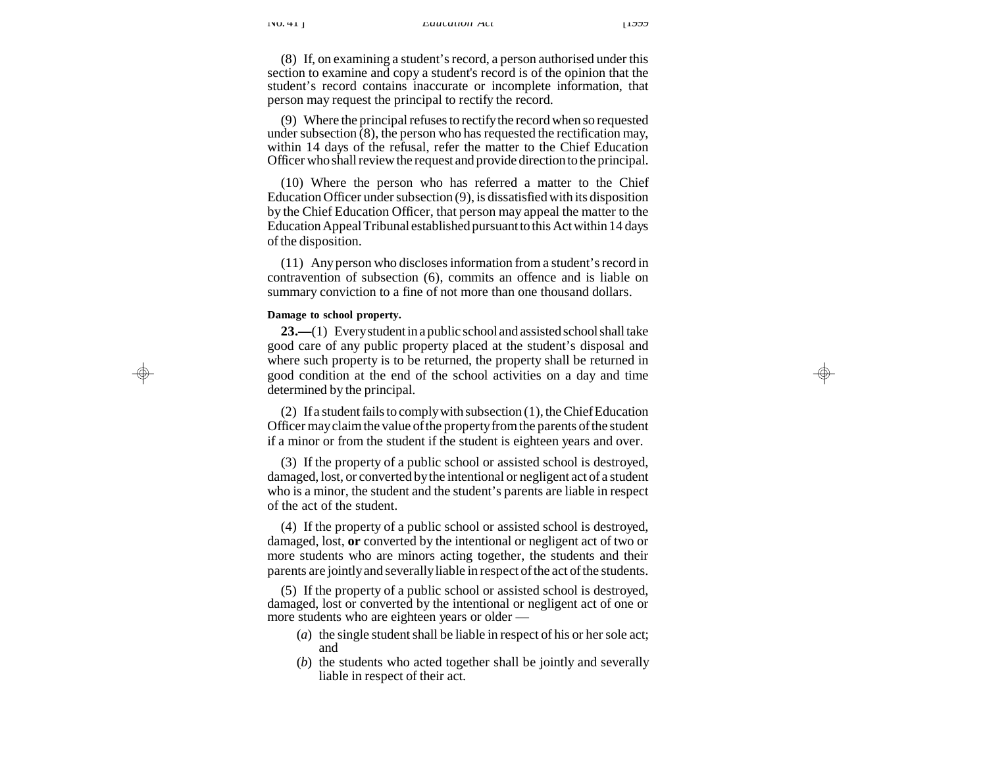(8) If, on examining a student's record, a person authorised under this section to examine and copy a student's record is of the opinion that the student's record contains inaccurate or incomplete information, that person may request the principal to rectify the record.

(9) Where the principal refuses to rectify the record when so requested under subsection  $(8)$ , the person who has requested the rectification may, within 14 days of the refusal, refer the matter to the Chief Education Officer who shall review the request and provide direction to the principal.

(10) Where the person who has referred a matter to the Chief Education Officer under subsection (9), is dissatisfied with its disposition by the Chief Education Officer, that person may appeal the matter to the Education Appeal Tribunal established pursuant to this Act within 14 days of the disposition.

(11) Any person who discloses information from a student's record in contravention of subsection (6), commits an offence and is liable on summary conviction to a fine of not more than one thousand dollars.

## **Damage to school property.**

 $\bigcirc$ 

**23.**—(1) Every student in a public school and assisted school shall take good care of any public property placed at the student's disposal and where such property is to be returned, the property shall be returned in good condition at the end of the school activities on a day and time determined by the principal.

(2) If a student fails to comply with subsection (1), the Chief Education Officer may claim the value of the property from the parents of the student if a minor or from the student if the student is eighteen years and over.

(3) If the property of a public school or assisted school is destroyed, damaged, lost, or converted by the intentional or negligent act of a student who is a minor, the student and the student's parents are liable in respect of the act of the student.

(4) If the property of a public school or assisted school is destroyed, damaged, lost, **or** converted by the intentional or negligent act of two or more students who are minors acting together, the students and their parents are jointly and severally liable in respect of the act of the students.

(5) If the property of a public school or assisted school is destroyed, damaged, lost or converted by the intentional or negligent act of one or more students who are eighteen years or older —

- (*a*) the single student shall be liable in respect of his or her sole act; and
- (*b*) the students who acted together shall be jointly and severally liable in respect of their act.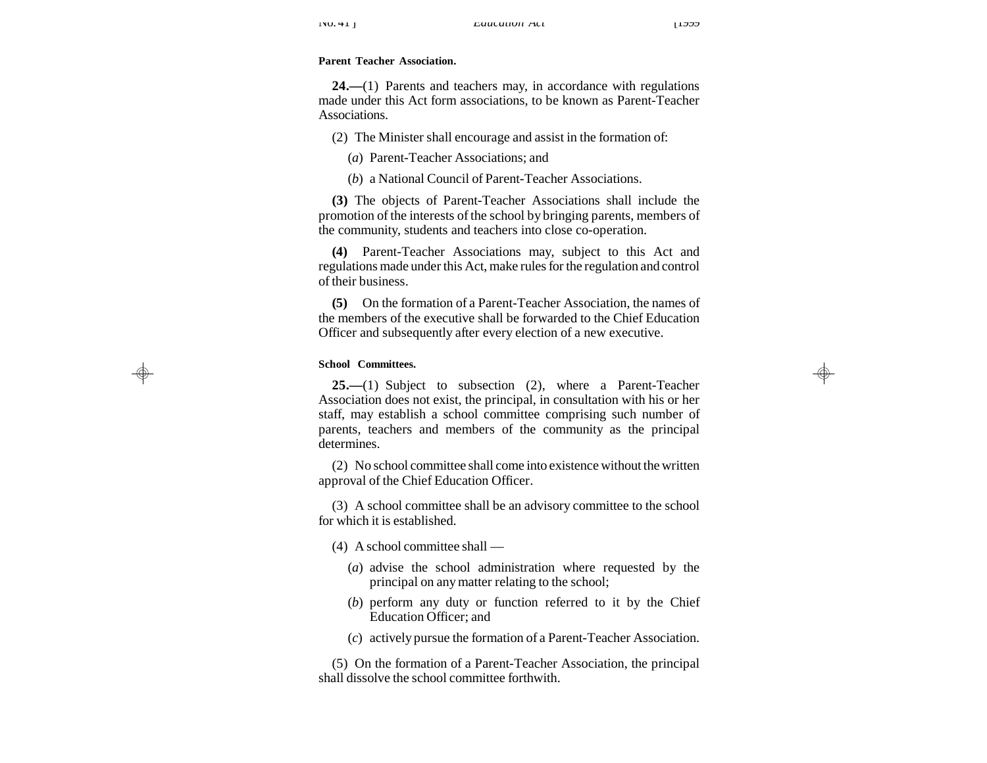### **Parent Teacher Association.**

24.—(1) Parents and teachers may, in accordance with regulations made under this Act form associations, to be known as Parent-Teacher Associations.

(2) The Minister shall encourage and assist in the formation of:

(*a*) Parent-Teacher Associations; and

(*b*) a National Council of Parent-Teacher Associations.

**(3)** The objects of Parent-Teacher Associations shall include the promotion of the interests of the school by bringing parents, members of the community, students and teachers into close co-operation.

**(4)** Parent-Teacher Associations may, subject to this Act and regulations made under this Act, make rules for the regulation and control of their business.

**(5)** On the formation of a Parent-Teacher Association, the names of the members of the executive shall be forwarded to the Chief Education Officer and subsequently after every election of a new executive.

## **School Committees.**

 $\bigcirc$ 

25.—(1) Subject to subsection (2), where a Parent-Teacher Association does not exist, the principal, in consultation with his or her staff, may establish a school committee comprising such number of parents, teachers and members of the community as the principal determines.

(2) No school committee shall come into existence without the written approval of the Chief Education Officer.

(3) A school committee shall be an advisory committee to the school for which it is established.

(4) A school committee shall —

- (*a*) advise the school administration where requested by the principal on any matter relating to the school;
- (*b*) perform any duty or function referred to it by the Chief Education Officer; and
- (*c*) actively pursue the formation of a Parent-Teacher Association.

(5) On the formation of a Parent-Teacher Association, the principal shall dissolve the school committee forthwith.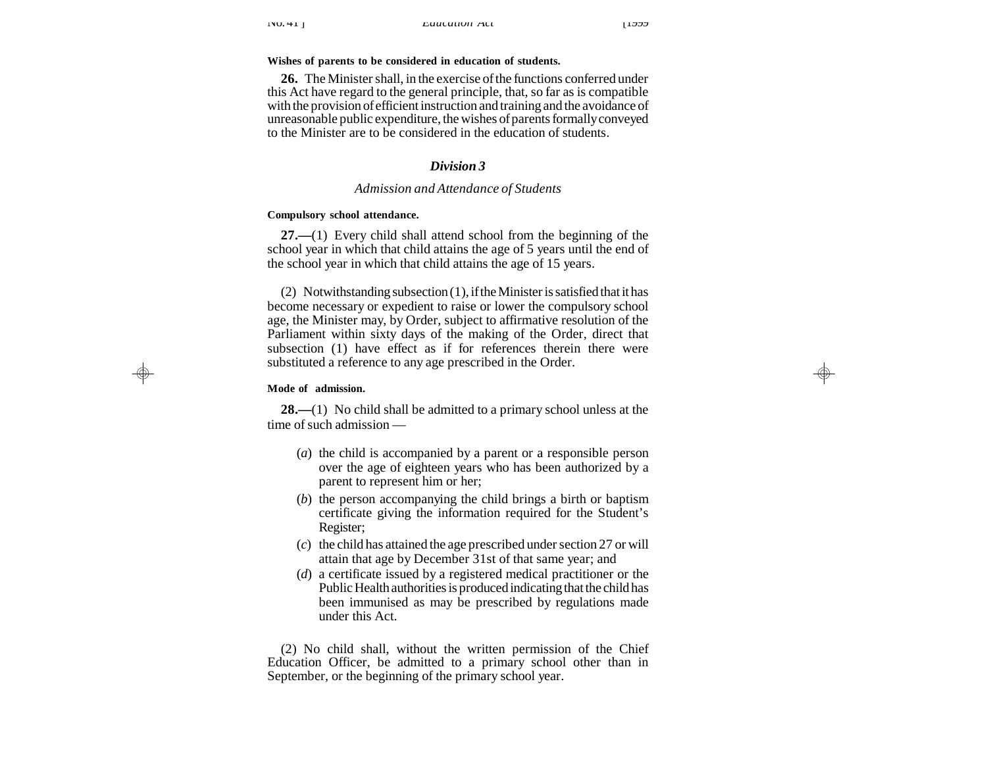### **Wishes of parents to be considered in education of students.**

**26.** The Minister shall, in the exercise of the functions conferred under this Act have regard to the general principle, that, so far as is compatible with the provision of efficient instruction and training and the avoidance of unreasonable public expenditure, the wishes of parents formally conveyed to the Minister are to be considered in the education of students.

## *Division 3*

## *Admission and Attendance of Students*

## **Compulsory school attendance.**

**27.**—(1) Every child shall attend school from the beginning of the school year in which that child attains the age of 5 years until the end of the school year in which that child attains the age of 15 years.

(2) Notwithstanding subsection (1), if the Minister is satisfied that it has become necessary or expedient to raise or lower the compulsory school age, the Minister may, by Order, subject to affirmative resolution of the Parliament within sixty days of the making of the Order, direct that subsection (1) have effect as if for references therein there were substituted a reference to any age prescribed in the Order.

#### **Mode of admission.**

 $\bigcirc$ 

**28.—(1)** No child shall be admitted to a primary school unless at the time of such admission —

- (*a*) the child is accompanied by a parent or a responsible person over the age of eighteen years who has been authorized by a parent to represent him or her;
- (*b*) the person accompanying the child brings a birth or baptism certificate giving the information required for the Student's Register;
- (*c*) the child has attained the age prescribed under section 27 or will attain that age by December 31st of that same year; and
- (*d*) a certificate issued by a registered medical practitioner or the Public Health authorities is produced indicating that the child has been immunised as may be prescribed by regulations made under this Act.

(2) No child shall, without the written permission of the Chief Education Officer, be admitted to a primary school other than in September, or the beginning of the primary school year.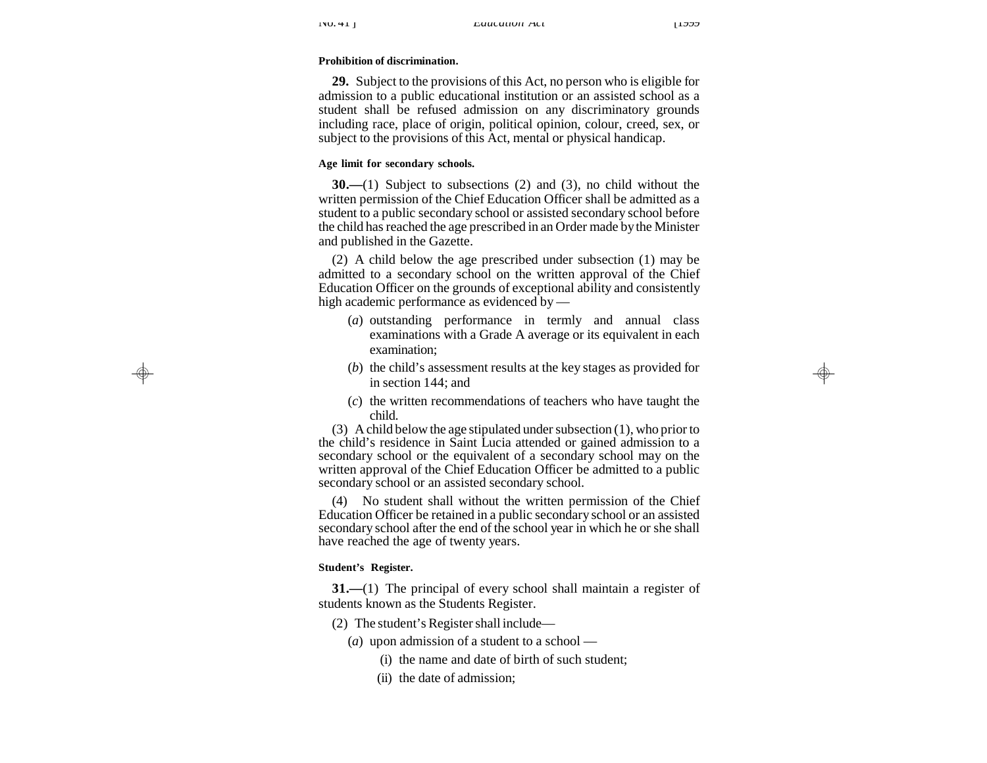#### **Prohibition of discrimination.**

**29.** Subject to the provisions of this Act, no person who is eligible for admission to a public educational institution or an assisted school as a student shall be refused admission on any discriminatory grounds including race, place of origin, political opinion, colour, creed, sex, or subject to the provisions of this Act, mental or physical handicap.

### **Age limit for secondary schools.**

**30.**—(1) Subject to subsections (2) and (3), no child without the written permission of the Chief Education Officer shall be admitted as a student to a public secondary school or assisted secondary school before the child has reached the age prescribed in an Order made by the Minister and published in the Gazette.

(2) A child below the age prescribed under subsection (1) may be admitted to a secondary school on the written approval of the Chief Education Officer on the grounds of exceptional ability and consistently high academic performance as evidenced by —

- (*a*) outstanding performance in termly and annual class examinations with a Grade A average or its equivalent in each examination;
- (*b*) the child's assessment results at the key stages as provided for in section 144; and
- (*c*) the written recommendations of teachers who have taught the child.

(3) A child below the age stipulated under subsection (1), who prior to the child's residence in Saint Lucia attended or gained admission to a secondary school or the equivalent of a secondary school may on the written approval of the Chief Education Officer be admitted to a public secondary school or an assisted secondary school.

(4) No student shall without the written permission of the Chief Education Officer be retained in a public secondary school or an assisted secondary school after the end of the school year in which he or she shall have reached the age of twenty years.

## **Student's Register.**

**31.**—(1) The principal of every school shall maintain a register of students known as the Students Register.

(2) The student's Register shall include—

- (*a*) upon admission of a student to a school
	- (i) the name and date of birth of such student;
	- (ii) the date of admission;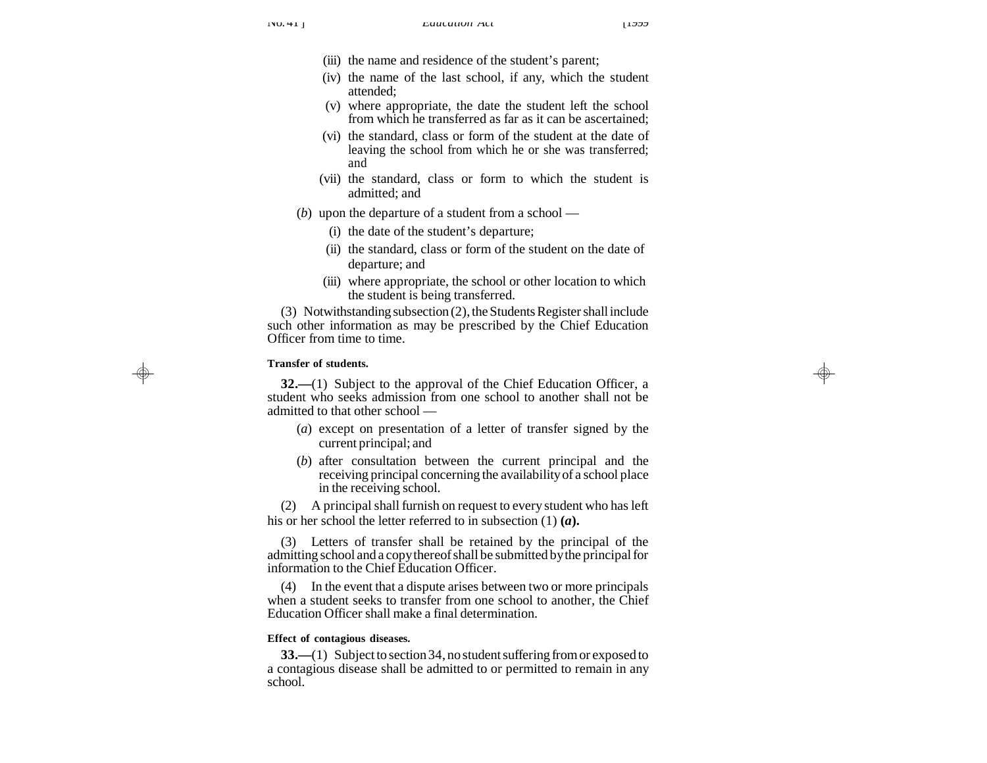- (iii) the name and residence of the student's parent;
- (iv) the name of the last school, if any, which the student attended;
- (v) where appropriate, the date the student left the school from which he transferred as far as it can be ascertained;
- (vi) the standard, class or form of the student at the date of leaving the school from which he or she was transferred; and
- (vii) the standard, class or form to which the student is admitted; and
- (*b*) upon the departure of a student from a school
	- (i) the date of the student's departure;
	- (ii) the standard, class or form of the student on the date of departure; and
	- (iii) where appropriate, the school or other location to which the student is being transferred.

(3) Notwithstanding subsection (2), the Students Register shall include such other information as may be prescribed by the Chief Education Officer from time to time.

## **Transfer of students.**

 $\bigcirc$ 

**32.**—(1) Subject to the approval of the Chief Education Officer, a student who seeks admission from one school to another shall not be admitted to that other school —

- (*a*) except on presentation of a letter of transfer signed by the current principal; and
- (*b*) after consultation between the current principal and the receiving principal concerning the availability of a school place in the receiving school.

(2) A principal shall furnish on request to every student who has left his or her school the letter referred to in subsection (1) **(***a***).**

(3) Letters of transfer shall be retained by the principal of the admitting school and a copy thereof shall be submitted by the principal for information to the Chief Education Officer.

(4) In the event that a dispute arises between two or more principals when a student seeks to transfer from one school to another, the Chief Education Officer shall make a final determination.

## **Effect of contagious diseases.**

**33.**—(1) Subject to section 34, no student suffering from or exposed to a contagious disease shall be admitted to or permitted to remain in any school.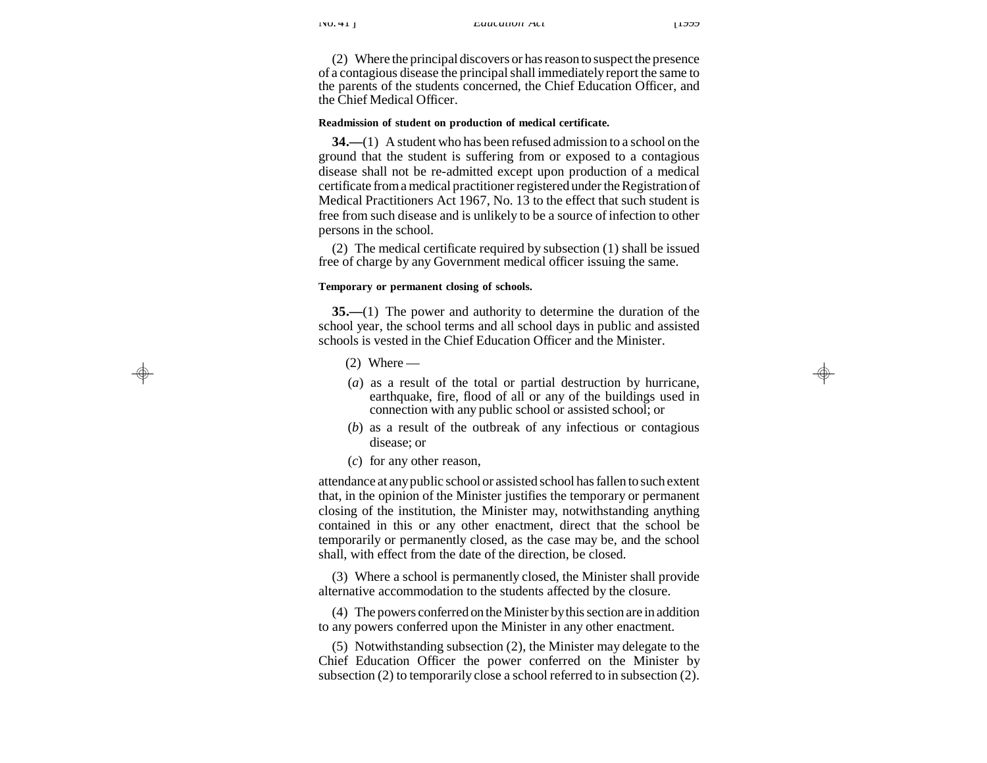(2) Where the principal discovers or has reason to suspect the presence of a contagious disease the principal shall immediately report the same to the parents of the students concerned, the Chief Education Officer, and the Chief Medical Officer.

## **Readmission of student on production of medical certificate.**

**34.**—(1) A student who has been refused admission to a school on the ground that the student is suffering from or exposed to a contagious disease shall not be re-admitted except upon production of a medical certificate from a medical practitioner registered under the Registration of Medical Practitioners Act 1967, No. 13 to the effect that such student is free from such disease and is unlikely to be a source of infection to other persons in the school.

(2) The medical certificate required by subsection (1) shall be issued free of charge by any Government medical officer issuing the same.

## **Temporary or permanent closing of schools.**

**35.—(1)** The power and authority to determine the duration of the school year, the school terms and all school days in public and assisted schools is vested in the Chief Education Officer and the Minister.

- $(2)$  Where —
- (*a*) as a result of the total or partial destruction by hurricane, earthquake, fire, flood of all or any of the buildings used in connection with any public school or assisted school; or
- (*b*) as a result of the outbreak of any infectious or contagious disease; or
- (*c*) for any other reason,

attendance at any public school or assisted school has fallen to such extent that, in the opinion of the Minister justifies the temporary or permanent closing of the institution, the Minister may, notwithstanding anything contained in this or any other enactment, direct that the school be temporarily or permanently closed, as the case may be, and the school shall, with effect from the date of the direction, be closed.

(3) Where a school is permanently closed, the Minister shall provide alternative accommodation to the students affected by the closure.

(4) The powers conferred on the Minister by this section are in addition to any powers conferred upon the Minister in any other enactment.

(5) Notwithstanding subsection (2), the Minister may delegate to the Chief Education Officer the power conferred on the Minister by subsection (2) to temporarily close a school referred to in subsection (2).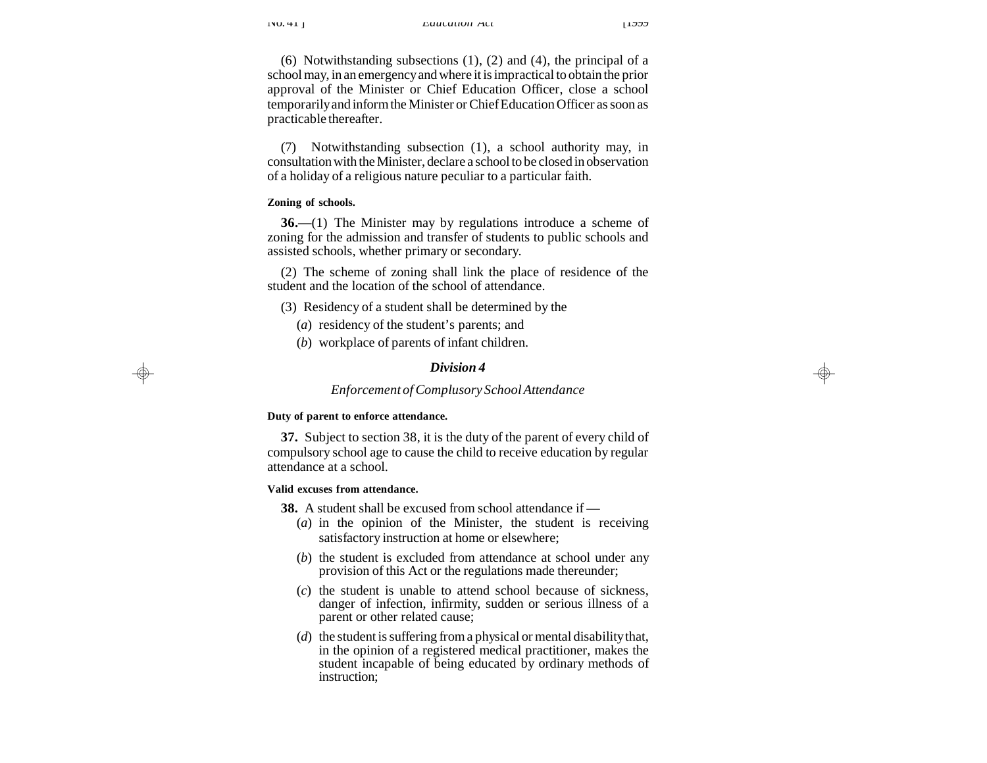(6) Notwithstanding subsections (1), (2) and (4), the principal of a school may, in an emergency and where it is impractical to obtain the prior approval of the Minister or Chief Education Officer, close a school temporarily and inform the Minister or Chief Education Officer as soon as practicable thereafter.

(7) Notwithstanding subsection (1), a school authority may, in consultation with the Minister, declare a school to be closed in observation of a holiday of a religious nature peculiar to a particular faith.

### **Zoning of schools.**

 $\bigcirc$ 

**36.—(1)** The Minister may by regulations introduce a scheme of zoning for the admission and transfer of students to public schools and assisted schools, whether primary or secondary.

(2) The scheme of zoning shall link the place of residence of the student and the location of the school of attendance.

- (3) Residency of a student shall be determined by the
	- (*a*) residency of the student's parents; and
	- (*b*) workplace of parents of infant children.

## *Division 4*



## **Duty of parent to enforce attendance.**

**37.** Subject to section 38, it is the duty of the parent of every child of compulsory school age to cause the child to receive education by regular attendance at a school.

## **Valid excuses from attendance.**

**38.** A student shall be excused from school attendance if —

- (*a*) in the opinion of the Minister, the student is receiving satisfactory instruction at home or elsewhere;
- (*b*) the student is excluded from attendance at school under any provision of this Act or the regulations made thereunder;
- (*c*) the student is unable to attend school because of sickness, danger of infection, infirmity, sudden or serious illness of a parent or other related cause;
- (*d*) the student is suffering from a physical or mental disability that, in the opinion of a registered medical practitioner, makes the student incapable of being educated by ordinary methods of instruction;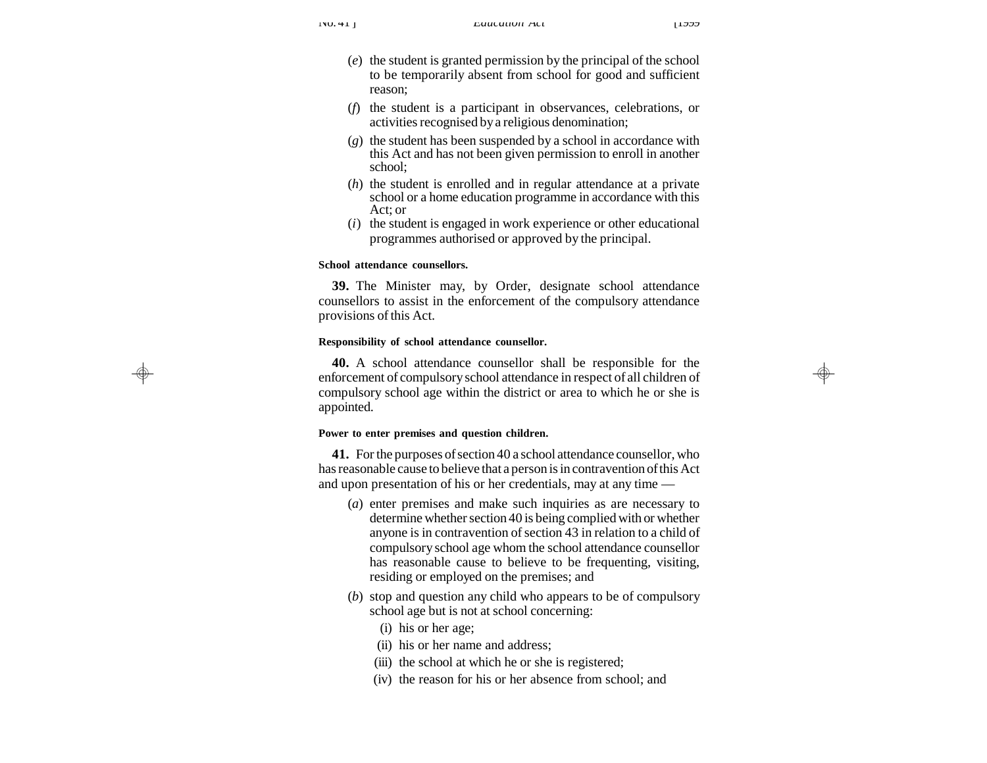- (*e*) the student is granted permission by the principal of the school to be temporarily absent from school for good and sufficient reason;
- (*f*) the student is a participant in observances, celebrations, or activities recognised by a religious denomination;
- (*g*) the student has been suspended by a school in accordance with this Act and has not been given permission to enroll in another school;
- (*h*) the student is enrolled and in regular attendance at a private school or a home education programme in accordance with this Act; or
- (*i*) the student is engaged in work experience or other educational programmes authorised or approved by the principal.

## **School attendance counsellors.**

**39.** The Minister may, by Order, designate school attendance counsellors to assist in the enforcement of the compulsory attendance provisions of this Act.

### **Responsibility of school attendance counsellor.**

**40.** A school attendance counsellor shall be responsible for the enforcement of compulsory school attendance in respect of all children of compulsory school age within the district or area to which he or she is appointed.

## **Power to enter premises and question children.**

**41.** For the purposes of section 40 a school attendance counsellor, who has reasonable cause to believe that a person is in contravention of this Act and upon presentation of his or her credentials, may at any time —

- (*a*) enter premises and make such inquiries as are necessary to determine whether section 40 is being complied with or whether anyone is in contravention of section 43 in relation to a child of compulsory school age whom the school attendance counsellor has reasonable cause to believe to be frequenting, visiting, residing or employed on the premises; and
- (*b*) stop and question any child who appears to be of compulsory school age but is not at school concerning:
	- (i) his or her age;
	- (ii) his or her name and address;
	- (iii) the school at which he or she is registered;
	- (iv) the reason for his or her absence from school; and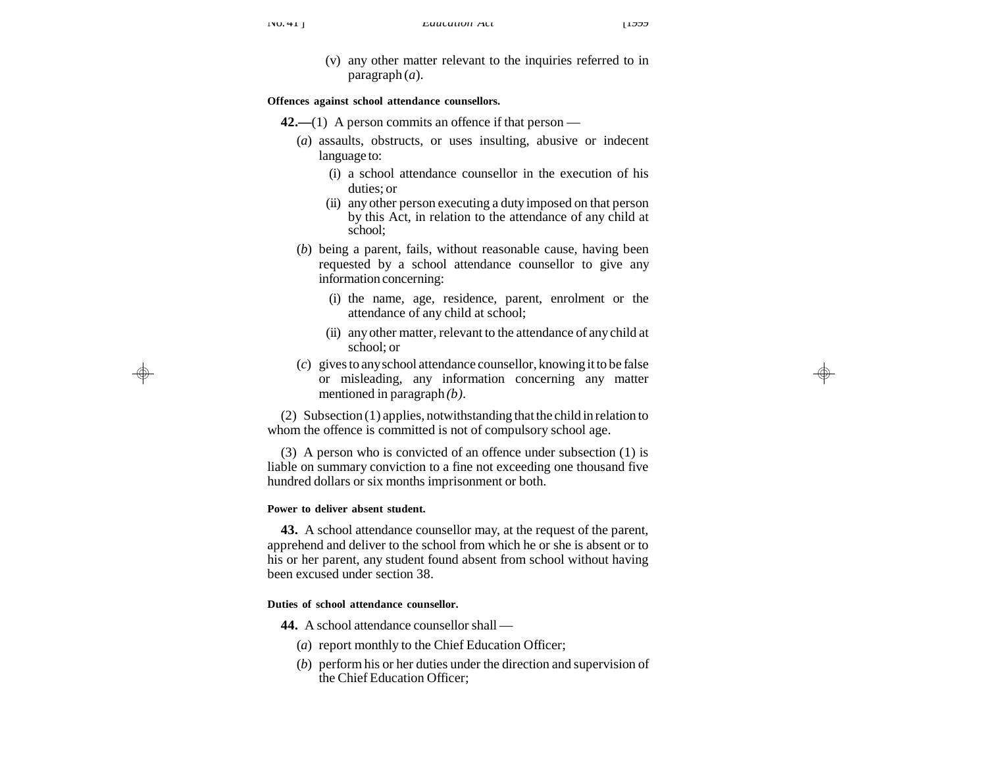(v) any other matter relevant to the inquiries referred to in paragraph (*a*).

## **Offences against school attendance counsellors.**

- **42.**—(1) A person commits an offence if that person
	- (*a*) assaults, obstructs, or uses insulting, abusive or indecent language to:
		- (i) a school attendance counsellor in the execution of his duties; or
		- (ii) any other person executing a duty imposed on that person by this Act, in relation to the attendance of any child at school;
	- (*b*) being a parent, fails, without reasonable cause, having been requested by a school attendance counsellor to give any information concerning:
		- (i) the name, age, residence, parent, enrolment or the attendance of any child at school;
		- (ii) any other matter, relevant to the attendance of any child at school; or
	- (*c*) gives to any school attendance counsellor, knowing it to be false or misleading, any information concerning any matter mentioned in paragraph *(b)*.

(2) Subsection (1) applies, notwithstanding that the child in relation to whom the offence is committed is not of compulsory school age.

(3) A person who is convicted of an offence under subsection (1) is liable on summary conviction to a fine not exceeding one thousand five hundred dollars or six months imprisonment or both.

### **Power to deliver absent student.**

**43.** A school attendance counsellor may, at the request of the parent, apprehend and deliver to the school from which he or she is absent or to his or her parent, any student found absent from school without having been excused under section 38.

## **Duties of school attendance counsellor.**

- **44.** A school attendance counsellor shall
	- (*a*) report monthly to the Chief Education Officer;
	- (*b*) perform his or her duties under the direction and supervision of the Chief Education Officer;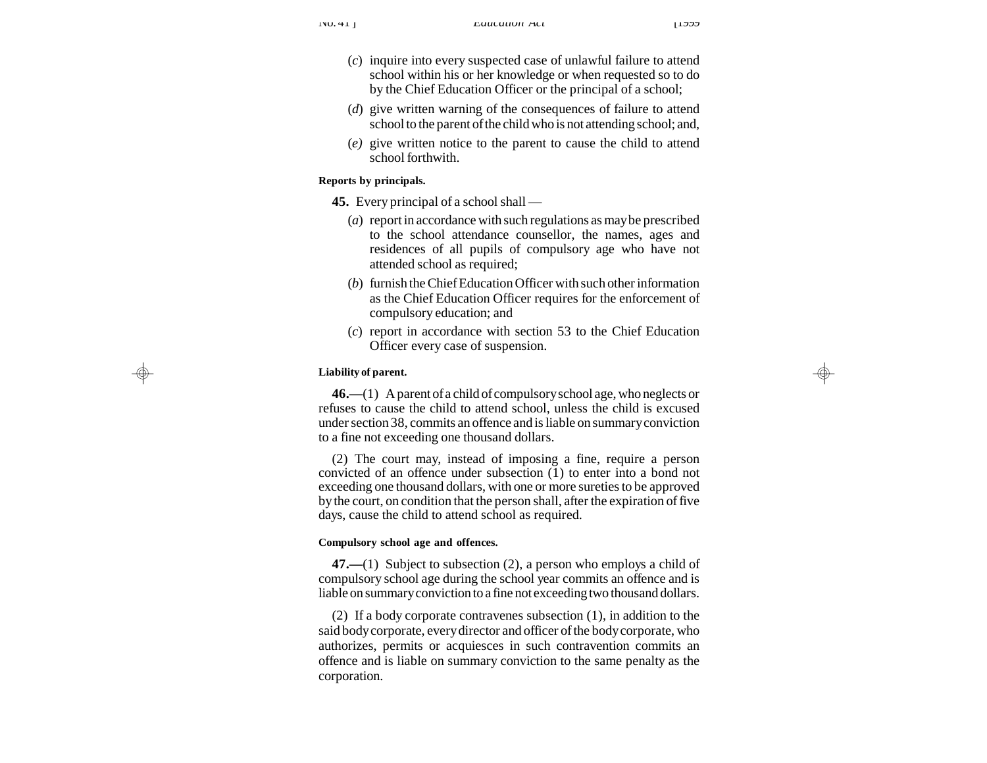- (*c*) inquire into every suspected case of unlawful failure to attend school within his or her knowledge or when requested so to do by the Chief Education Officer or the principal of a school;
- (*d*) give written warning of the consequences of failure to attend school to the parent of the child who is not attending school; and,
- (*e)* give written notice to the parent to cause the child to attend school forthwith.

## **Reports by principals.**

- **45.** Every principal of a school shall
	- (*a*) report in accordance with such regulations as may be prescribed to the school attendance counsellor, the names, ages and residences of all pupils of compulsory age who have not attended school as required;
	- (*b*) furnish the Chief Education Officer with such other information as the Chief Education Officer requires for the enforcement of compulsory education; and
	- (*c*) report in accordance with section 53 to the Chief Education Officer every case of suspension.

## **Liability of parent.**

46.—(1) A parent of a child of compulsory school age, who neglects or refuses to cause the child to attend school, unless the child is excused under section 38, commits an offence and is liable on summary conviction to a fine not exceeding one thousand dollars.

(2) The court may, instead of imposing a fine, require a person convicted of an offence under subsection (1) to enter into a bond not exceeding one thousand dollars, with one or more sureties to be approved by the court, on condition that the person shall, after the expiration of five days, cause the child to attend school as required.

## **Compulsory school age and offences.**

47.—(1) Subject to subsection (2), a person who employs a child of compulsory school age during the school year commits an offence and is liable on summary conviction to a fine not exceeding two thousand dollars.

(2) If a body corporate contravenes subsection (1), in addition to the said body corporate, every director and officer of the body corporate, who authorizes, permits or acquiesces in such contravention commits an offence and is liable on summary conviction to the same penalty as the corporation.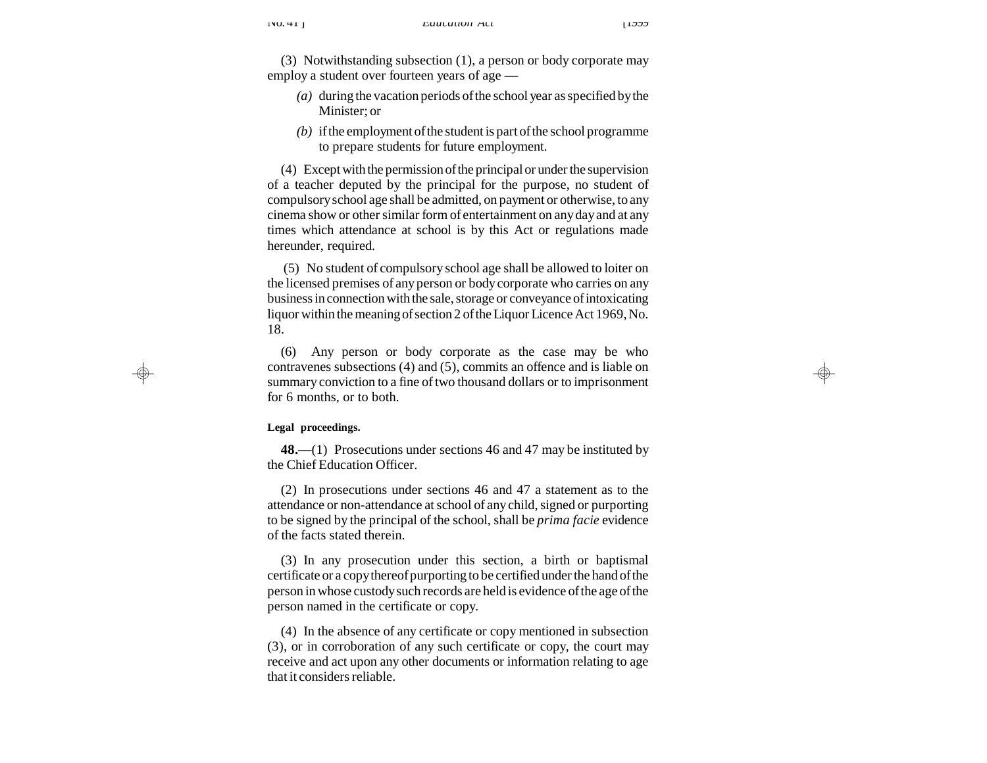(3) Notwithstanding subsection (1), a person or body corporate may employ a student over fourteen years of age —

- *(a)* during the vacation periods of the school year as specified by the Minister; or
- *(b)* if the employment of the student is part of the school programme to prepare students for future employment.

(4) Except with the permission of the principal or under the supervision of a teacher deputed by the principal for the purpose, no student of compulsory school age shall be admitted, on payment or otherwise, to any cinema show or other similar form of entertainment on any day and at any times which attendance at school is by this Act or regulations made hereunder, required.

 (5) No student of compulsory school age shall be allowed to loiter on the licensed premises of any person or body corporate who carries on any business in connection with the sale, storage or conveyance of intoxicating liquor within the meaning of section 2 of the Liquor Licence Act 1969, No. 18.

(6) Any person or body corporate as the case may be who contravenes subsections (4) and (5), commits an offence and is liable on summary conviction to a fine of two thousand dollars or to imprisonment for 6 months, or to both.

## **Legal proceedings.**

48.—(1) Prosecutions under sections 46 and 47 may be instituted by the Chief Education Officer.

(2) In prosecutions under sections 46 and 47 a statement as to the attendance or non-attendance at school of any child, signed or purporting to be signed by the principal of the school, shall be *prima facie* evidence of the facts stated therein.

(3) In any prosecution under this section, a birth or baptismal certificate or a copy thereof purporting to be certified under the hand of the person in whose custody such records are held is evidence of the age of the person named in the certificate or copy.

(4) In the absence of any certificate or copy mentioned in subsection (3), or in corroboration of any such certificate or copy, the court may receive and act upon any other documents or information relating to age that it considers reliable.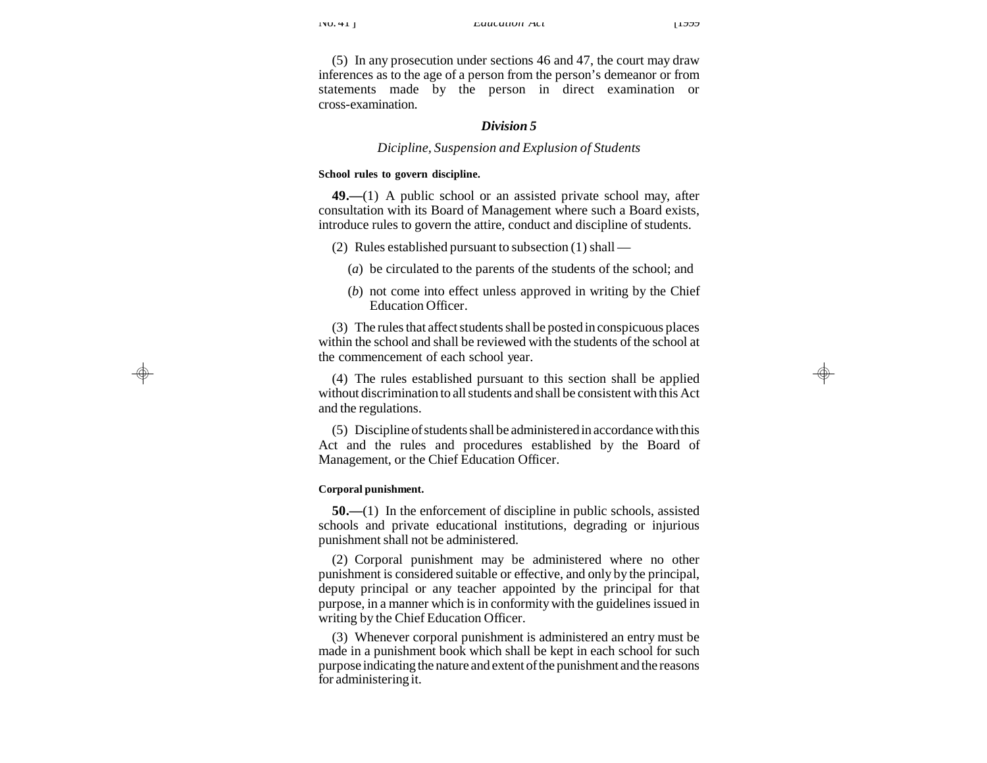(5) In any prosecution under sections 46 and 47, the court may draw inferences as to the age of a person from the person's demeanor or from statements made by the person in direct examination or cross-examination.

## *Division 5*

## *Dicipline, Suspension and Explusion of Students*

## **School rules to govern discipline.**

49.—(1) A public school or an assisted private school may, after consultation with its Board of Management where such a Board exists, introduce rules to govern the attire, conduct and discipline of students.

- (2) Rules established pursuant to subsection (1) shall
	- (*a*) be circulated to the parents of the students of the school; and
	- (*b*) not come into effect unless approved in writing by the Chief Education Officer.

(3) The rules that affect students shall be posted in conspicuous places within the school and shall be reviewed with the students of the school at the commencement of each school year.

(4) The rules established pursuant to this section shall be applied without discrimination to all students and shall be consistent with this Act and the regulations.

(5) Discipline of students shall be administered in accordance with this Act and the rules and procedures established by the Board of Management, or the Chief Education Officer.

## **Corporal punishment.**

 $\bigcirc$ 

**50.**—(1) In the enforcement of discipline in public schools, assisted schools and private educational institutions, degrading or injurious punishment shall not be administered.

(2) Corporal punishment may be administered where no other punishment is considered suitable or effective, and only by the principal, deputy principal or any teacher appointed by the principal for that purpose, in a manner which is in conformity with the guidelines issued in writing by the Chief Education Officer.

(3) Whenever corporal punishment is administered an entry must be made in a punishment book which shall be kept in each school for such purpose indicating the nature and extent of the punishment and the reasons for administering it.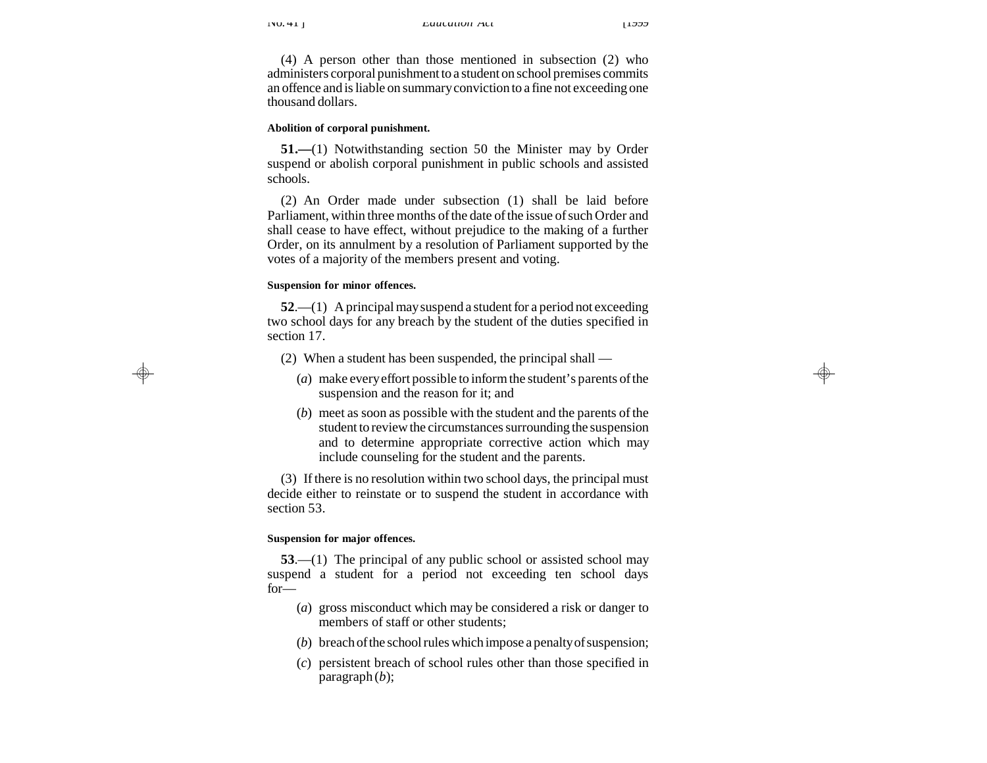(4) A person other than those mentioned in subsection (2) who administers corporal punishment to a student on school premises commits an offence and is liable on summary conviction to a fine not exceeding one thousand dollars.

### **Abolition of corporal punishment.**

**51.—(1)** Notwithstanding section 50 the Minister may by Order suspend or abolish corporal punishment in public schools and assisted schools.

(2) An Order made under subsection (1) shall be laid before Parliament, within three months of the date of the issue of such Order and shall cease to have effect, without prejudice to the making of a further Order, on its annulment by a resolution of Parliament supported by the votes of a majority of the members present and voting.

## **Suspension for minor offences.**

 $\bigcirc$ 

**52.**—(1) A principal may suspend a student for a period not exceeding two school days for any breach by the student of the duties specified in section 17.

- (2) When a student has been suspended, the principal shall
	- (*a*) make every effort possible to inform the student's parents of the suspension and the reason for it; and
	- (*b*) meet as soon as possible with the student and the parents of the student to review the circumstances surrounding the suspension and to determine appropriate corrective action which may include counseling for the student and the parents.

(3) If there is no resolution within two school days, the principal must decide either to reinstate or to suspend the student in accordance with section 53.

## **Suspension for major offences.**

**53.**—(1) The principal of any public school or assisted school may suspend a student for a period not exceeding ten school days for—

- (*a*) gross misconduct which may be considered a risk or danger to members of staff or other students;
- (*b*) breach of the school rules which impose a penalty of suspension;
- (*c*) persistent breach of school rules other than those specified in paragraph (*b*);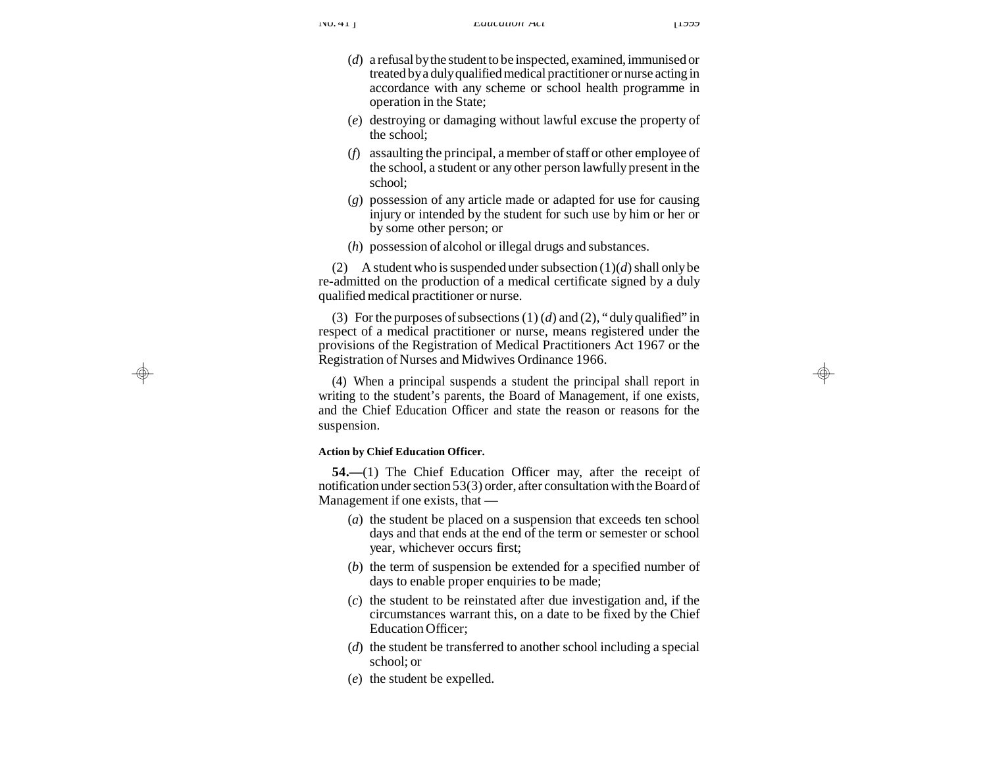$\bigcirc$ 

⊕

- (*d*) a refusal by the student to be inspected, examined, immunised or treated by a duly qualified medical practitioner or nurse acting in accordance with any scheme or school health programme in operation in the State;
- (*e*) destroying or damaging without lawful excuse the property of the school;
- (*f*) assaulting the principal, a member of staff or other employee of the school, a student or any other person lawfully present in the school;
- (*g*) possession of any article made or adapted for use for causing injury or intended by the student for such use by him or her or by some other person; or
- (*h*) possession of alcohol or illegal drugs and substances.

(2) A student who is suspended under subsection  $(1)(d)$  shall only be re-admitted on the production of a medical certificate signed by a duly qualified medical practitioner or nurse.

(3) For the purposes of subsections  $(1)$  (*d*) and (2), "duly qualified" in respect of a medical practitioner or nurse, means registered under the provisions of the Registration of Medical Practitioners Act 1967 or the Registration of Nurses and Midwives Ordinance 1966.

(4) When a principal suspends a student the principal shall report in writing to the student's parents, the Board of Management, if one exists, and the Chief Education Officer and state the reason or reasons for the suspension.

## **Action by Chief Education Officer.**

**54.**—(1) The Chief Education Officer may, after the receipt of notification under section 53(3) order, after consultation with the Board of Management if one exists, that —

- (*a*) the student be placed on a suspension that exceeds ten school days and that ends at the end of the term or semester or school year, whichever occurs first;
- (*b*) the term of suspension be extended for a specified number of days to enable proper enquiries to be made;
- (*c*) the student to be reinstated after due investigation and, if the circumstances warrant this, on a date to be fixed by the Chief Education Officer;
- (*d*) the student be transferred to another school including a special school; or
- (*e*) the student be expelled.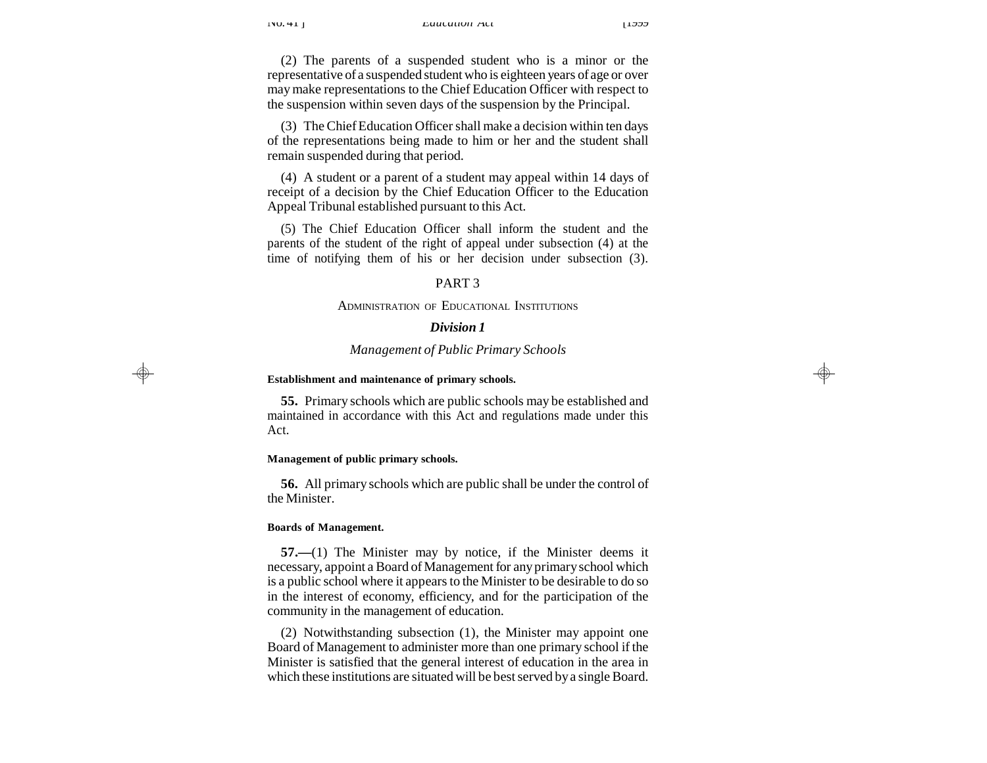(2) The parents of a suspended student who is a minor or the representative of a suspended student who is eighteen years of age or over may make representations to the Chief Education Officer with respect to the suspension within seven days of the suspension by the Principal.

(3) The Chief Education Officer shall make a decision within ten days of the representations being made to him or her and the student shall remain suspended during that period.

(4) A student or a parent of a student may appeal within 14 days of receipt of a decision by the Chief Education Officer to the Education Appeal Tribunal established pursuant to this Act.

(5) The Chief Education Officer shall inform the student and the parents of the student of the right of appeal under subsection (4) at the time of notifying them of his or her decision under subsection (3).

# PART 3

# ADMINISTRATION OF EDUCATIONAL INSTITUTIONS

# *Division 1*

# *Management of Public Primary Schools*

#### **Establishment and maintenance of primary schools.**

**55.** Primary schools which are public schools may be established and maintained in accordance with this Act and regulations made under this Act.

#### **Management of public primary schools.**

**56.** All primary schools which are public shall be under the control of the Minister.

### **Boards of Management.**

 $\bigcirc$ 

**57.**—(1) The Minister may by notice, if the Minister deems it necessary, appoint a Board of Management for any primary school which is a public school where it appears to the Minister to be desirable to do so in the interest of economy, efficiency, and for the participation of the community in the management of education.

(2) Notwithstanding subsection (1), the Minister may appoint one Board of Management to administer more than one primary school if the Minister is satisfied that the general interest of education in the area in which these institutions are situated will be best served by a single Board.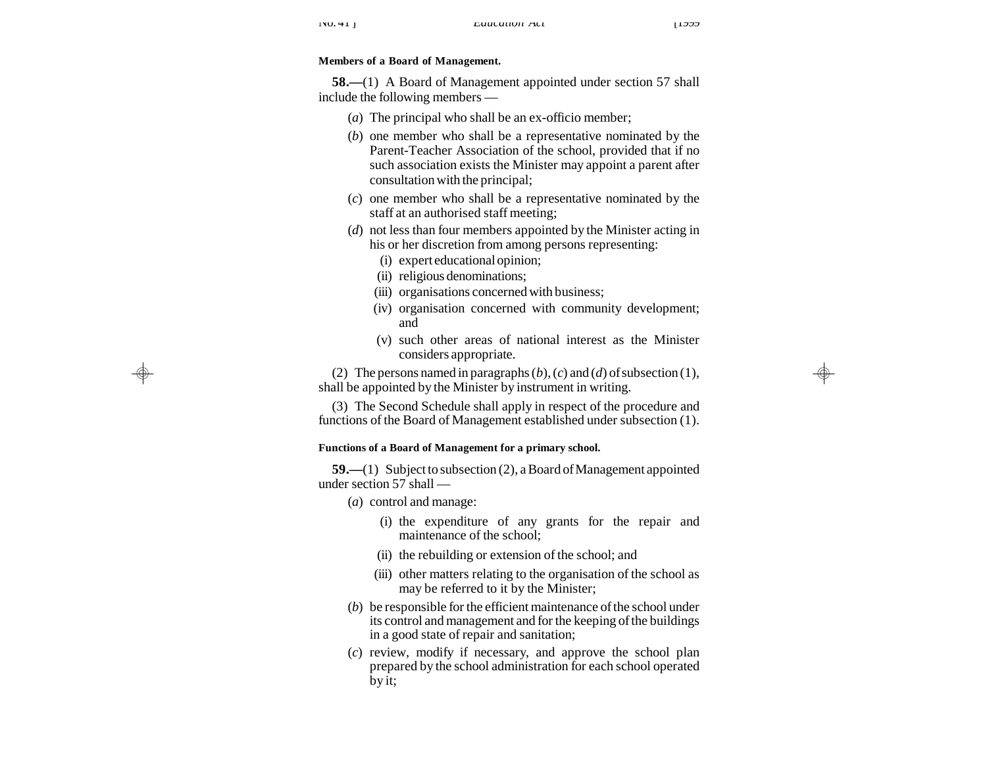### **Members of a Board of Management.**

**58.**—(1) A Board of Management appointed under section 57 shall include the following members —

- (*a*) The principal who shall be an ex-officio member;
- (*b*) one member who shall be a representative nominated by the Parent-Teacher Association of the school, provided that if no such association exists the Minister may appoint a parent after consultation with the principal;
- (*c*) one member who shall be a representative nominated by the staff at an authorised staff meeting;
- (*d*) not less than four members appointed by the Minister acting in his or her discretion from among persons representing:
	- (i) expert educational opinion;
	- (ii) religious denominations;
	- (iii) organisations concerned with business;
	- (iv) organisation concerned with community development; and
	- (v) such other areas of national interest as the Minister considers appropriate.

(2) The persons named in paragraphs  $(b)$ ,  $(c)$  and  $(d)$  of subsection  $(1)$ , shall be appointed by the Minister by instrument in writing.

(3) The Second Schedule shall apply in respect of the procedure and functions of the Board of Management established under subsection (1).

### **Functions of a Board of Management for a primary school.**

**59.**—(1) Subject to subsection (2), a Board of Management appointed under section 57 shall —

(*a*) control and manage:

- (i) the expenditure of any grants for the repair and maintenance of the school;
- (ii) the rebuilding or extension of the school; and
- (iii) other matters relating to the organisation of the school as may be referred to it by the Minister;
- (*b*) be responsible for the efficient maintenance of the school under its control and management and for the keeping of the buildings in a good state of repair and sanitation;
- (*c*) review, modify if necessary, and approve the school plan prepared by the school administration for each school operated by it;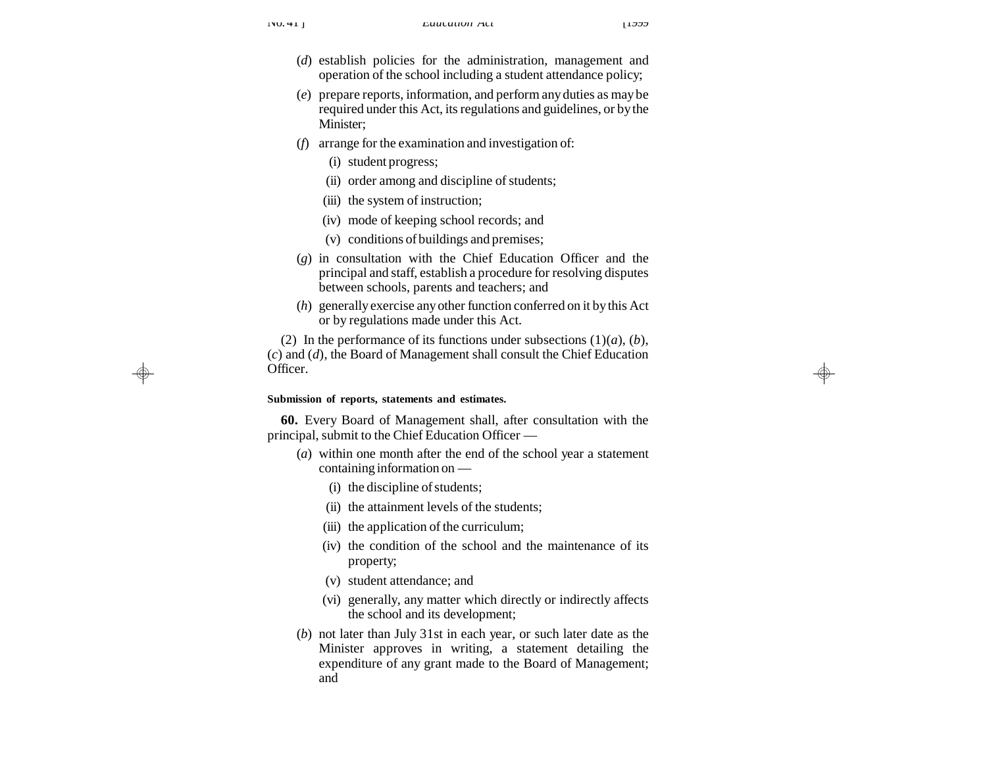⊕

- (*d*) establish policies for the administration, management and operation of the school including a student attendance policy;
- (*e*) prepare reports, information, and perform any duties as may be required under this Act, its regulations and guidelines, or by the Minister;
- (*f*) arrange for the examination and investigation of:
	- (i) student progress;
	- (ii) order among and discipline of students;
	- (iii) the system of instruction;
	- (iv) mode of keeping school records; and
	- (v) conditions of buildings and premises;
- (*g*) in consultation with the Chief Education Officer and the principal and staff, establish a procedure for resolving disputes between schools, parents and teachers; and
- (*h*) generally exercise any other function conferred on it by this Act or by regulations made under this Act.

(2) In the performance of its functions under subsections  $(1)(a)$ ,  $(b)$ , (*c*) and (*d*), the Board of Management shall consult the Chief Education Officer.

### **Submission of reports, statements and estimates.**

**60.** Every Board of Management shall, after consultation with the principal, submit to the Chief Education Officer —

- (*a*) within one month after the end of the school year a statement containing information on —
	- (i) the discipline of students;
	- (ii) the attainment levels of the students;
	- (iii) the application of the curriculum;
	- (iv) the condition of the school and the maintenance of its property;
	- (v) student attendance; and
	- (vi) generally, any matter which directly or indirectly affects the school and its development;
- (*b*) not later than July 31st in each year, or such later date as the Minister approves in writing, a statement detailing the expenditure of any grant made to the Board of Management; and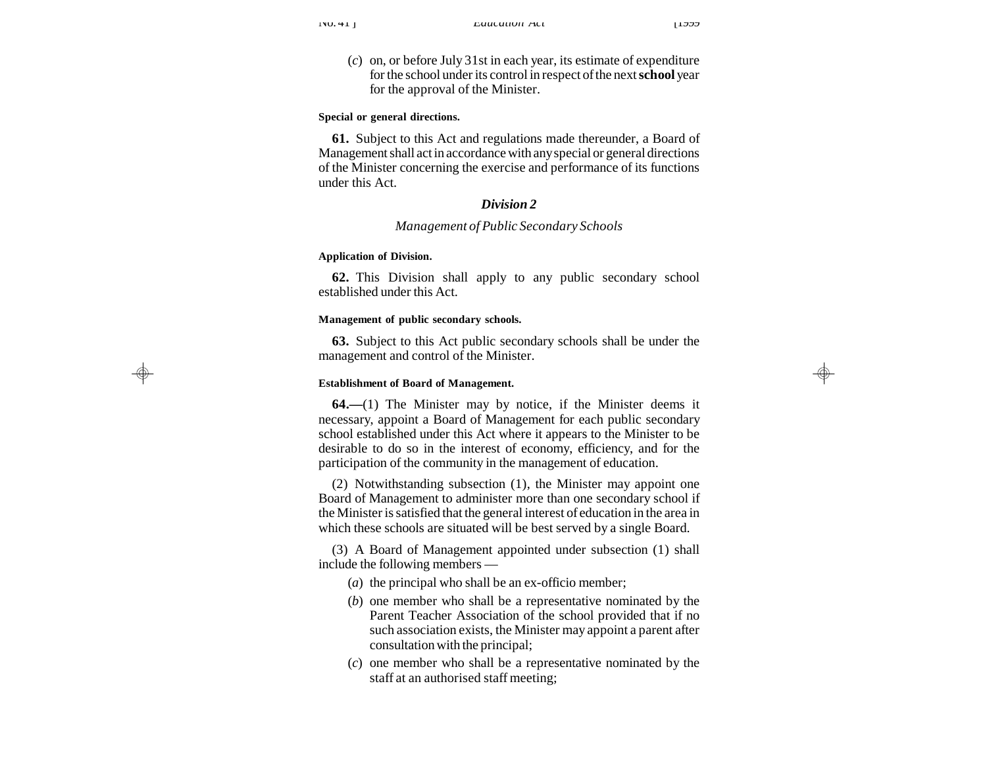(*c*) on, or before July 31st in each year, its estimate of expenditure for the school under its control in respect of the next**school** year for the approval of the Minister.

## **Special or general directions.**

**61.** Subject to this Act and regulations made thereunder, a Board of Management shall act in accordance with any special or general directions of the Minister concerning the exercise and performance of its functions under this Act.

# *Division 2*

# *Management of Public Secondary Schools*

#### **Application of Division.**

 $\bigcirc$ 

**62.** This Division shall apply to any public secondary school established under this Act.

## **Management of public secondary schools.**

**63.** Subject to this Act public secondary schools shall be under the management and control of the Minister.

#### **Establishment of Board of Management.**

**64.—(1)** The Minister may by notice, if the Minister deems it necessary, appoint a Board of Management for each public secondary school established under this Act where it appears to the Minister to be desirable to do so in the interest of economy, efficiency, and for the participation of the community in the management of education.

(2) Notwithstanding subsection (1), the Minister may appoint one Board of Management to administer more than one secondary school if the Minister is satisfied that the general interest of education in the area in which these schools are situated will be best served by a single Board.

(3) A Board of Management appointed under subsection (1) shall include the following members —

- (*a*) the principal who shall be an ex-officio member;
- (*b*) one member who shall be a representative nominated by the Parent Teacher Association of the school provided that if no such association exists, the Minister may appoint a parent after consultation with the principal;
- (*c*) one member who shall be a representative nominated by the staff at an authorised staff meeting;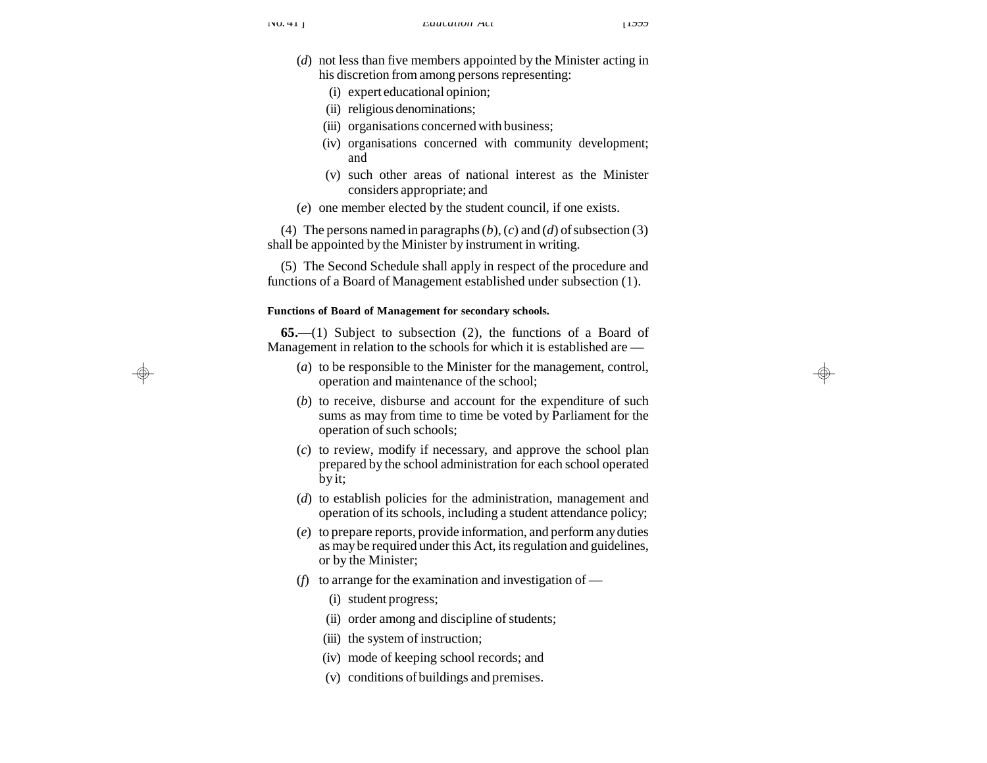$\bigoplus$ 

⊕

- (*d*) not less than five members appointed by the Minister acting in his discretion from among persons representing:
	- (i) expert educational opinion;
	- (ii) religious denominations;
	- (iii) organisations concerned with business;
	- (iv) organisations concerned with community development; and
	- (v) such other areas of national interest as the Minister considers appropriate; and
- (*e*) one member elected by the student council, if one exists.

(4) The persons named in paragraphs (*b*), (*c*) and (*d*) of subsection (3) shall be appointed by the Minister by instrument in writing.

(5) The Second Schedule shall apply in respect of the procedure and functions of a Board of Management established under subsection (1).

# **Functions of Board of Management for secondary schools.**

**65.—** (1) Subject to subsection (2), the functions of a Board of Management in relation to the schools for which it is established are —

- (*a*) to be responsible to the Minister for the management, control, operation and maintenance of the school;
- (*b*) to receive, disburse and account for the expenditure of such sums as may from time to time be voted by Parliament for the operation of such schools;
- (*c*) to review, modify if necessary, and approve the school plan prepared by the school administration for each school operated by it;
- (*d*) to establish policies for the administration, management and operation of its schools, including a student attendance policy;
- (*e*) to prepare reports, provide information, and perform any duties as may be required under this Act, its regulation and guidelines, or by the Minister;
- (*f*) to arrange for the examination and investigation of
	- (i) student progress;
	- (ii) order among and discipline of students;
	- (iii) the system of instruction;
	- (iv) mode of keeping school records; and
	- (v) conditions of buildings and premises.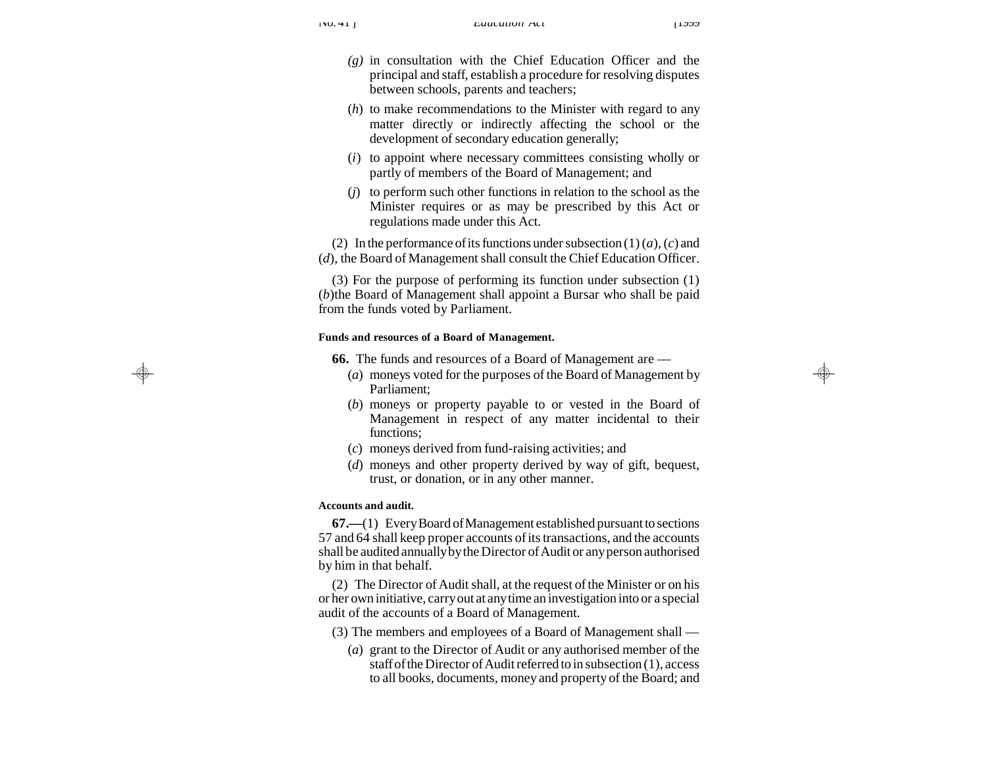- *(g)* in consultation with the Chief Education Officer and the principal and staff, establish a procedure for resolving disputes between schools, parents and teachers;
- (*h*) to make recommendations to the Minister with regard to any matter directly or indirectly affecting the school or the development of secondary education generally;
- (*i*) to appoint where necessary committees consisting wholly or partly of members of the Board of Management; and
- (*j*) to perform such other functions in relation to the school as the Minister requires or as may be prescribed by this Act or regulations made under this Act.

(2) In the performance of its functions under subsection  $(1)(a)$ ,  $(c)$  and (*d*), the Board of Management shall consult the Chief Education Officer.

(3) For the purpose of performing its function under subsection (1) (*b*)the Board of Management shall appoint a Bursar who shall be paid from the funds voted by Parliament.

### **Funds and resources of a Board of Management.**

**66.** The funds and resources of a Board of Management are —

- (*a*) moneys voted for the purposes of the Board of Management by Parliament;
- (*b*) moneys or property payable to or vested in the Board of Management in respect of any matter incidental to their functions;
- (*c*) moneys derived from fund-raising activities; and
- (*d*) moneys and other property derived by way of gift, bequest, trust, or donation, or in any other manner.

### **Accounts and audit.**

**67.—** (1) Every Board of Management established pursuant to sections 57 and 64 shall keep proper accounts of its transactions, and the accounts shall be audited annually by the Director of Audit or any person authorised by him in that behalf.

(2) The Director of Audit shall, at the request of the Minister or on his or her own initiative, carry out at any time an investigation into or a special audit of the accounts of a Board of Management.

- (3) The members and employees of a Board of Management shall
	- (*a*) grant to the Director of Audit or any authorised member of the staff of the Director of Audit referred to in subsection (1), access to all books, documents, money and property of the Board; and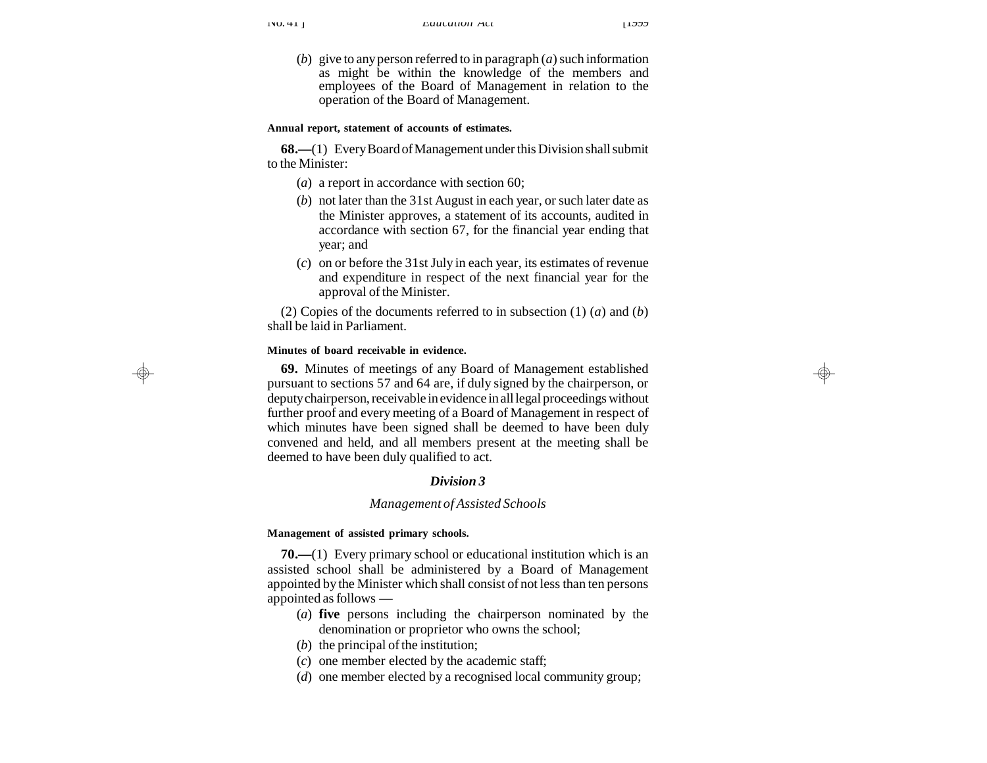⊕

(*b*) give to any person referred to in paragraph (*a*) such information as might be within the knowledge of the members and employees of the Board of Management in relation to the operation of the Board of Management.

#### **Annual report, statement of accounts of estimates.**

**68.—(1)** Every Board of Management under this Division shall submit to the Minister:

- (*a*) a report in accordance with section 60;
- (*b*) not later than the 31st August in each year, or such later date as the Minister approves, a statement of its accounts, audited in accordance with section 67, for the financial year ending that year; and
- (*c*) on or before the 31st July in each year, its estimates of revenue and expenditure in respect of the next financial year for the approval of the Minister.

(2) Copies of the documents referred to in subsection (1) (*a*) and (*b*) shall be laid in Parliament.

#### **Minutes of board receivable in evidence.**

**69.** Minutes of meetings of any Board of Management established pursuant to sections 57 and 64 are, if duly signed by the chairperson, or deputy chairperson, receivable in evidence in all legal proceedings without further proof and every meeting of a Board of Management in respect of which minutes have been signed shall be deemed to have been duly convened and held, and all members present at the meeting shall be deemed to have been duly qualified to act.

# *Division 3*

# *Management of Assisted Schools*

#### **Management of assisted primary schools.**

**70.—(1)** Every primary school or educational institution which is an assisted school shall be administered by a Board of Management appointed by the Minister which shall consist of not less than ten persons appointed as follows —

- (*a*) **five** persons including the chairperson nominated by the denomination or proprietor who owns the school;
- (*b*) the principal of the institution;
- (*c*) one member elected by the academic staff;
- (*d*) one member elected by a recognised local community group;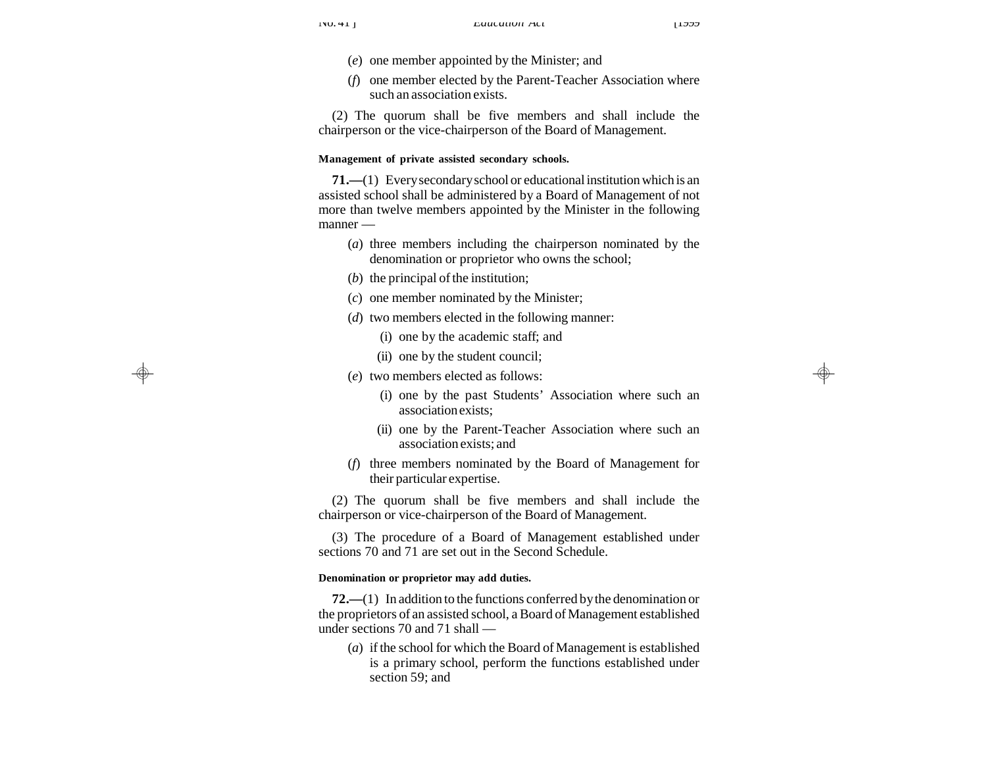- (*e*) one member appointed by the Minister; and
- (*f*) one member elected by the Parent-Teacher Association where such an association exists.

(2) The quorum shall be five members and shall include the chairperson or the vice-chairperson of the Board of Management.

### **Management of private assisted secondary schools.**

**71.**—(1) Every secondary school or educational institution which is an assisted school shall be administered by a Board of Management of not more than twelve members appointed by the Minister in the following manner —

- (*a*) three members including the chairperson nominated by the denomination or proprietor who owns the school;
- (*b*) the principal of the institution;
- (*c*) one member nominated by the Minister;
- (*d*) two members elected in the following manner:
	- (i) one by the academic staff; and
	- (ii) one by the student council;
- (*e*) two members elected as follows:
	- (i) one by the past Students' Association where such an association exists;
	- (ii) one by the Parent-Teacher Association where such an association exists; and
- (*f*) three members nominated by the Board of Management for their particular expertise.

(2) The quorum shall be five members and shall include the chairperson or vice-chairperson of the Board of Management.

(3) The procedure of a Board of Management established under sections 70 and 71 are set out in the Second Schedule.

## **Denomination or proprietor may add duties.**

**72.—** (1) In addition to the functions conferred by the denomination or the proprietors of an assisted school, a Board of Management established under sections 70 and 71 shall —

(*a*) if the school for which the Board of Management is established is a primary school, perform the functions established under section 59; and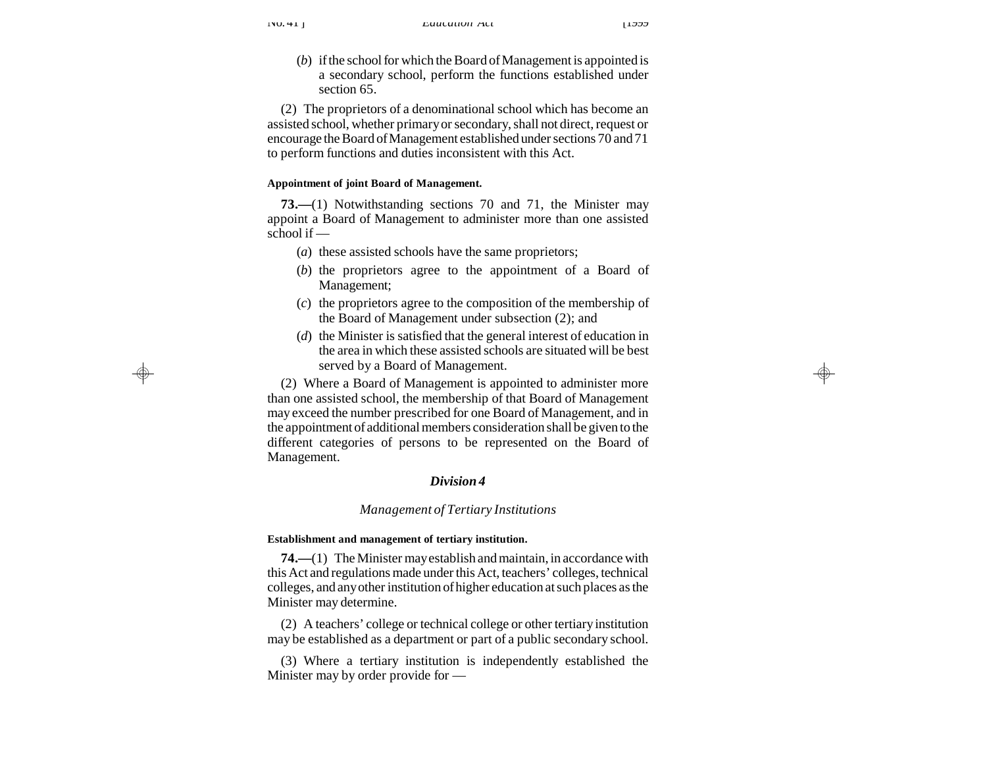$\bigoplus$ 

⊕

(*b*) if the school for which the Board of Management is appointed is a secondary school, perform the functions established under section 65.

(2) The proprietors of a denominational school which has become an assisted school, whether primary or secondary, shall not direct, request or encourage the Board of Management established under sections 70 and 71 to perform functions and duties inconsistent with this Act.

# **Appointment of joint Board of Management.**

**73.**—(1) Notwithstanding sections 70 and 71, the Minister may appoint a Board of Management to administer more than one assisted school if —

- (*a*) these assisted schools have the same proprietors;
- (*b*) the proprietors agree to the appointment of a Board of Management;
- (*c*) the proprietors agree to the composition of the membership of the Board of Management under subsection (2); and
- (*d*) the Minister is satisfied that the general interest of education in the area in which these assisted schools are situated will be best served by a Board of Management.

(2) Where a Board of Management is appointed to administer more than one assisted school, the membership of that Board of Management may exceed the number prescribed for one Board of Management, and in the appointment of additional members consideration shall be given to the different categories of persons to be represented on the Board of Management.

# *Division4*

# *Management of Tertiary Institutions*

#### **Establishment and management of tertiary institution.**

**74.**—(1) The Minister may establish and maintain, in accordance with this Act and regulations made under this Act, teachers' colleges, technical colleges, and any other institution of higher education at such places as the Minister may determine.

(2) A teachers' college or technical college or other tertiary institution may be established as a department or part of a public secondary school.

(3) Where a tertiary institution is independently established the Minister may by order provide for —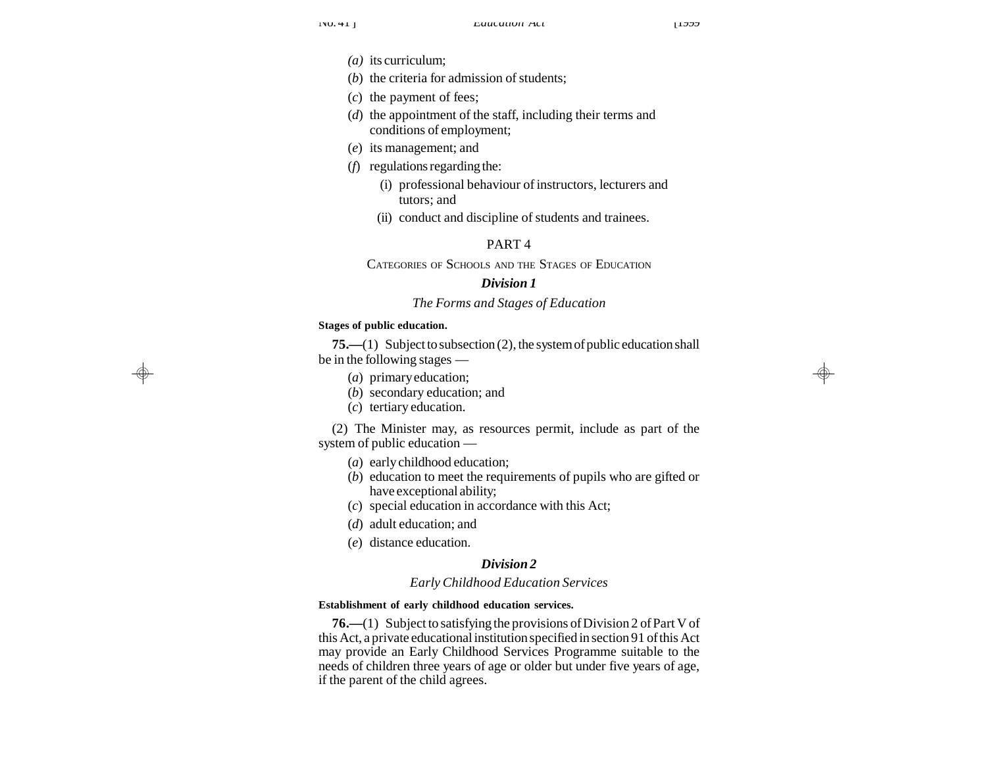- *(a)* its curriculum;
- (*b*) the criteria for admission of students;
- (*c*) the payment of fees;
- (*d*) the appointment of the staff, including their terms and conditions of employment;
- (*e*) its management; and
- (*f*) regulations regarding the:
	- (i) professional behaviour of instructors, lecturers and tutors; and
	- (ii) conduct and discipline of students and trainees.

# PART 4

CATEGORIES OF SCHOOLS AND THE STAGES OF EDUCATION

# *Division 1*

# *The Forms and Stages of Education*

## **Stages of public education.**

 $\bigcirc$ 

**75.**—(1) Subject to subsection (2), the system of public education shall be in the following stages —

- (*a*) primary education;
- (*b*) secondary education; and
- (*c*) tertiary education.

(2) The Minister may, as resources permit, include as part of the system of public education —

- (*a*) early childhood education;
- (*b*) education to meet the requirements of pupils who are gifted or have exceptional ability;
- (*c*) special education in accordance with this Act;
- (*d*) adult education; and
- (*e*) distance education.

# *Division2*

## *Early Childhood Education Services*

### **Establishment of early childhood education services.**

**76.**—(1) Subject to satisfying the provisions of Division 2 of Part V of this Act, a private educational institution specified in section 91 of this Act may provide an Early Childhood Services Programme suitable to the needs of children three years of age or older but under five years of age, if the parent of the child agrees.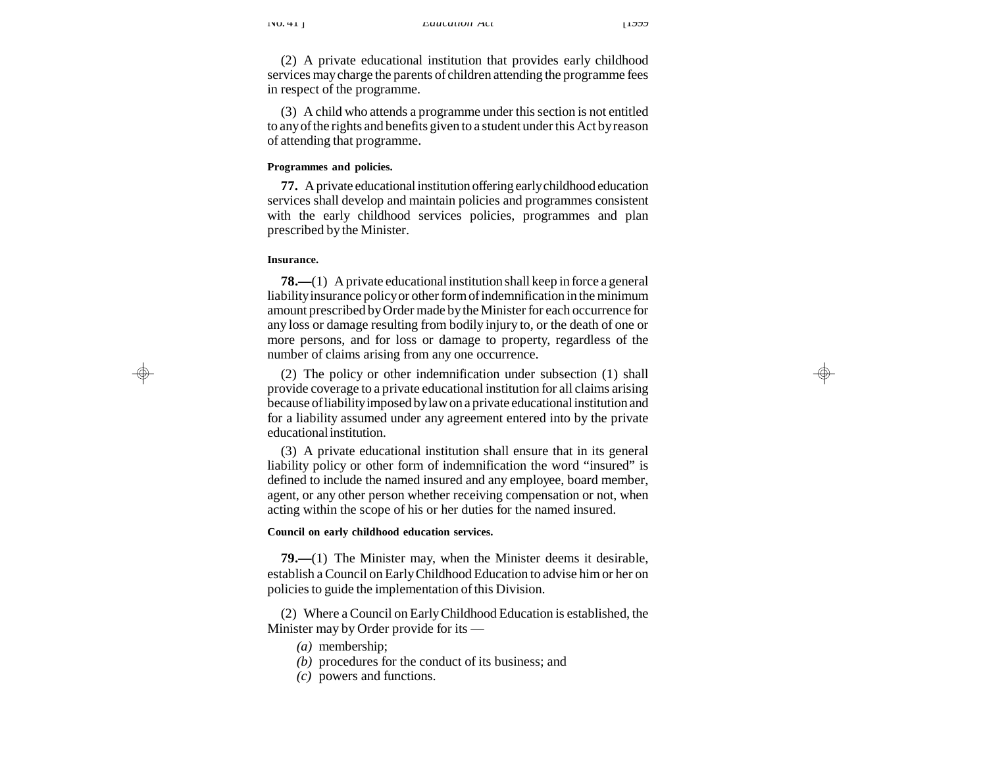(2) A private educational institution that provides early childhood services may charge the parents of children attending the programme fees in respect of the programme.

(3) A child who attends a programme under this section is not entitled to any of the rights and benefits given to a student under this Act by reason of attending that programme.

## **Programmes and policies.**

**77.** A private educational institution offering early childhood education services shall develop and maintain policies and programmes consistent with the early childhood services policies, programmes and plan prescribed by the Minister.

#### **Insurance.**

 $\bigcirc$ 

**78.**—(1) A private educational institution shall keep in force a general liability insurance policy or other form of indemnification in the minimum amount prescribed by Order made by the Minister for each occurrence for any loss or damage resulting from bodily injury to, or the death of one or more persons, and for loss or damage to property, regardless of the number of claims arising from any one occurrence.

(2) The policy or other indemnification under subsection (1) shall provide coverage to a private educational institution for all claims arising because of liability imposed by law on a private educational institution and for a liability assumed under any agreement entered into by the private educational institution.

(3) A private educational institution shall ensure that in its general liability policy or other form of indemnification the word "insured" is defined to include the named insured and any employee, board member, agent, or any other person whether receiving compensation or not, when acting within the scope of his or her duties for the named insured.

## **Council on early childhood education services.**

**79.**—(1) The Minister may, when the Minister deems it desirable, establish a Council on Early Childhood Education to advise him or her on policies to guide the implementation of this Division.

(2) Where a Council on Early Childhood Education is established, the Minister may by Order provide for its —

- *(a)* membership;
- *(b)* procedures for the conduct of its business; and
- *(c)* powers and functions.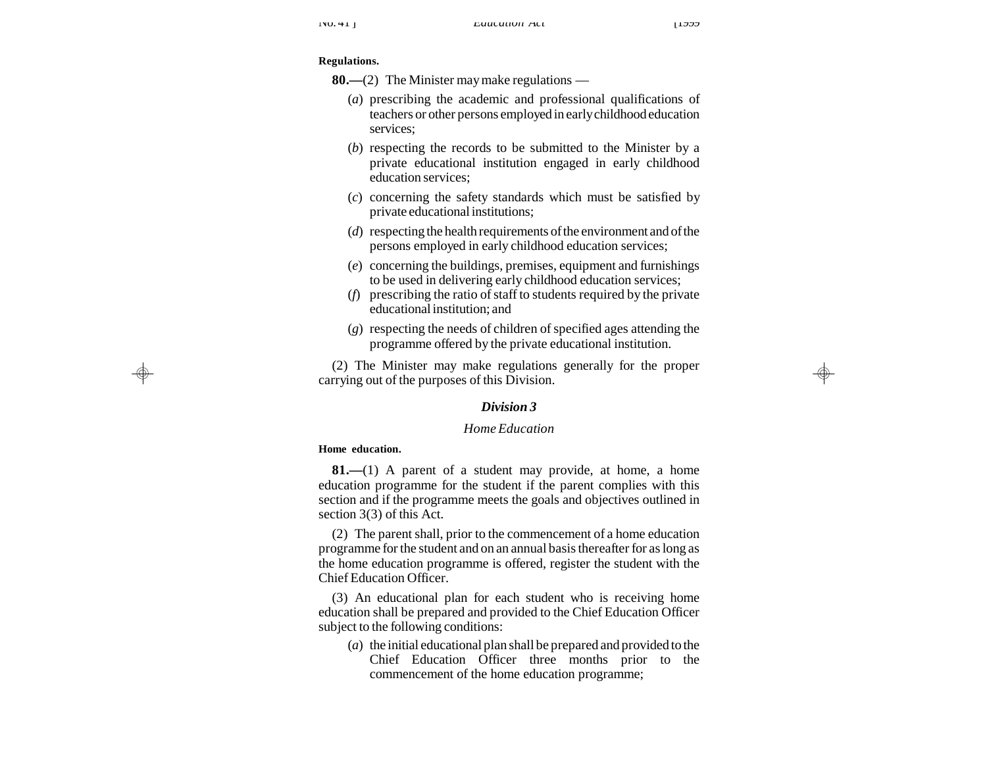### **Regulations.**

- **80.——** (2) The Minister may make regulations
	- (*a*) prescribing the academic and professional qualifications of teachers or other persons employed in early childhood education services;
	- (*b*) respecting the records to be submitted to the Minister by a private educational institution engaged in early childhood education services;
	- (*c*) concerning the safety standards which must be satisfied by private educational institutions;
	- (*d*) respecting the health requirements of the environment and of the persons employed in early childhood education services;
	- (*e*) concerning the buildings, premises, equipment and furnishings to be used in delivering early childhood education services;
	- (*f*) prescribing the ratio of staff to students required by the private educational institution; and
	- (*g*) respecting the needs of children of specified ages attending the programme offered by the private educational institution.

(2) The Minister may make regulations generally for the proper carrying out of the purposes of this Division.

# *Division 3*

# *Home Education*

## **Home education.**

 $\bigcirc$ 

**81.**—(1) A parent of a student may provide, at home, a home education programme for the student if the parent complies with this section and if the programme meets the goals and objectives outlined in section 3(3) of this Act.

(2) The parent shall, prior to the commencement of a home education programme for the student and on an annual basis thereafter for as long as the home education programme is offered, register the student with the Chief Education Officer.

(3) An educational plan for each student who is receiving home education shall be prepared and provided to the Chief Education Officer subject to the following conditions:

(*a*) the initial educational plan shall be prepared and provided to the Chief Education Officer three months prior to the commencement of the home education programme;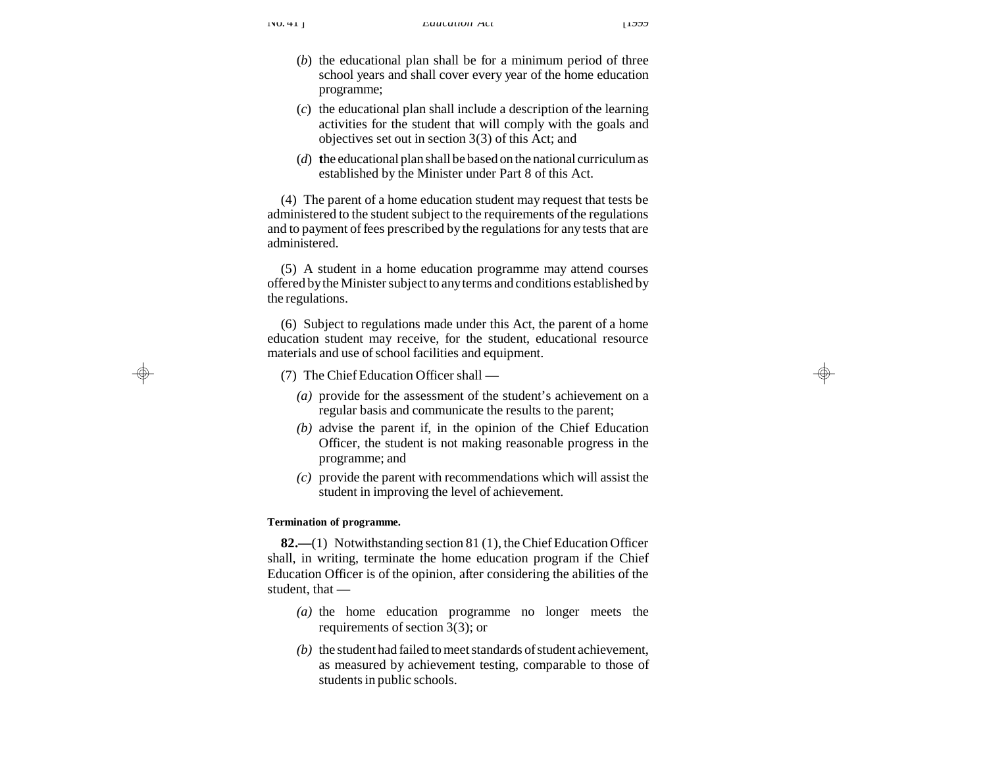⊕

- (*b*) the educational plan shall be for a minimum period of three school years and shall cover every year of the home education programme;
- (*c*) the educational plan shall include a description of the learning activities for the student that will comply with the goals and objectives set out in section 3(3) of this Act; and
- (*d*) **t**he educational plan shall be based on the national curriculum as established by the Minister under Part 8 of this Act.

(4) The parent of a home education student may request that tests be administered to the student subject to the requirements of the regulations and to payment of fees prescribed by the regulations for any tests that are administered.

(5) A student in a home education programme may attend courses offered by the Minister subject to any terms and conditions established by the regulations.

(6) Subject to regulations made under this Act, the parent of a home education student may receive, for the student, educational resource materials and use of school facilities and equipment.

- (7) The Chief Education Officer shall
	- *(a)* provide for the assessment of the student's achievement on a regular basis and communicate the results to the parent;
	- *(b)* advise the parent if, in the opinion of the Chief Education Officer, the student is not making reasonable progress in the programme; and
	- *(c)* provide the parent with recommendations which will assist the student in improving the level of achievement.

### **Termination of programme.**

**82.**—(1) Notwithstanding section 81 (1), the Chief Education Officer shall, in writing, terminate the home education program if the Chief Education Officer is of the opinion, after considering the abilities of the student, that —

- *(a)* the home education programme no longer meets the requirements of section 3(3); or
- *(b)* the student had failed to meet standards of student achievement, as measured by achievement testing, comparable to those of students in public schools.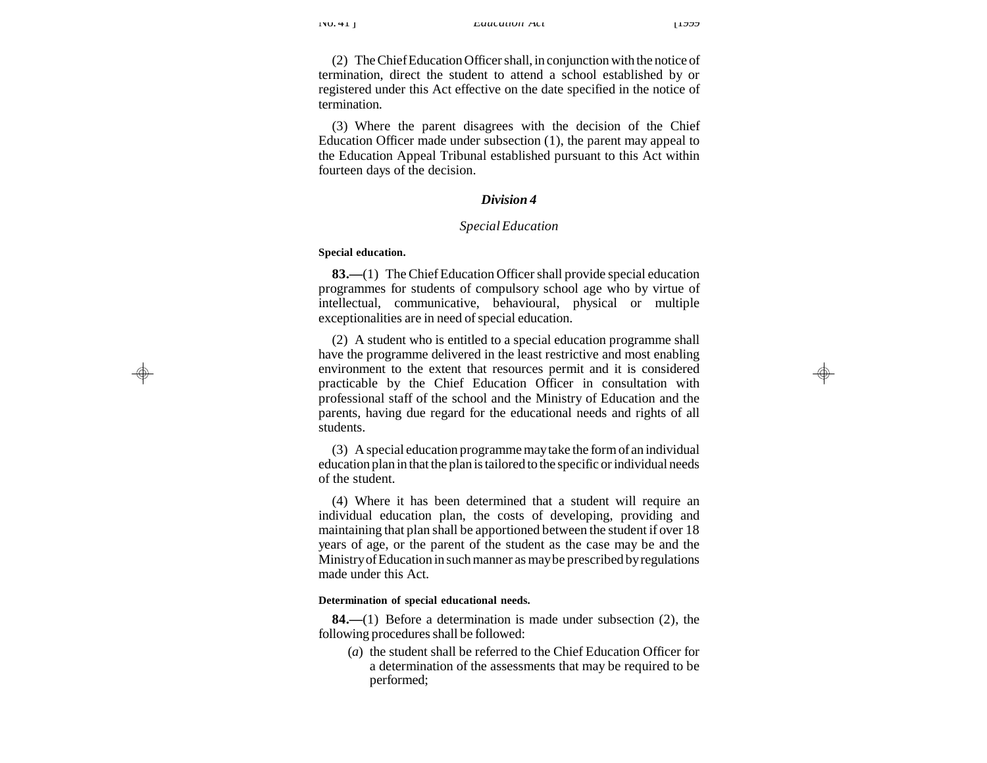(2) The Chief Education Officer shall, in conjunction with the notice of termination, direct the student to attend a school established by or registered under this Act effective on the date specified in the notice of termination.

(3) Where the parent disagrees with the decision of the Chief Education Officer made under subsection (1), the parent may appeal to the Education Appeal Tribunal established pursuant to this Act within fourteen days of the decision.

# *Division 4*

# *Special Education*

## **Special education.**

**83.—(1)** The Chief Education Officer shall provide special education programmes for students of compulsory school age who by virtue of intellectual, communicative, behavioural, physical or multiple exceptionalities are in need of special education.

(2) A student who is entitled to a special education programme shall have the programme delivered in the least restrictive and most enabling environment to the extent that resources permit and it is considered practicable by the Chief Education Officer in consultation with professional staff of the school and the Ministry of Education and the parents, having due regard for the educational needs and rights of all students.

(3) A special education programme may take the form of an individual education plan in that the plan is tailored to the specific or individual needs of the student.

(4) Where it has been determined that a student will require an individual education plan, the costs of developing, providing and maintaining that plan shall be apportioned between the student if over 18 years of age, or the parent of the student as the case may be and the Ministry of Education in such manner as may be prescribed by regulations made under this Act.

### **Determination of special educational needs.**

**84.—(1)** Before a determination is made under subsection (2), the following procedures shall be followed:

(*a*) the student shall be referred to the Chief Education Officer for a determination of the assessments that may be required to be performed;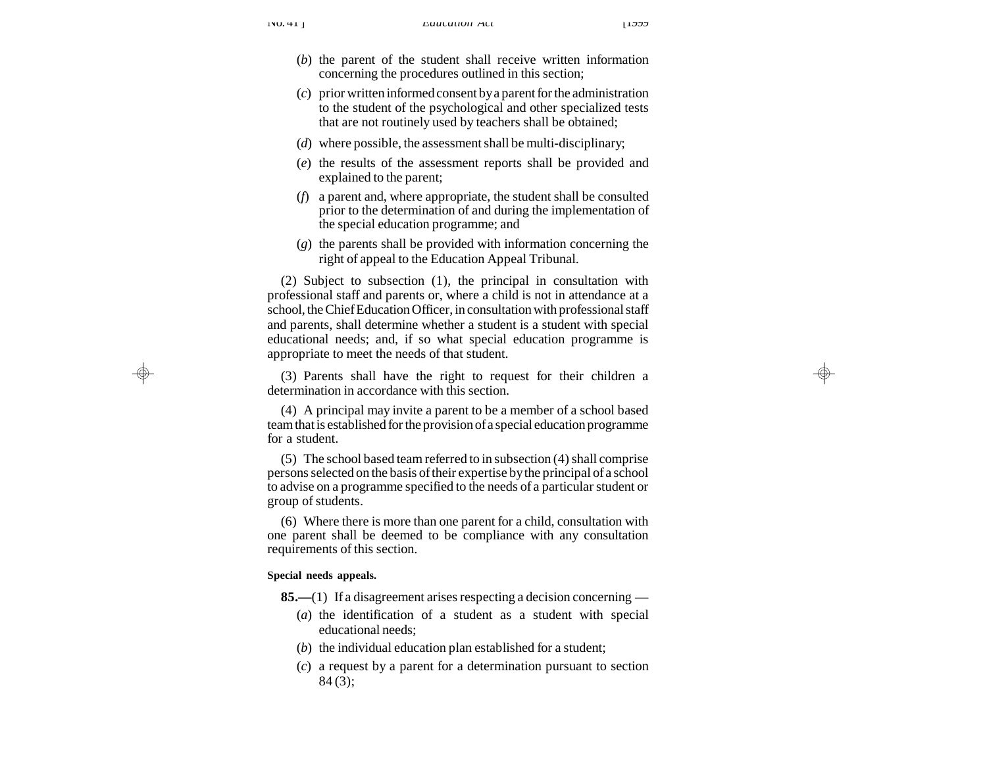⊕

- (*b*) the parent of the student shall receive written information concerning the procedures outlined in this section;
- (*c*) prior written informed consent by a parent for the administration to the student of the psychological and other specialized tests that are not routinely used by teachers shall be obtained;
- (*d*) where possible, the assessment shall be multi-disciplinary;
- (*e*) the results of the assessment reports shall be provided and explained to the parent;
- (*f*) a parent and, where appropriate, the student shall be consulted prior to the determination of and during the implementation of the special education programme; and
- (*g*) the parents shall be provided with information concerning the right of appeal to the Education Appeal Tribunal.

(2) Subject to subsection (1), the principal in consultation with professional staff and parents or, where a child is not in attendance at a school, the Chief Education Officer, in consultation with professional staff and parents, shall determine whether a student is a student with special educational needs; and, if so what special education programme is appropriate to meet the needs of that student.

(3) Parents shall have the right to request for their children a determination in accordance with this section.

(4) A principal may invite a parent to be a member of a school based team that is established for the provision of a special education programme for a student.

(5) The school based team referred to in subsection (4) shall comprise persons selected on the basis of their expertise by the principal of a school to advise on a programme specified to the needs of a particular student or group of students.

(6) Where there is more than one parent for a child, consultation with one parent shall be deemed to be compliance with any consultation requirements of this section.

### **Special needs appeals.**

**85.—(1)** If a disagreement arises respecting a decision concerning —

- (*a*) the identification of a student as a student with special educational needs;
- (*b*) the individual education plan established for a student;
- (*c*) a request by a parent for a determination pursuant to section 84 (3);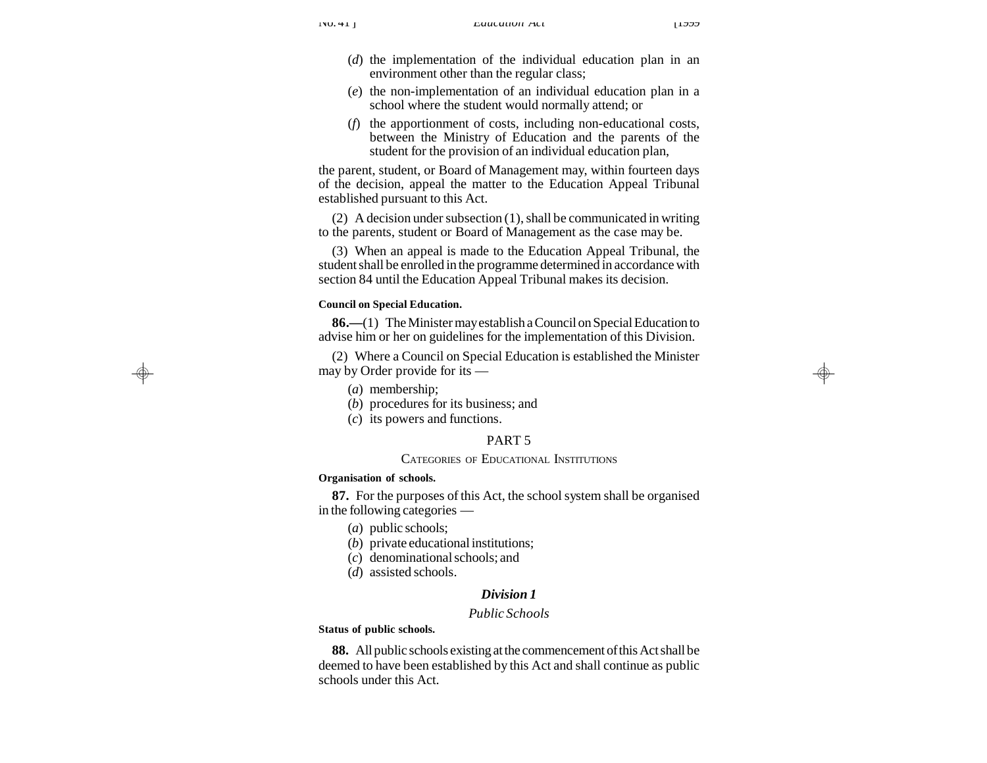- (*d*) the implementation of the individual education plan in an environment other than the regular class;
- (*e*) the non-implementation of an individual education plan in a school where the student would normally attend; or
- (*f*) the apportionment of costs, including non-educational costs, between the Ministry of Education and the parents of the student for the provision of an individual education plan,

the parent, student, or Board of Management may, within fourteen days of the decision, appeal the matter to the Education Appeal Tribunal established pursuant to this Act.

(2) A decision under subsection (1), shall be communicated in writing to the parents, student or Board of Management as the case may be.

(3) When an appeal is made to the Education Appeal Tribunal, the student shall be enrolled in the programme determined in accordance with section 84 until the Education Appeal Tribunal makes its decision.

# **Council on Special Education.**

**86.**—(1) The Minister may establish a Council on Special Education to advise him or her on guidelines for the implementation of this Division.

(2) Where a Council on Special Education is established the Minister may by Order provide for its —

- (*a*) membership;
- (*b*) procedures for its business; and
- (*c*) its powers and functions.

# PART 5

# CATEGORIES OF EDUCATIONAL INSTITUTIONS

#### **Organisation of schools.**

**87.** For the purposes of this Act, the school system shall be organised in the following categories —

- (*a*) public schools;
- (*b*) private educational institutions;
- (*c*) denominational schools; and
- (*d*) assisted schools.

# *Division 1*

# *Public Schools*

# **Status of public schools.**

**88.** All public schools existing at the commencement of this Act shall be deemed to have been established by this Act and shall continue as public schools under this Act.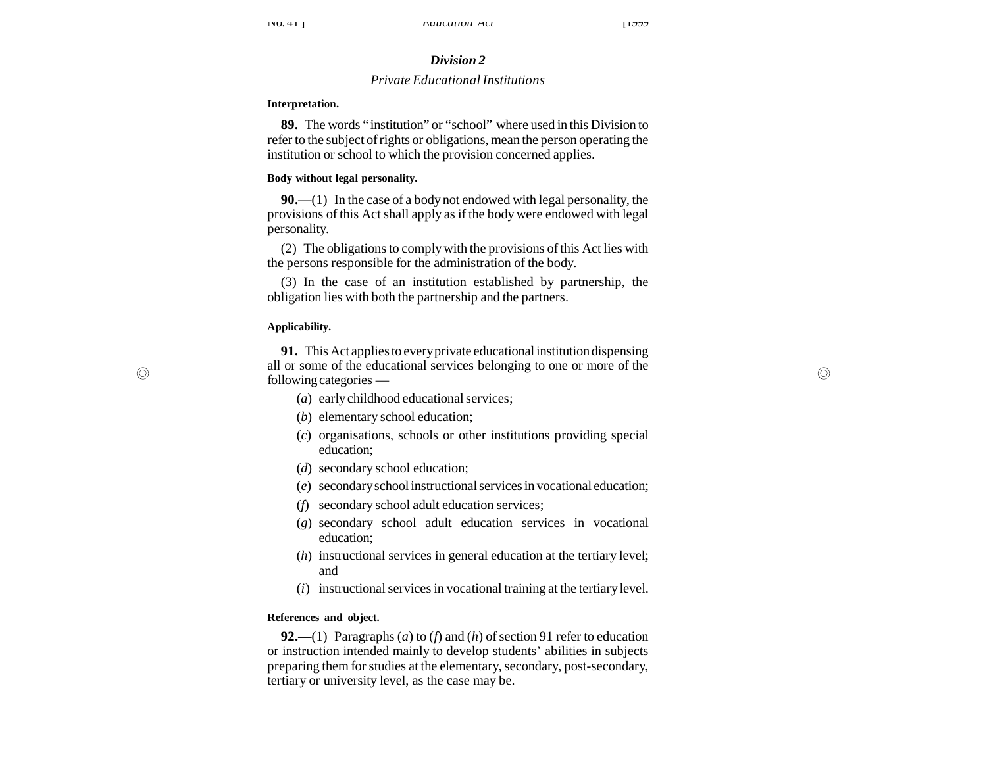# *Division 2*

# *Private Educational Institutions*

#### **Interpretation.**

**89.** The words "institution" or "school" where used in this Division to refer to the subject of rights or obligations, mean the person operating the institution or school to which the provision concerned applies.

# **Body without legal personality.**

**90.**—(1) In the case of a body not endowed with legal personality, the provisions of this Act shall apply as if the body were endowed with legal personality.

(2) The obligations to comply with the provisions of this Act lies with the persons responsible for the administration of the body.

(3) In the case of an institution established by partnership, the obligation lies with both the partnership and the partners.

#### **Applicability.**

 $\bigcirc$ 

**91.** This Act applies to every private educational institution dispensing all or some of the educational services belonging to one or more of the following categories —

- (*a*) early childhood educational services;
- (*b*) elementary school education;
- (*c*) organisations, schools or other institutions providing special education;
- (*d*) secondary school education;
- (*e*) secondary school instructional services in vocational education;
- (*f*) secondary school adult education services;
- (*g*) secondary school adult education services in vocational education;
- (*h*) instructional services in general education at the tertiary level; and
- (*i*) instructional services in vocational training at the tertiary level.

### **References and object.**

**92.—** (1) Paragraphs (*a*) to (*f*) and (*h*) of section 91 refer to education or instruction intended mainly to develop students' abilities in subjects preparing them for studies at the elementary, secondary, post-secondary, tertiary or university level, as the case may be.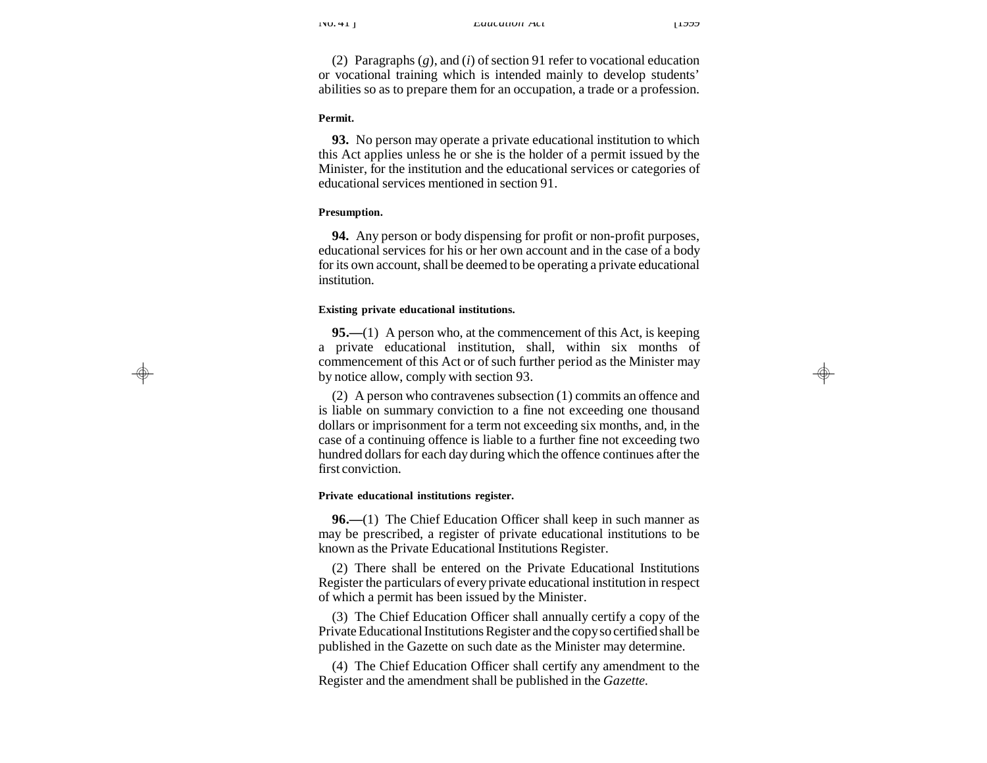(2) Paragraphs (*g*), and (*i*) of section 91 refer to vocational education or vocational training which is intended mainly to develop students' abilities so as to prepare them for an occupation, a trade or a profession.

# **Permit.**

**93.** No person may operate a private educational institution to which this Act applies unless he or she is the holder of a permit issued by the Minister, for the institution and the educational services or categories of educational services mentioned in section 91.

# **Presumption.**

**94.** Any person or body dispensing for profit or non-profit purposes, educational services for his or her own account and in the case of a body for its own account, shall be deemed to be operating a private educational institution.

# **Existing private educational institutions.**

**95.—(1)** A person who, at the commencement of this Act, is keeping a private educational institution, shall, within six months of commencement of this Act or of such further period as the Minister may by notice allow, comply with section 93.

(2) A person who contravenes subsection (1) commits an offence and is liable on summary conviction to a fine not exceeding one thousand dollars or imprisonment for a term not exceeding six months, and, in the case of a continuing offence is liable to a further fine not exceeding two hundred dollars for each day during which the offence continues after the first conviction.

## **Private educational institutions register.**

**96.—(1)** The Chief Education Officer shall keep in such manner as may be prescribed, a register of private educational institutions to be known as the Private Educational Institutions Register.

(2) There shall be entered on the Private Educational Institutions Register the particulars of every private educational institution in respect of which a permit has been issued by the Minister.

(3) The Chief Education Officer shall annually certify a copy of the Private Educational Institutions Register and the copy so certified shall be published in the Gazette on such date as the Minister may determine.

(4) The Chief Education Officer shall certify any amendment to the Register and the amendment shall be published in the *Gazette.*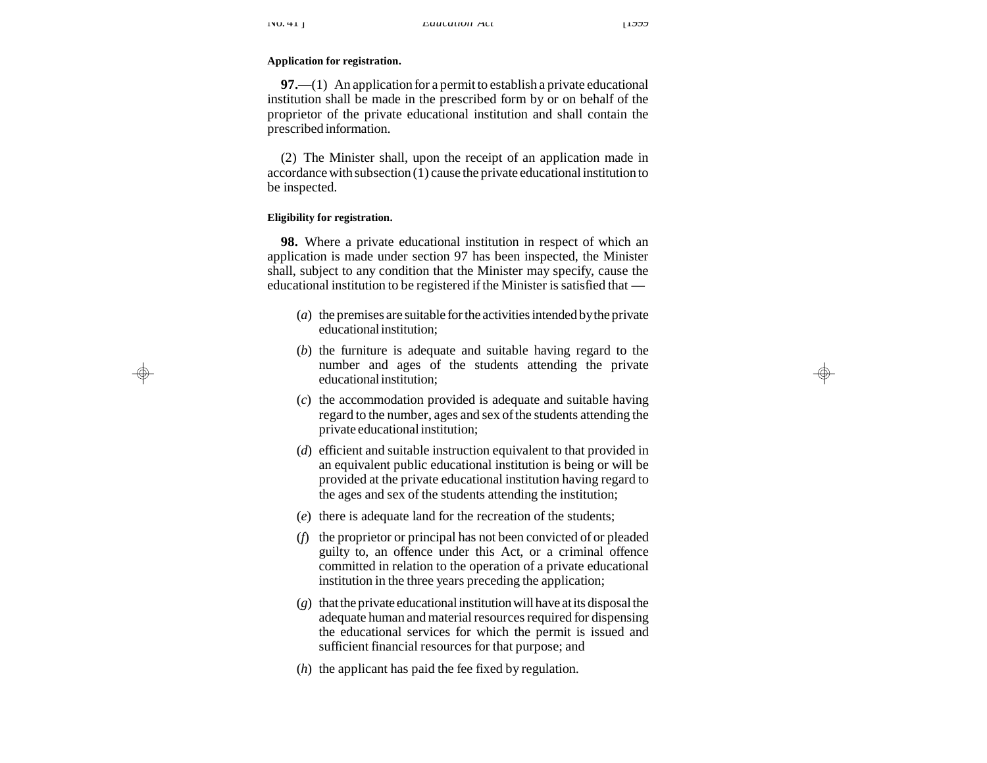⊕

#### **Application for registration.**

**97.**—(1) An application for a permit to establish a private educational institution shall be made in the prescribed form by or on behalf of the proprietor of the private educational institution and shall contain the prescribed information.

(2) The Minister shall, upon the receipt of an application made in accordance with subsection (1) cause the private educational institution to be inspected.

#### **Eligibility for registration.**

**98.** Where a private educational institution in respect of which an application is made under section 97 has been inspected, the Minister shall, subject to any condition that the Minister may specify, cause the educational institution to be registered if the Minister is satisfied that —

- (*a*) the premises are suitable for the activities intended by the private educational institution;
- (*b*) the furniture is adequate and suitable having regard to the number and ages of the students attending the private educational institution;
- (*c*) the accommodation provided is adequate and suitable having regard to the number, ages and sex of the students attending the private educational institution;
- (*d*) efficient and suitable instruction equivalent to that provided in an equivalent public educational institution is being or will be provided at the private educational institution having regard to the ages and sex of the students attending the institution;
- (*e*) there is adequate land for the recreation of the students;
- (*f*) the proprietor or principal has not been convicted of or pleaded guilty to, an offence under this Act, or a criminal offence committed in relation to the operation of a private educational institution in the three years preceding the application;
- (*g*) that the private educational institution will have at its disposal the adequate human and material resources required for dispensing the educational services for which the permit is issued and sufficient financial resources for that purpose; and
- (*h*) the applicant has paid the fee fixed by regulation.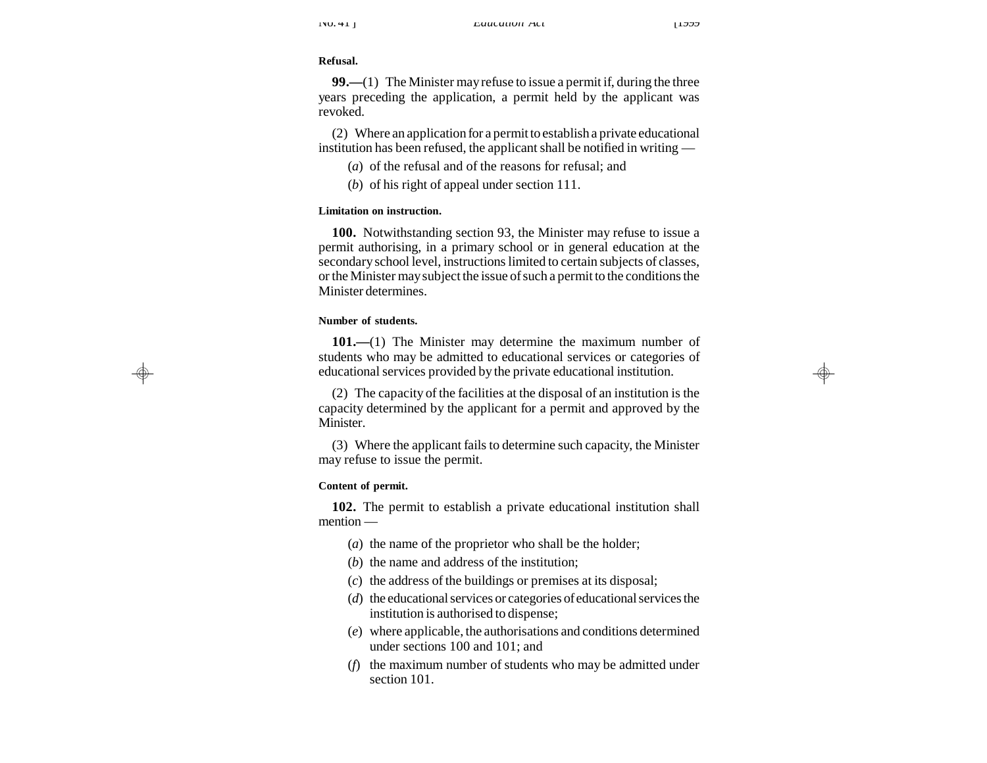### **Refusal.**

**99.**—(1) The Minister may refuse to issue a permit if, during the three years preceding the application, a permit held by the applicant was revoked.

(2) Where an application for a permit to establish a private educational institution has been refused, the applicant shall be notified in writing —

(*a*) of the refusal and of the reasons for refusal; and

(*b*) of his right of appeal under section 111.

# **Limitation on instruction.**

**100.** Notwithstanding section 93, the Minister may refuse to issue a permit authorising, in a primary school or in general education at the secondary school level, instructions limited to certain subjects of classes, or the Minister may subject the issue of such a permit to the conditions the Minister determines.

### **Number of students.**

⊕

**101.—(1)** The Minister may determine the maximum number of students who may be admitted to educational services or categories of educational services provided by the private educational institution.

(2) The capacity of the facilities at the disposal of an institution is the capacity determined by the applicant for a permit and approved by the Minister.

(3) Where the applicant fails to determine such capacity, the Minister may refuse to issue the permit.

## **Content of permit.**

**102.** The permit to establish a private educational institution shall mention —

- (*a*) the name of the proprietor who shall be the holder;
- (*b*) the name and address of the institution;
- (*c*) the address of the buildings or premises at its disposal;
- (*d*) the educational services or categories of educational services the institution is authorised to dispense;
- (*e*) where applicable, the authorisations and conditions determined under sections 100 and 101; and
- (*f*) the maximum number of students who may be admitted under section 101.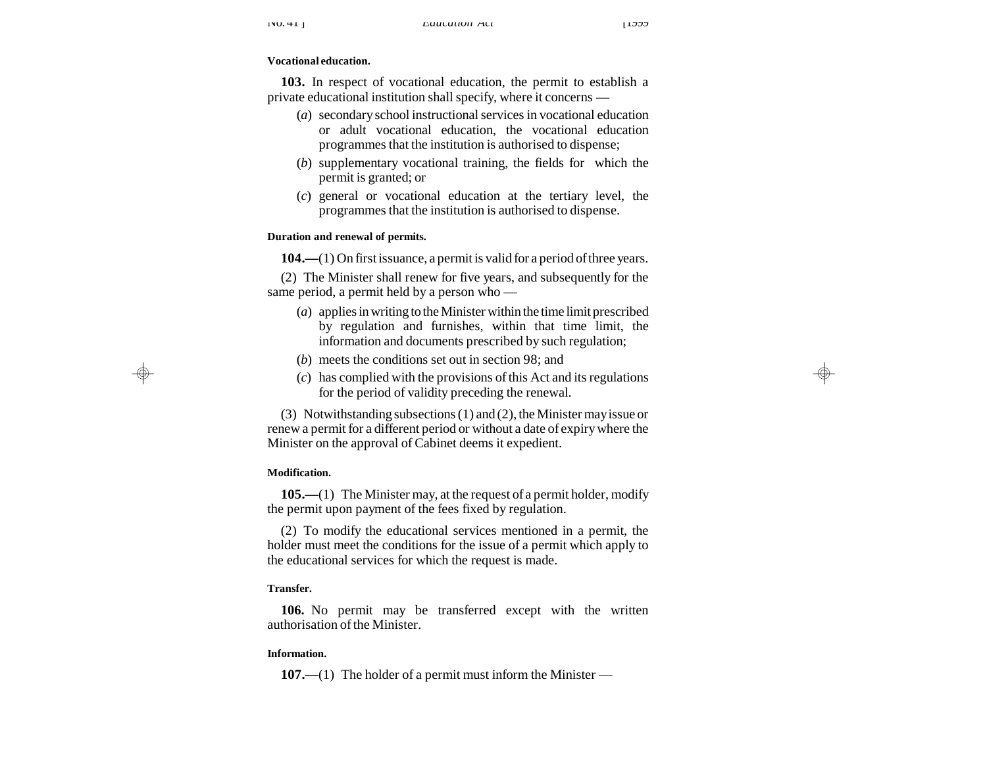#### **Vocational education.**

**103.** In respect of vocational education, the permit to establish a private educational institution shall specify, where it concerns —

- (*a*) secondary school instructional services in vocational education or adult vocational education, the vocational education programmes that the institution is authorised to dispense;
- (*b*) supplementary vocational training, the fields for which the permit is granted; or
- (*c*) general or vocational education at the tertiary level, the programmes that the institution is authorised to dispense.

# **Duration and renewal of permits.**

**104.—(1)** On first issuance, a permit is valid for a period of three years.

(2) The Minister shall renew for five years, and subsequently for the same period, a permit held by a person who —

- (*a*) applies in writing to the Minister within the time limit prescribed by regulation and furnishes, within that time limit, the information and documents prescribed by such regulation;
- (*b*) meets the conditions set out in section 98; and
- (*c*) has complied with the provisions of this Act and its regulations for the period of validity preceding the renewal.

(3) Notwithstanding subsections (1) and (2), the Minister may issue or renew a permit for a different period or without a date of expiry where the Minister on the approval of Cabinet deems it expedient.

#### **Modification.**

 $\bigcirc$ 

**105.—(1)** The Minister may, at the request of a permit holder, modify the permit upon payment of the fees fixed by regulation.

(2) To modify the educational services mentioned in a permit, the holder must meet the conditions for the issue of a permit which apply to the educational services for which the request is made.

#### **Transfer.**

**106.** No permit may be transferred except with the written authorisation of the Minister.

#### **Information.**

**107.—(1)** The holder of a permit must inform the Minister —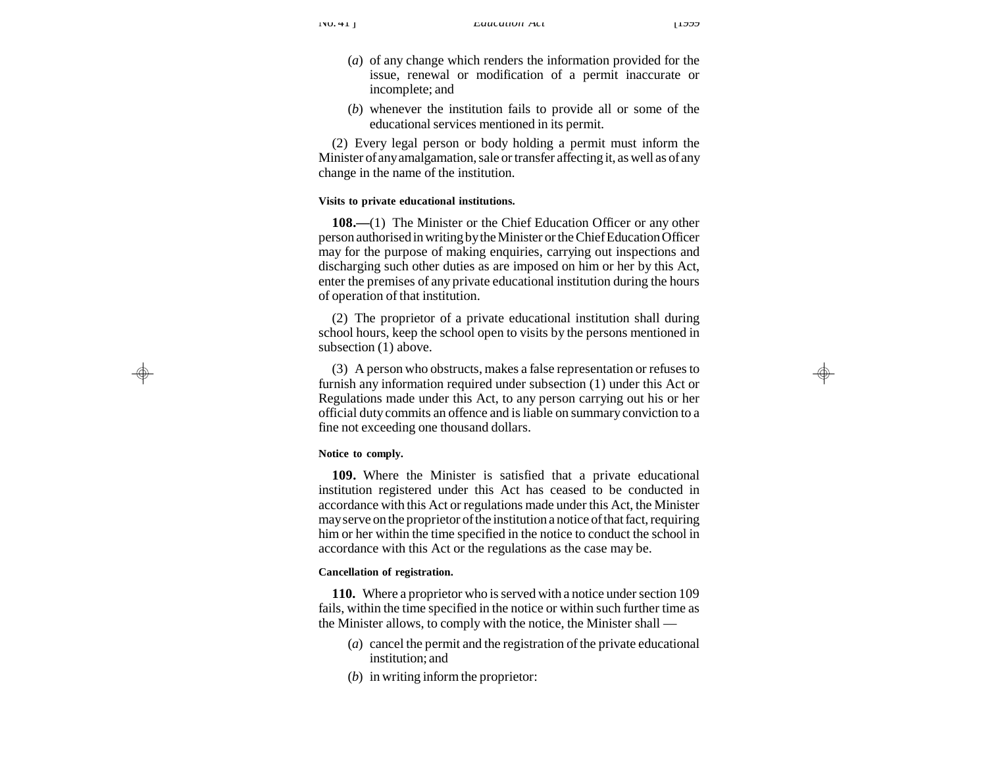- (*a*) of any change which renders the information provided for the issue, renewal or modification of a permit inaccurate or incomplete; and
- (*b*) whenever the institution fails to provide all or some of the educational services mentioned in its permit.

(2) Every legal person or body holding a permit must inform the Minister of any amalgamation, sale or transfer affecting it, as well as of any change in the name of the institution.

### **Visits to private educational institutions.**

**108.—(1)** The Minister or the Chief Education Officer or any other person authorised in writing by the Minister or the Chief Education Officer may for the purpose of making enquiries, carrying out inspections and discharging such other duties as are imposed on him or her by this Act, enter the premises of any private educational institution during the hours of operation of that institution.

(2) The proprietor of a private educational institution shall during school hours, keep the school open to visits by the persons mentioned in subsection (1) above.

(3) A person who obstructs, makes a false representation or refuses to furnish any information required under subsection (1) under this Act or Regulations made under this Act, to any person carrying out his or her official duty commits an offence and is liable on summary conviction to a fine not exceeding one thousand dollars.

### **Notice to comply.**

**109.** Where the Minister is satisfied that a private educational institution registered under this Act has ceased to be conducted in accordance with this Act or regulations made under this Act, the Minister may serve on the proprietor of the institution a notice of that fact, requiring him or her within the time specified in the notice to conduct the school in accordance with this Act or the regulations as the case may be.

## **Cancellation of registration.**

**110.** Where a proprietor who is served with a notice under section 109 fails, within the time specified in the notice or within such further time as the Minister allows, to comply with the notice, the Minister shall —

- (*a*) cancel the permit and the registration of the private educational institution; and
- (*b*) in writing inform the proprietor: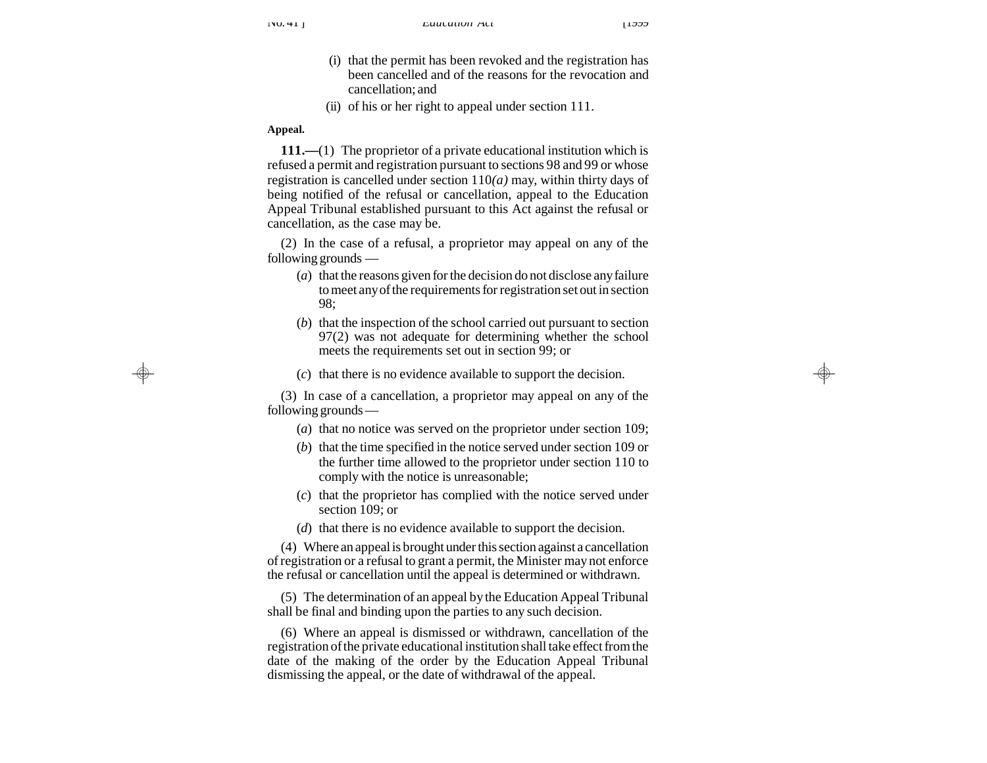- (i) that the permit has been revoked and the registration has been cancelled and of the reasons for the revocation and cancellation; and
- (ii) of his or her right to appeal under section 111.

# **Appeal.**

 $\bigcirc$ 

**111.—(1)** The proprietor of a private educational institution which is refused a permit and registration pursuant to sections 98 and 99 or whose registration is cancelled under section 110*(a)* may, within thirty days of being notified of the refusal or cancellation, appeal to the Education Appeal Tribunal established pursuant to this Act against the refusal or cancellation, as the case may be.

(2) In the case of a refusal, a proprietor may appeal on any of the following grounds —

- (*a*) that the reasons given for the decision do not disclose any failure to meet any of the requirements for registration set out in section 98;
- (*b*) that the inspection of the school carried out pursuant to section 97(2) was not adequate for determining whether the school meets the requirements set out in section 99; or
- (*c*) that there is no evidence available to support the decision.

(3) In case of a cancellation, a proprietor may appeal on any of the following grounds —

- (*a*) that no notice was served on the proprietor under section 109;
- (*b*) that the time specified in the notice served under section 109 or the further time allowed to the proprietor under section 110 to comply with the notice is unreasonable;
- (*c*) that the proprietor has complied with the notice served under section 109; or
- (*d*) that there is no evidence available to support the decision.

(4) Where an appeal is brought under this section against a cancellation of registration or a refusal to grant a permit, the Minister may not enforce the refusal or cancellation until the appeal is determined or withdrawn.

(5) The determination of an appeal by the Education Appeal Tribunal shall be final and binding upon the parties to any such decision.

(6) Where an appeal is dismissed or withdrawn, cancellation of the registration of the private educational institution shall take effect from the date of the making of the order by the Education Appeal Tribunal dismissing the appeal, or the date of withdrawal of the appeal.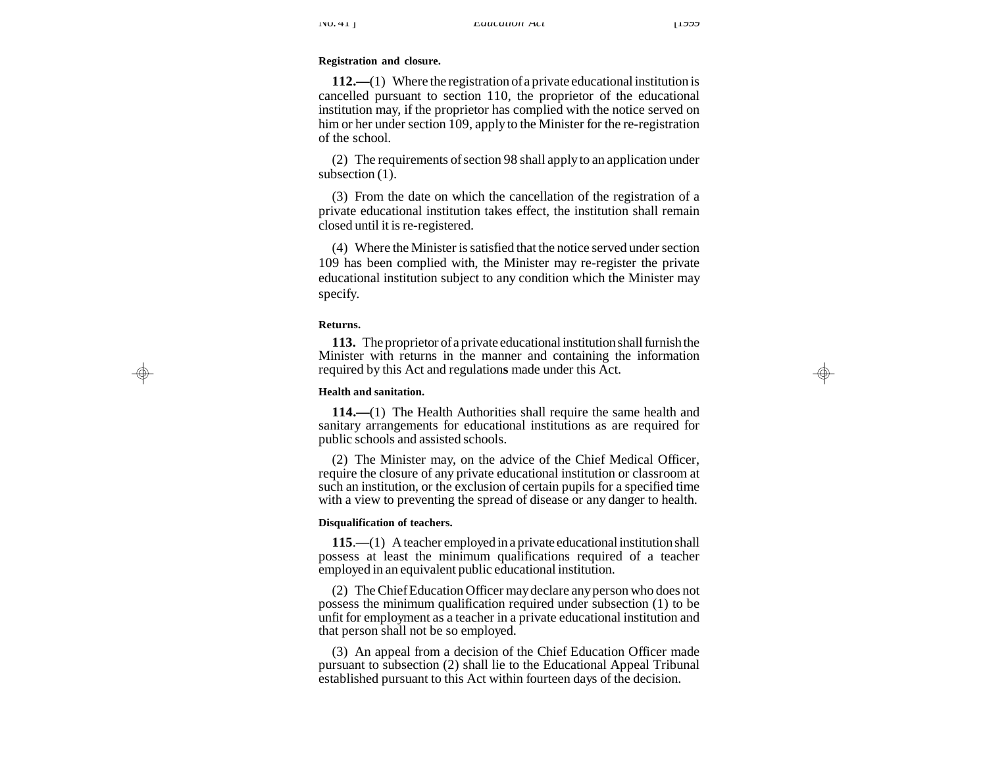$\circledcirc$ 

#### **Registration and closure.**

**112.**—(1) Where the registration of a private educational institution is cancelled pursuant to section 110, the proprietor of the educational institution may, if the proprietor has complied with the notice served on him or her under section 109, apply to the Minister for the re-registration of the school.

(2) The requirements of section 98 shall apply to an application under subsection  $(1)$ .

(3) From the date on which the cancellation of the registration of a private educational institution takes effect, the institution shall remain closed until it is re-registered.

(4) Where the Minister is satisfied that the notice served under section 109 has been complied with, the Minister may re-register the private educational institution subject to any condition which the Minister may specify.

#### **Returns.**

**113.** The proprietor of a private educational institution shall furnish the Minister with returns in the manner and containing the information required by this Act and regulation**s** made under this Act.

#### **Health and sanitation.**

**114.—(1)** The Health Authorities shall require the same health and sanitary arrangements for educational institutions as are required for public schools and assisted schools.

(2) The Minister may, on the advice of the Chief Medical Officer, require the closure of any private educational institution or classroom at such an institution, or the exclusion of certain pupils for a specified time with a view to preventing the spread of disease or any danger to health.

#### **Disqualification of teachers.**

**115**.— (1) A teacher employed in a private educational institution shall possess at least the minimum qualifications required of a teacher employed in an equivalent public educational institution.

(2) The Chief Education Officer may declare any person who does not possess the minimum qualification required under subsection (1) to be unfit for employment as a teacher in a private educational institution and that person shall not be so employed.

(3) An appeal from a decision of the Chief Education Officer made pursuant to subsection (2) shall lie to the Educational Appeal Tribunal established pursuant to this Act within fourteen days of the decision.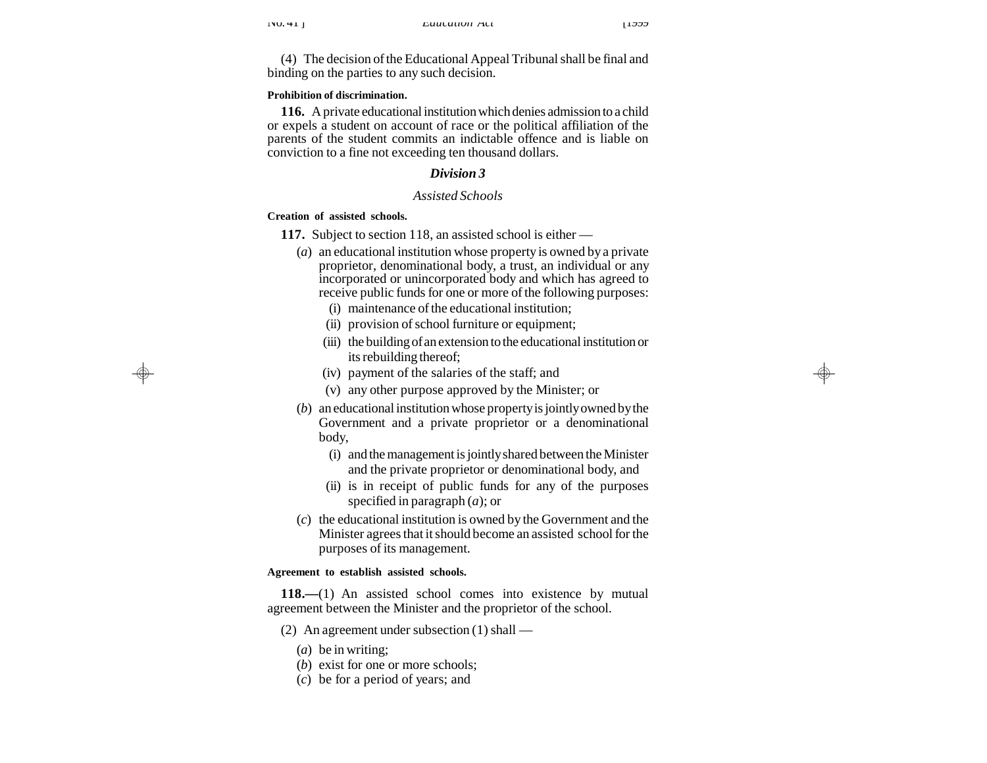(4) The decision of the Educational Appeal Tribunal shall be final and binding on the parties to any such decision.

# **Prohibition of discrimination.**

**116.** A private educational institution which denies admission to a child or expels a student on account of race or the political affiliation of the parents of the student commits an indictable offence and is liable on conviction to a fine not exceeding ten thousand dollars.

# *Division 3*

## *Assisted Schools*

### **Creation of assisted schools.**

- **117.** Subject to section 118, an assisted school is either
	- (*a*) an educational institution whose property is owned by a private proprietor, denominational body, a trust, an individual or any incorporated or unincorporated body and which has agreed to receive public funds for one or more of the following purposes:
		- (i) maintenance of the educational institution;
		- (ii) provision of school furniture or equipment;
		- (iii) the building of an extension to the educational institution or its rebuilding thereof;
		- (iv) payment of the salaries of the staff; and
		- (v) any other purpose approved by the Minister; or
	- (*b*) an educational institution whose property is jointly owned by the Government and a private proprietor or a denominational body,
		- (i) and the management is jointly shared between the Minister and the private proprietor or denominational body, and
		- (ii) is in receipt of public funds for any of the purposes specified in paragraph (*a*); or
	- (*c*) the educational institution is owned by the Government and the Minister agrees that it should become an assisted school for the purposes of its management.

### **Agreement to establish assisted schools.**

118.—(1) An assisted school comes into existence by mutual agreement between the Minister and the proprietor of the school.

- (2) An agreement under subsection (1) shall
	- (*a*) be in writing;
	- (*b*) exist for one or more schools;
	- (*c*) be for a period of years; and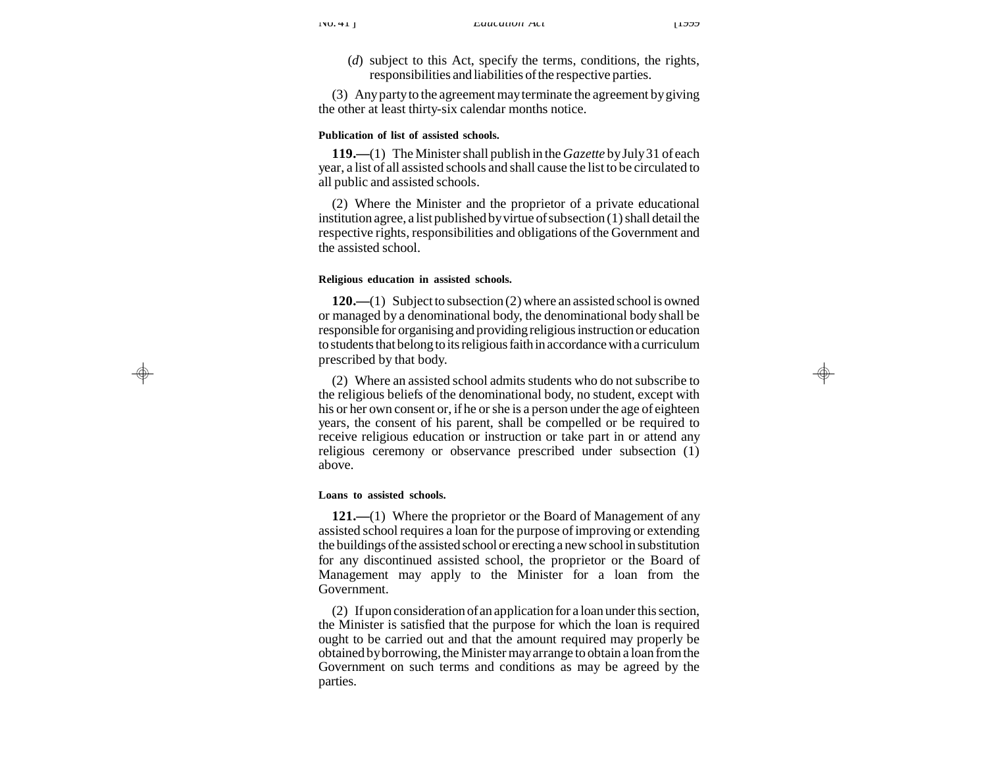(*d*) subject to this Act, specify the terms, conditions, the rights, responsibilities and liabilities of the respective parties.

(3) Any party to the agreement may terminate the agreement by giving the other at least thirty-six calendar months notice.

# **Publication of list of assisted schools.**

**119.——** (1) The Minister shall publish in the *Gazette* by July 31 of each year, a list of all assisted schools and shall cause the list to be circulated to all public and assisted schools.

(2) Where the Minister and the proprietor of a private educational institution agree, a list published by virtue of subsection (1) shall detail the respective rights, responsibilities and obligations of the Government and the assisted school.

#### **Religious education in assisted schools.**

**120.**—(1) Subject to subsection (2) where an assisted school is owned or managed by a denominational body, the denominational body shall be responsible for organising and providing religious instruction or education to students that belong to its religious faith in accordance with a curriculum prescribed by that body.

(2) Where an assisted school admits students who do not subscribe to the religious beliefs of the denominational body, no student, except with his or her own consent or, if he or she is a person under the age of eighteen years, the consent of his parent, shall be compelled or be required to receive religious education or instruction or take part in or attend any religious ceremony or observance prescribed under subsection (1) above.

### **Loans to assisted schools.**

**121.—(1)** Where the proprietor or the Board of Management of any assisted school requires a loan for the purpose of improving or extending the buildings of the assisted school or erecting a new school in substitution for any discontinued assisted school, the proprietor or the Board of Management may apply to the Minister for a loan from the Government.

(2) If upon consideration of an application for a loan under this section, the Minister is satisfied that the purpose for which the loan is required ought to be carried out and that the amount required may properly be obtained by borrowing, the Minister may arrange to obtain a loan from the Government on such terms and conditions as may be agreed by the parties.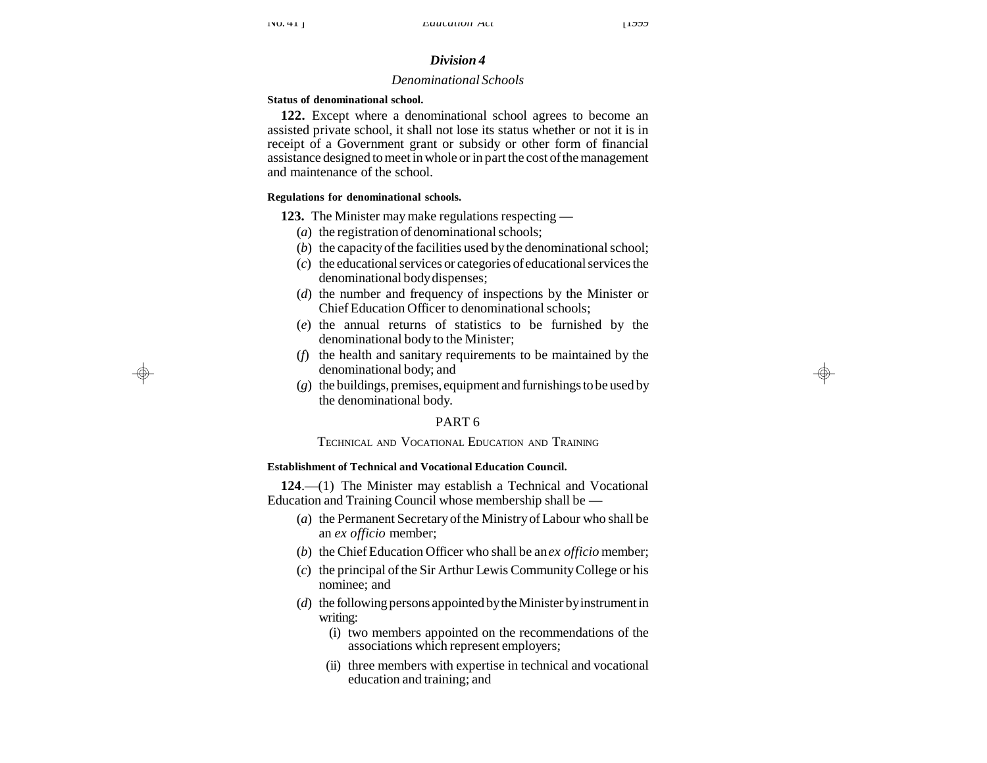⊕

# *Division 4*

# *Denominational Schools*

### **Status of denominational school.**

**122.** Except where a denominational school agrees to become an assisted private school, it shall not lose its status whether or not it is in receipt of a Government grant or subsidy or other form of financial assistance designed to meet in whole or in part the cost of the management and maintenance of the school.

## **Regulations for denominational schools.**

- **123.** The Minister may make regulations respecting
	- (*a*) the registration of denominational schools;
	- (*b*) the capacity of the facilities used by the denominational school;
	- (*c*) the educational services or categories of educational services the denominational body dispenses;
	- (*d*) the number and frequency of inspections by the Minister or Chief Education Officer to denominational schools;
	- (*e*) the annual returns of statistics to be furnished by the denominational body to the Minister;
	- (*f*) the health and sanitary requirements to be maintained by the denominational body; and
	- (*g*) the buildings, premises, equipment and furnishings to be used by the denominational body.

# PART 6

TECHNICAL AND VOCATIONAL EDUCATION AND TRAINING

### **Establishment of Technical and Vocational Education Council.**

**124**.— (1) The Minister may establish a Technical and Vocational Education and Training Council whose membership shall be —

- (*a*) the Permanent Secretary of the Ministry of Labour who shall be an *ex officio* member;
- (*b*) the Chief Education Officer who shall be an *ex officio* member;
- (*c*) the principal of the Sir Arthur Lewis Community College or his nominee; and
- (*d*) the following persons appointed by the Minister by instrument in writing:
	- (i) two members appointed on the recommendations of the associations which represent employers;
	- (ii) three members with expertise in technical and vocational education and training; and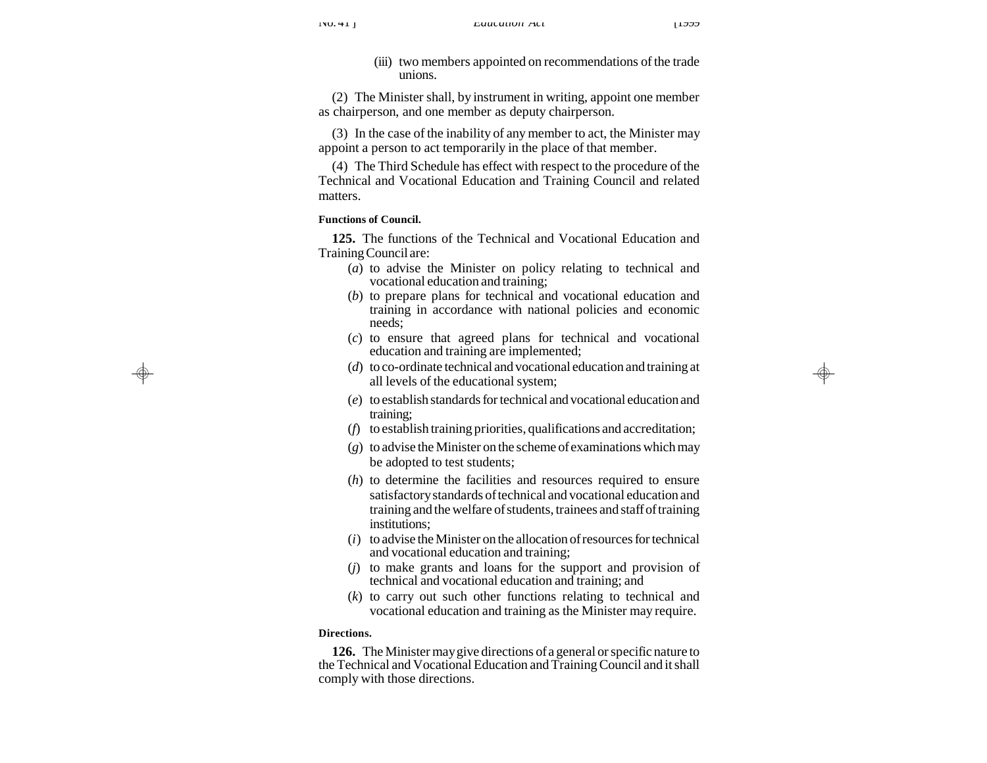(iii) two members appointed on recommendations of the trade unions.

(2) The Minister shall, by instrument in writing, appoint one member as chairperson, and one member as deputy chairperson.

(3) In the case of the inability of any member to act, the Minister may appoint a person to act temporarily in the place of that member.

(4) The Third Schedule has effect with respect to the procedure of the Technical and Vocational Education and Training Council and related matters.

### **Functions of Council.**

**125.** The functions of the Technical and Vocational Education and Training Council are:

- (*a*) to advise the Minister on policy relating to technical and vocational education and training;
- (*b*) to prepare plans for technical and vocational education and training in accordance with national policies and economic needs;
- (*c*) to ensure that agreed plans for technical and vocational education and training are implemented;
- (*d*) to co-ordinate technical and vocational education and training at all levels of the educational system;
- (*e*) to establish standards for technical and vocational education and training;
- (*f*) to establish training priorities, qualifications and accreditation;
- (*g*) to advise the Minister on the scheme of examinations which may be adopted to test students;
- (*h*) to determine the facilities and resources required to ensure satisfactory standards of technical and vocational education and training and the welfare of students, trainees and staff of training institutions;
- (*i*) to advise the Minister on the allocation of resources for technical and vocational education and training;
- (*j*) to make grants and loans for the support and provision of technical and vocational education and training; and
- (*k*) to carry out such other functions relating to technical and vocational education and training as the Minister may require.

# **Directions.**

**126.** The Minister may give directions of a general or specific nature to the Technical and Vocational Education and Training Council and it shall comply with those directions.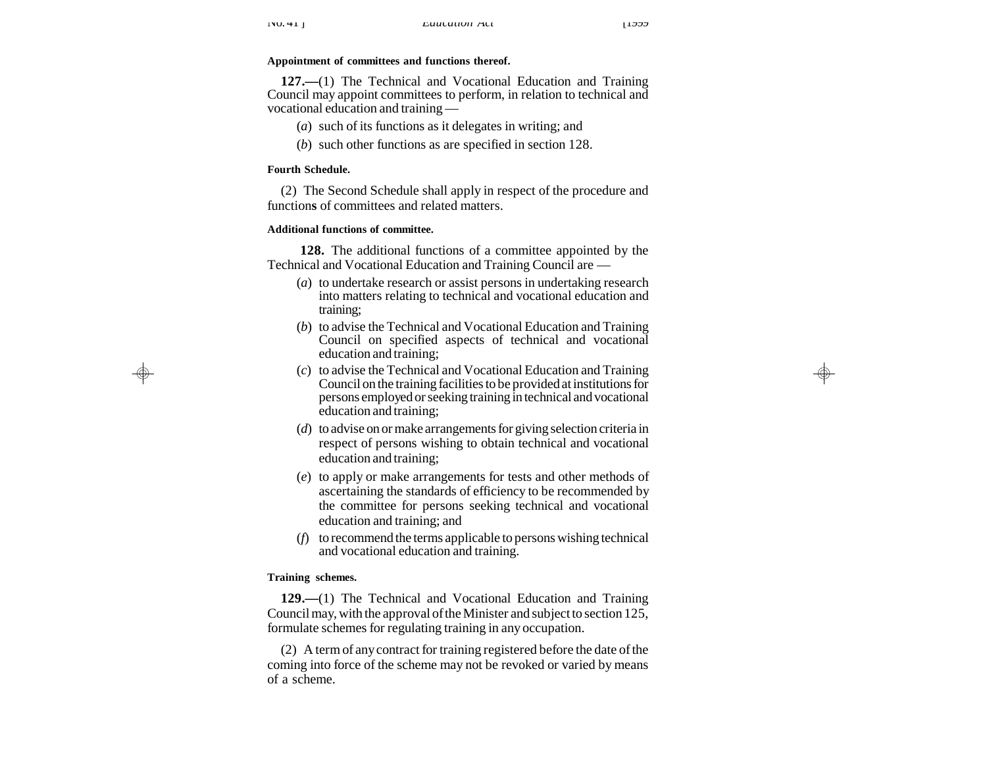#### **Appointment of committees and functions thereof.**

**127.—(1)** The Technical and Vocational Education and Training Council may appoint committees to perform, in relation to technical and vocational education and training —

- (*a*) such of its functions as it delegates in writing; and
- (*b*) such other functions as are specified in section 128.

#### **Fourth Schedule.**

(2) The Second Schedule shall apply in respect of the procedure and function**s** of committees and related matters.

#### **Additional functions of committee.**

 **128.** The additional functions of a committee appointed by the Technical and Vocational Education and Training Council are —

- (*a*) to undertake research or assist persons in undertaking research into matters relating to technical and vocational education and training;
- (*b*) to advise the Technical and Vocational Education and Training Council on specified aspects of technical and vocational education and training;
- (*c*) to advise the Technical and Vocational Education and Training Council on the training facilities to be provided at institutions for persons employed or seeking training in technical and vocational education and training;
- (*d*) to advise on or make arrangements for giving selection criteria in respect of persons wishing to obtain technical and vocational education and training;
- (*e*) to apply or make arrangements for tests and other methods of ascertaining the standards of efficiency to be recommended by the committee for persons seeking technical and vocational education and training; and
- (*f*) to recommend the terms applicable to persons wishing technical and vocational education and training.

## **Training schemes.**

**129.—(1)** The Technical and Vocational Education and Training Council may, with the approval of the Minister and subject to section 125, formulate schemes for regulating training in any occupation.

(2) A term of any contract for training registered before the date of the coming into force of the scheme may not be revoked or varied by means of a scheme.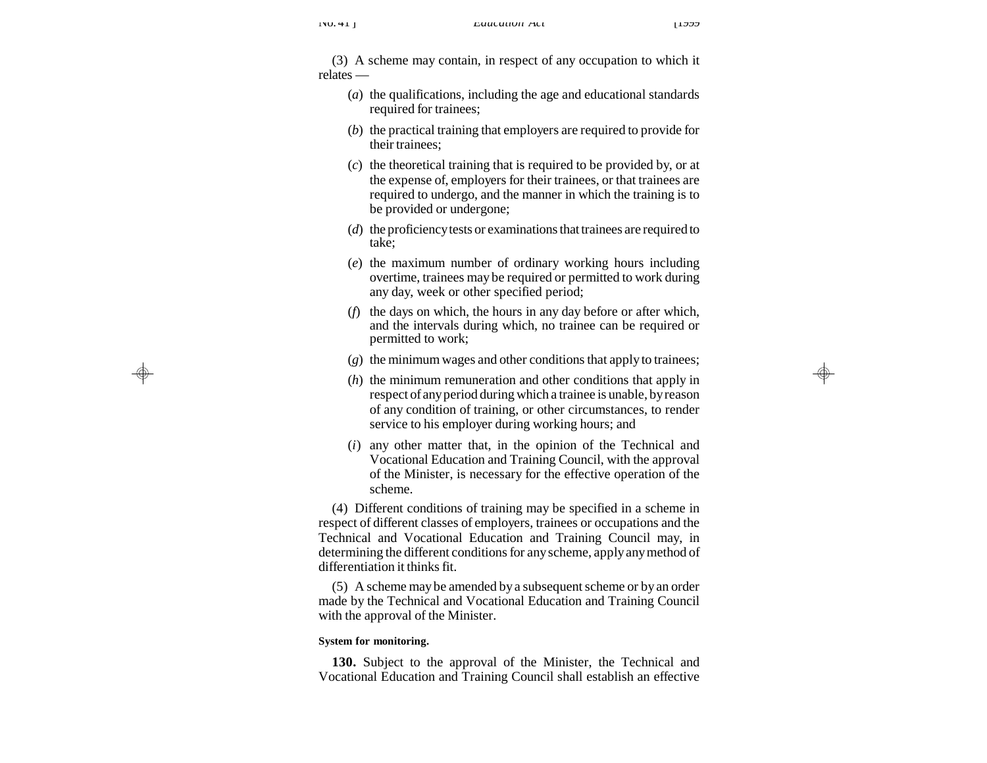$\circledcirc$ 

- (3) A scheme may contain, in respect of any occupation to which it relates —
	- (*a*) the qualifications, including the age and educational standards required for trainees;
	- (*b*) the practical training that employers are required to provide for their trainees;
	- (*c*) the theoretical training that is required to be provided by, or at the expense of, employers for their trainees, or that trainees are required to undergo, and the manner in which the training is to be provided or undergone;
	- (*d*) the proficiency tests or examinations that trainees are required to take;
	- (*e*) the maximum number of ordinary working hours including overtime, trainees may be required or permitted to work during any day, week or other specified period;
	- (*f*) the days on which, the hours in any day before or after which, and the intervals during which, no trainee can be required or permitted to work;
	- (*g*) the minimum wages and other conditions that apply to trainees;
	- (*h*) the minimum remuneration and other conditions that apply in respect of any period during which a trainee is unable, by reason of any condition of training, or other circumstances, to render service to his employer during working hours; and
	- (*i*) any other matter that, in the opinion of the Technical and Vocational Education and Training Council, with the approval of the Minister, is necessary for the effective operation of the scheme.

(4) Different conditions of training may be specified in a scheme in respect of different classes of employers, trainees or occupations and the Technical and Vocational Education and Training Council may, in determining the different conditions for any scheme, apply any method of differentiation it thinks fit.

(5) A scheme may be amended by a subsequent scheme or by an order made by the Technical and Vocational Education and Training Council with the approval of the Minister.

# **System for monitoring.**

**130.** Subject to the approval of the Minister, the Technical and Vocational Education and Training Council shall establish an effective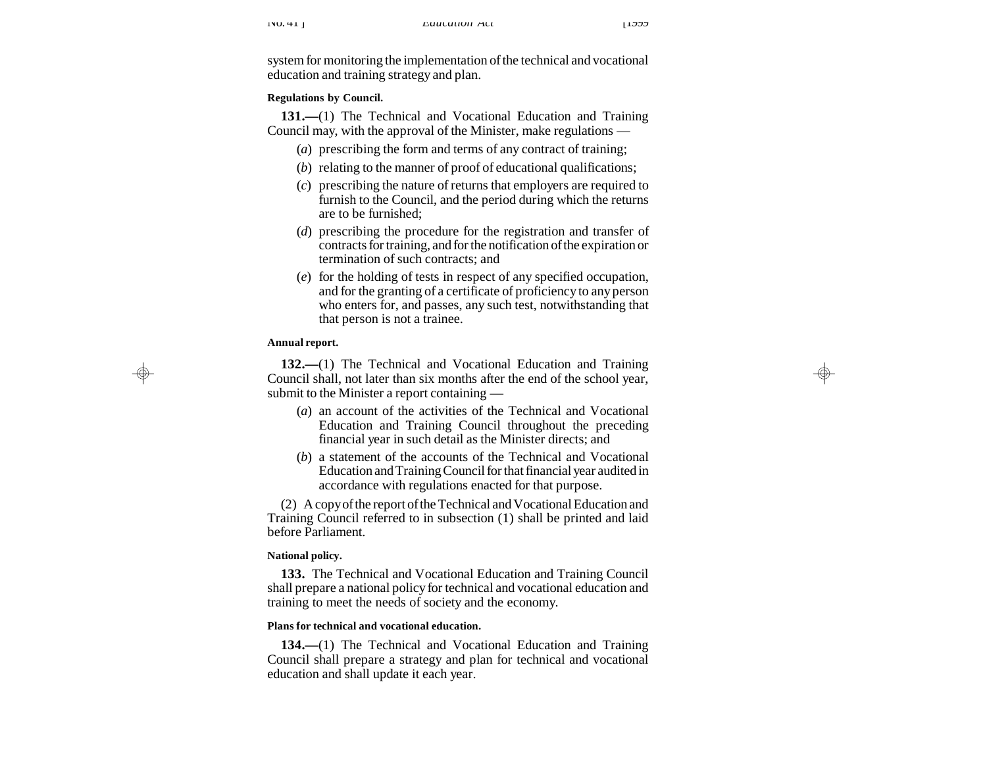system for monitoring the implementation of the technical and vocational education and training strategy and plan.

### **Regulations by Council.**

131.—(1) The Technical and Vocational Education and Training Council may, with the approval of the Minister, make regulations —

- (*a*) prescribing the form and terms of any contract of training;
- (*b*) relating to the manner of proof of educational qualifications;
- (*c*) prescribing the nature of returns that employers are required to furnish to the Council, and the period during which the returns are to be furnished;
- (*d*) prescribing the procedure for the registration and transfer of contracts for training, and for the notification of the expiration or termination of such contracts; and
- (*e*) for the holding of tests in respect of any specified occupation, and for the granting of a certificate of proficiency to any person who enters for, and passes, any such test, notwithstanding that that person is not a trainee.

### **Annual report.**

⊕

**132.—(1)** The Technical and Vocational Education and Training Council shall, not later than six months after the end of the school year, submit to the Minister a report containing —

- (*a*) an account of the activities of the Technical and Vocational Education and Training Council throughout the preceding financial year in such detail as the Minister directs; and
- (*b*) a statement of the accounts of the Technical and Vocational Education and Training Council for that financial year audited in accordance with regulations enacted for that purpose.

(2) A copy of the report of the Technical and Vocational Education and Training Council referred to in subsection (1) shall be printed and laid before Parliament.

### **National policy.**

**133.** The Technical and Vocational Education and Training Council shall prepare a national policy for technical and vocational education and training to meet the needs of society and the economy.

# **Plans for technical and vocational education.**

**134.—(1)** The Technical and Vocational Education and Training Council shall prepare a strategy and plan for technical and vocational education and shall update it each year.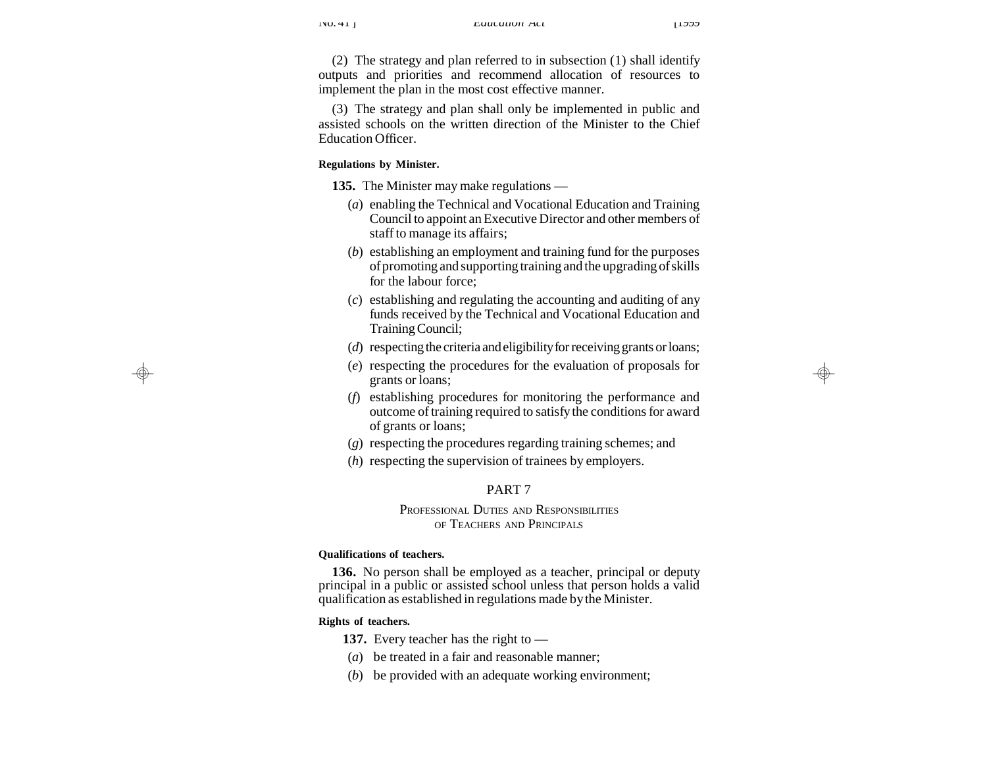⊕

(2) The strategy and plan referred to in subsection (1) shall identify outputs and priorities and recommend allocation of resources to implement the plan in the most cost effective manner.

(3) The strategy and plan shall only be implemented in public and assisted schools on the written direction of the Minister to the Chief Education Officer.

### **Regulations by Minister.**

**135.** The Minister may make regulations —

- (*a*) enabling the Technical and Vocational Education and Training Council to appoint an Executive Director and other members of staff to manage its affairs;
- (*b*) establishing an employment and training fund for the purposes of promoting and supporting training and the upgrading of skills for the labour force;
- (*c*) establishing and regulating the accounting and auditing of any funds received by the Technical and Vocational Education and Training Council;
- (*d*) respecting the criteria and eligibility for receiving grants or loans;
- (*e*) respecting the procedures for the evaluation of proposals for grants or loans;
- (*f*) establishing procedures for monitoring the performance and outcome of training required to satisfy the conditions for award of grants or loans;
- (*g*) respecting the procedures regarding training schemes; and
- (*h*) respecting the supervision of trainees by employers.

# PART 7

PROFESSIONAL DUTIES AND RESPONSIBILITIES OF TEACHERS AND PRINCIPALS

# **Qualifications of teachers.**

**136.** No person shall be employed as a teacher, principal or deputy principal in a public or assisted school unless that person holds a valid qualification as established in regulations made by the Minister.

# **Rights of teachers.**

**137.** Every teacher has the right to —

- (*a*) be treated in a fair and reasonable manner;
- (*b*) be provided with an adequate working environment;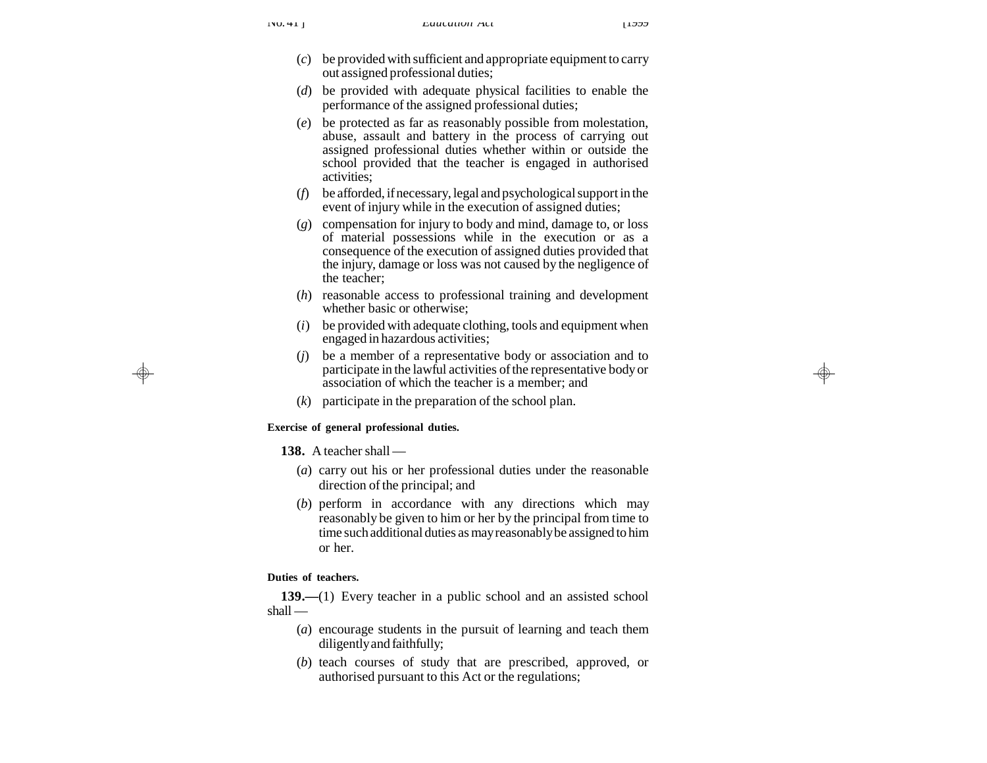- (*c*) be provided with sufficient and appropriate equipment to carry out assigned professional duties;
- (*d*) be provided with adequate physical facilities to enable the performance of the assigned professional duties;
- (*e*) be protected as far as reasonably possible from molestation, abuse, assault and battery in the process of carrying out assigned professional duties whether within or outside the school provided that the teacher is engaged in authorised activities;
- (*f*) be afforded, if necessary, legal and psychological support in the event of injury while in the execution of assigned duties;
- (*g*) compensation for injury to body and mind, damage to, or loss of material possessions while in the execution or as a consequence of the execution of assigned duties provided that the injury, damage or loss was not caused by the negligence of the teacher;
- (*h*) reasonable access to professional training and development whether basic or otherwise;
- (*i*) be provided with adequate clothing, tools and equipment when engaged in hazardous activities;
- (*j*) be a member of a representative body or association and to participate in the lawful activities of the representative body or association of which the teacher is a member; and
- (*k*) participate in the preparation of the school plan.

# **Exercise of general professional duties.**

- **138.** A teacher shall
	- (*a*) carry out his or her professional duties under the reasonable direction of the principal; and
	- (*b*) perform in accordance with any directions which may reasonably be given to him or her by the principal from time to time such additional duties as may reasonably be assigned to him or her.

# **Duties of teachers.**

 $\bigoplus$ 

**139.**—(1) Every teacher in a public school and an assisted school shall —

- (*a*) encourage students in the pursuit of learning and teach them diligently and faithfully;
- (*b*) teach courses of study that are prescribed, approved, or authorised pursuant to this Act or the regulations;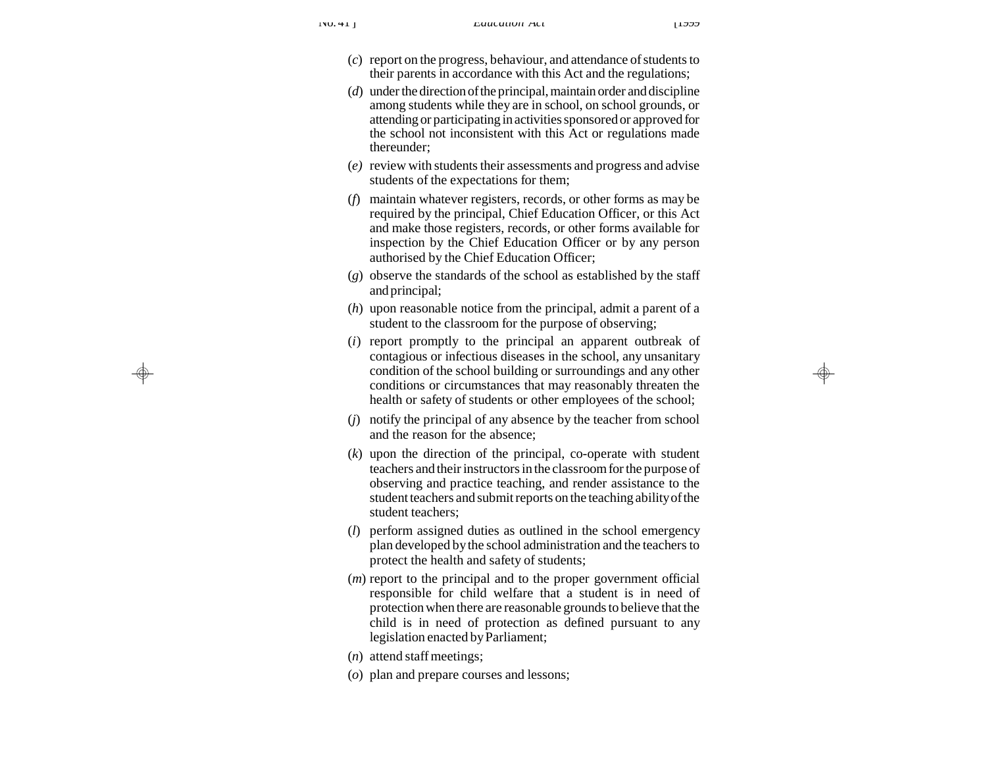- (*c*) report on the progress, behaviour, and attendance of students to their parents in accordance with this Act and the regulations;
- (*d*) under the direction of the principal, maintain order and discipline among students while they are in school, on school grounds, or attending or participating in activities sponsored or approved for the school not inconsistent with this Act or regulations made thereunder;
- (*e)* review with students their assessments and progress and advise students of the expectations for them;
- (*f*) maintain whatever registers, records, or other forms as may be required by the principal, Chief Education Officer, or this Act and make those registers, records, or other forms available for inspection by the Chief Education Officer or by any person authorised by the Chief Education Officer;
- (*g*) observe the standards of the school as established by the staff and principal;
- (*h*) upon reasonable notice from the principal, admit a parent of a student to the classroom for the purpose of observing;
- (*i*) report promptly to the principal an apparent outbreak of contagious or infectious diseases in the school, any unsanitary condition of the school building or surroundings and any other conditions or circumstances that may reasonably threaten the health or safety of students or other employees of the school;
- (*j*) notify the principal of any absence by the teacher from school and the reason for the absence;
- (*k*) upon the direction of the principal, co-operate with student teachers and their instructors in the classroom for the purpose of observing and practice teaching, and render assistance to the student teachers and submit reports on the teaching ability of the student teachers;
- (*l*) perform assigned duties as outlined in the school emergency plan developed by the school administration and the teachers to protect the health and safety of students;
- (*m*) report to the principal and to the proper government official responsible for child welfare that a student is in need of protection when there are reasonable grounds to believe that the child is in need of protection as defined pursuant to any legislation enacted by Parliament;
- (*n*) attend staff meetings;
- (*o*) plan and prepare courses and lessons;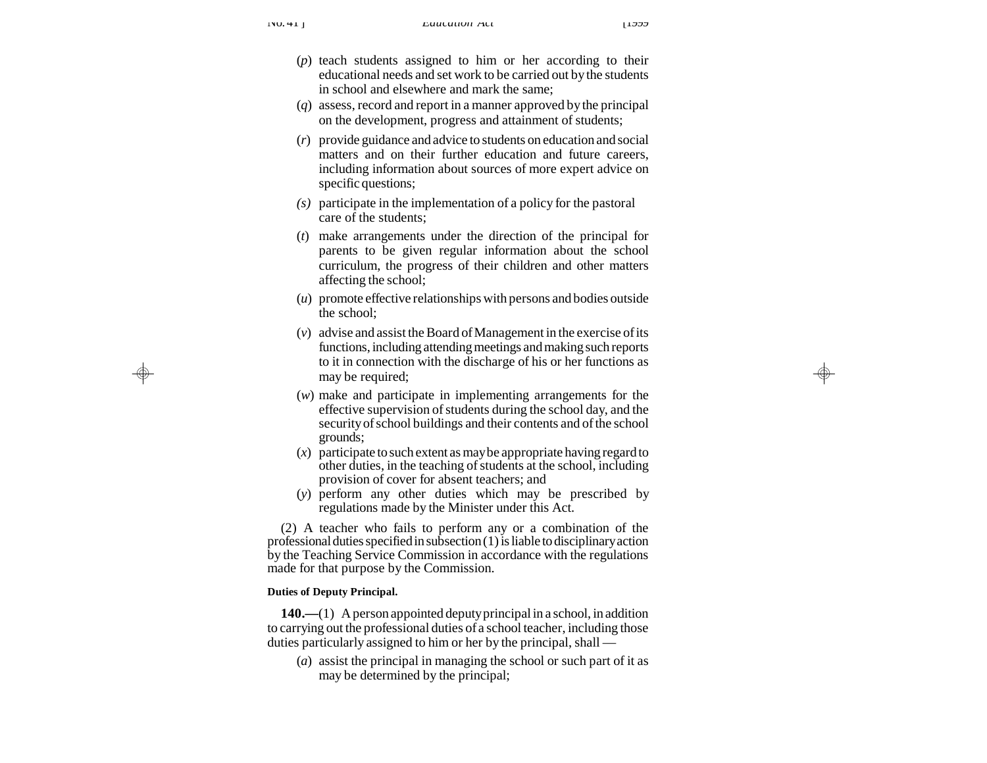⊕

- (*p*) teach students assigned to him or her according to their educational needs and set work to be carried out by the students in school and elsewhere and mark the same;
- (*q*) assess, record and report in a manner approved by the principal on the development, progress and attainment of students;
- (*r*) provide guidance and advice to students on education and social matters and on their further education and future careers, including information about sources of more expert advice on specific questions;
- *(s)* participate in the implementation of a policy for the pastoral care of the students;
- (*t*) make arrangements under the direction of the principal for parents to be given regular information about the school curriculum, the progress of their children and other matters affecting the school;
- (*u*) promote effective relationships with persons and bodies outside the school;
- (*v*) advise and assist the Board of Management in the exercise of its functions, including attending meetings and making such reports to it in connection with the discharge of his or her functions as may be required;
- (*w*) make and participate in implementing arrangements for the effective supervision of students during the school day, and the security of school buildings and their contents and of the school grounds;
- (*x*) participate to such extent as may be appropriate having regard to other duties, in the teaching of students at the school, including provision of cover for absent teachers; and
- (*y*) perform any other duties which may be prescribed by regulations made by the Minister under this Act.

(2) A teacher who fails to perform any or a combination of the professional duties specified in subsection (1) is liable to disciplinary action by the Teaching Service Commission in accordance with the regulations made for that purpose by the Commission.

## **Duties of Deputy Principal.**

**140.**—(1) A person appointed deputy principal in a school, in addition to carrying out the professional duties of a school teacher, including those duties particularly assigned to him or her by the principal, shall —

(*a*) assist the principal in managing the school or such part of it as may be determined by the principal;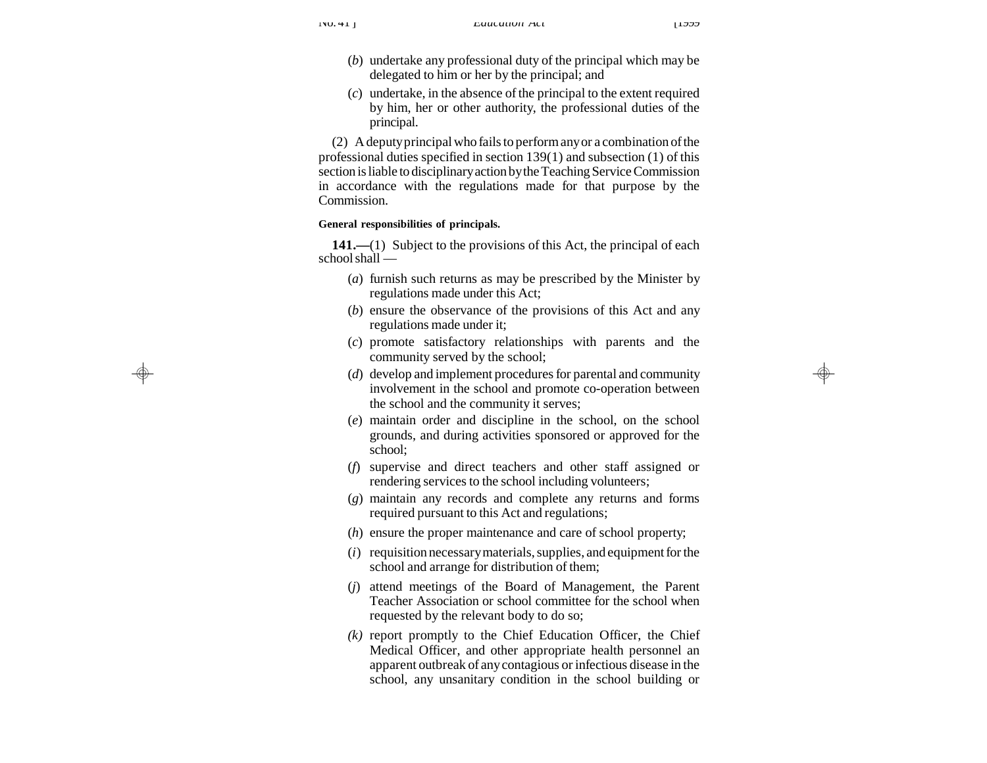⊕

- (*b*) undertake any professional duty of the principal which may be delegated to him or her by the principal; and
- (*c*) undertake, in the absence of the principal to the extent required by him, her or other authority, the professional duties of the principal.

(2) A deputy principal who fails to perform any or a combination of the professional duties specified in section 139(1) and subsection (1) of this section is liable to disciplinary action by the Teaching Service Commission in accordance with the regulations made for that purpose by the Commission.

### **General responsibilities of principals.**

**141.—(1)** Subject to the provisions of this Act, the principal of each school shall —

- (*a*) furnish such returns as may be prescribed by the Minister by regulations made under this Act;
- (*b*) ensure the observance of the provisions of this Act and any regulations made under it;
- (*c*) promote satisfactory relationships with parents and the community served by the school;
- (*d*) develop and implement procedures for parental and community involvement in the school and promote co-operation between the school and the community it serves;
- (*e*) maintain order and discipline in the school, on the school grounds, and during activities sponsored or approved for the school;
- (*f*) supervise and direct teachers and other staff assigned or rendering services to the school including volunteers;
- (*g*) maintain any records and complete any returns and forms required pursuant to this Act and regulations;
- (*h*) ensure the proper maintenance and care of school property;
- (*i*) requisition necessary materials, supplies, and equipment for the school and arrange for distribution of them;
- (*j*) attend meetings of the Board of Management, the Parent Teacher Association or school committee for the school when requested by the relevant body to do so;
- *(k)* report promptly to the Chief Education Officer, the Chief Medical Officer, and other appropriate health personnel an apparent outbreak of any contagious or infectious disease in the school, any unsanitary condition in the school building or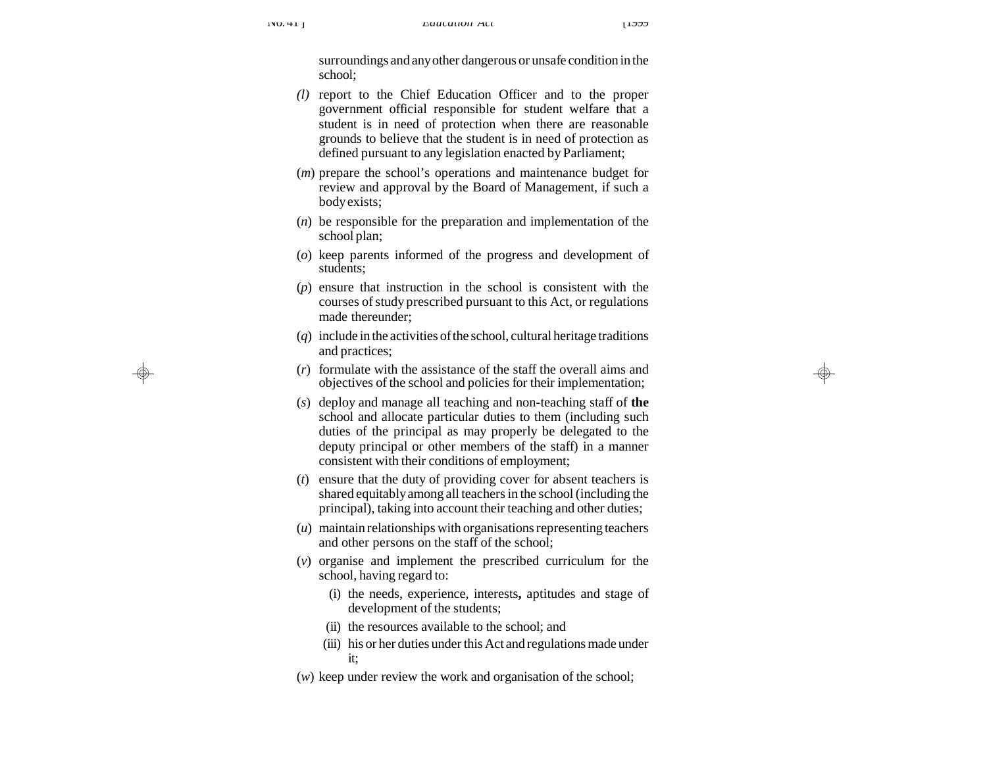$\bigoplus$ 

⊕

surroundings and any other dangerous or unsafe condition in the school;

- *(l)* report to the Chief Education Officer and to the proper government official responsible for student welfare that a student is in need of protection when there are reasonable grounds to believe that the student is in need of protection as defined pursuant to any legislation enacted by Parliament;
- (*m*) prepare the school's operations and maintenance budget for review and approval by the Board of Management, if such a body exists;
- (*n*) be responsible for the preparation and implementation of the school plan;
- (*o*) keep parents informed of the progress and development of students;
- (*p*) ensure that instruction in the school is consistent with the courses of study prescribed pursuant to this Act, or regulations made thereunder;
- (*q*) include in the activities of the school, cultural heritage traditions and practices;
- (*r*) formulate with the assistance of the staff the overall aims and objectives of the school and policies for their implementation;
- (*s*) deploy and manage all teaching and non-teaching staff of **the** school and allocate particular duties to them (including such duties of the principal as may properly be delegated to the deputy principal or other members of the staff) in a manner consistent with their conditions of employment;
- (*t*) ensure that the duty of providing cover for absent teachers is shared equitably among all teachers in the school (including the principal), taking into account their teaching and other duties;
- (*u*) maintain relationships with organisations representing teachers and other persons on the staff of the school;
- (*v*) organise and implement the prescribed curriculum for the school, having regard to:
	- (i) the needs, experience, interests**,** aptitudes and stage of development of the students;
	- (ii) the resources available to the school; and
	- (iii) his or her duties under this Act and regulations made under it;
- (*w*) keep under review the work and organisation of the school;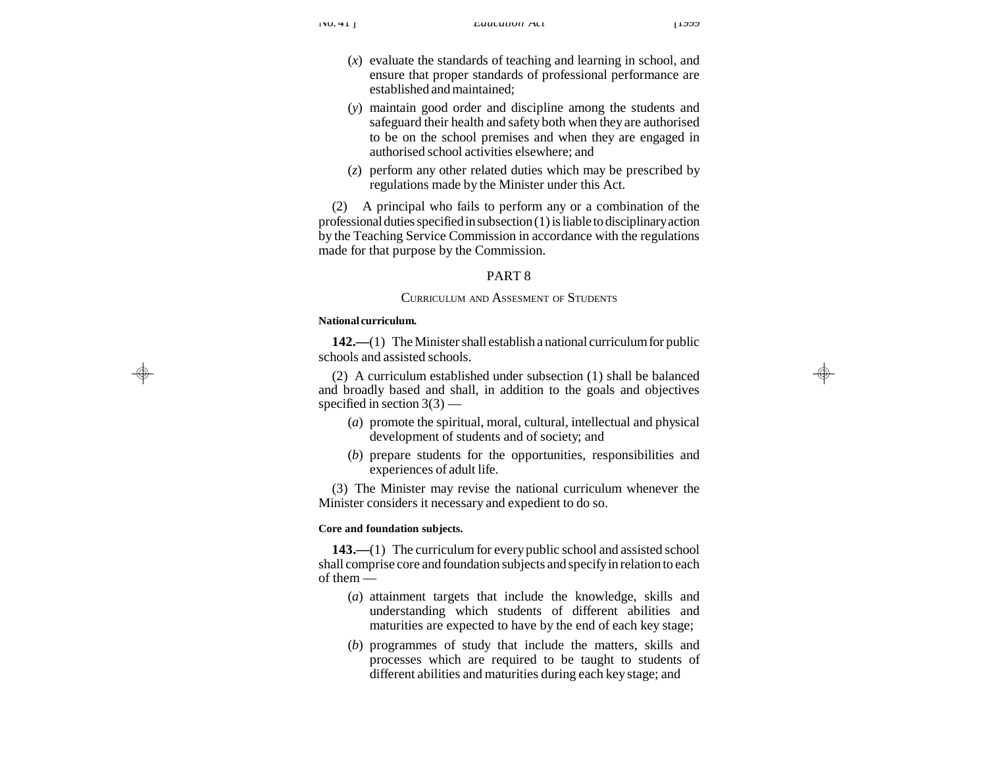- (*x*) evaluate the standards of teaching and learning in school, and ensure that proper standards of professional performance are established and maintained;
- (*y*) maintain good order and discipline among the students and safeguard their health and safety both when they are authorised to be on the school premises and when they are engaged in authorised school activities elsewhere; and
- (*z*) perform any other related duties which may be prescribed by regulations made by the Minister under this Act.

(2) A principal who fails to perform any or a combination of the professional duties specified in subsection (1) is liable to disciplinary action by the Teaching Service Commission in accordance with the regulations made for that purpose by the Commission.

# PART 8

# CURRICULUM AND ASSESMENT OF STUDENTS

## **National curriculum.**

 $\bigcirc$ 

**142.**—(1) The Minister shall establish a national curriculum for public schools and assisted schools.

(2) A curriculum established under subsection (1) shall be balanced and broadly based and shall, in addition to the goals and objectives specified in section  $3(3)$  —

- (*a*) promote the spiritual, moral, cultural, intellectual and physical development of students and of society; and
- (*b*) prepare students for the opportunities, responsibilities and experiences of adult life.

(3) The Minister may revise the national curriculum whenever the Minister considers it necessary and expedient to do so.

# **Core and foundation subjects.**

**143.**—(1) The curriculum for every public school and assisted school shall comprise core and foundation subjects and specify in relation to each of them  $\sim$ 

- (*a*) attainment targets that include the knowledge, skills and understanding which students of different abilities and maturities are expected to have by the end of each key stage;
- (*b*) programmes of study that include the matters, skills and processes which are required to be taught to students of different abilities and maturities during each key stage; and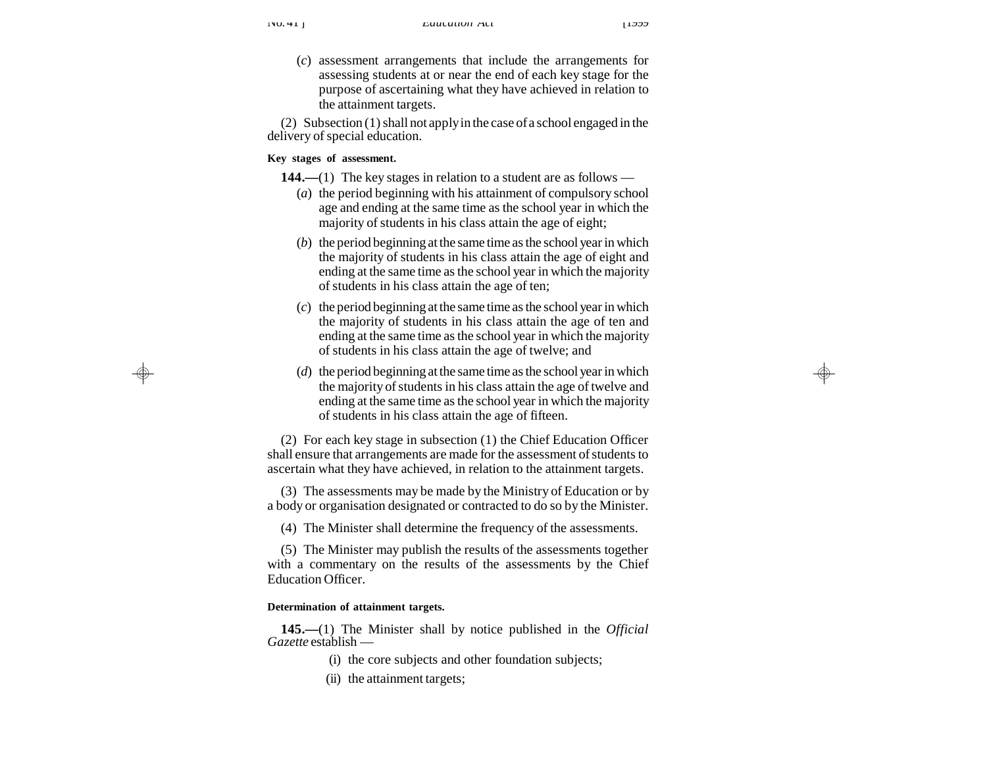(*c*) assessment arrangements that include the arrangements for assessing students at or near the end of each key stage for the purpose of ascertaining what they have achieved in relation to the attainment targets.

(2) Subsection (1) shall not apply in the case of a school engaged in the delivery of special education.

# **Key stages of assessment.**

**144.—(1)** The key stages in relation to a student are as follows —

- (*a*) the period beginning with his attainment of compulsory school age and ending at the same time as the school year in which the majority of students in his class attain the age of eight;
- (*b*) the period beginning at the same time as the school year in which the majority of students in his class attain the age of eight and ending at the same time as the school year in which the majority of students in his class attain the age of ten;
- (*c*) the period beginning at the same time as the school year in which the majority of students in his class attain the age of ten and ending at the same time as the school year in which the majority of students in his class attain the age of twelve; and
- (*d*) the period beginning at the same time as the school year in which the majority of students in his class attain the age of twelve and ending at the same time as the school year in which the majority of students in his class attain the age of fifteen.

(2) For each key stage in subsection (1) the Chief Education Officer shall ensure that arrangements are made for the assessment of students to ascertain what they have achieved, in relation to the attainment targets.

(3) The assessments may be made by the Ministry of Education or by a body or organisation designated or contracted to do so by the Minister.

(4) The Minister shall determine the frequency of the assessments.

(5) The Minister may publish the results of the assessments together with a commentary on the results of the assessments by the Chief Education Officer.

# **Determination of attainment targets.**

**145.—**(1) The Minister shall by notice published in the *Official Gazette* establish —

(i) the core subjects and other foundation subjects;

(ii) the attainment targets;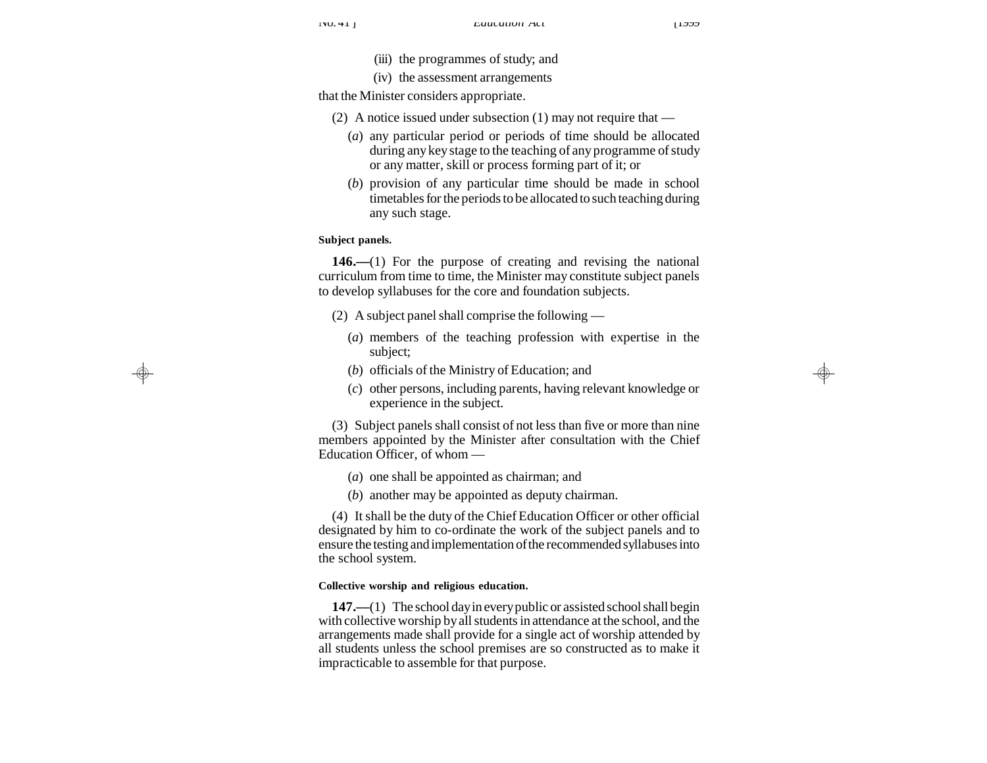$\circledcirc$ 

- (iii) the programmes of study; and
- (iv) the assessment arrangements

that the Minister considers appropriate.

- (2) A notice issued under subsection  $(1)$  may not require that
	- (*a*) any particular period or periods of time should be allocated during any key stage to the teaching of any programme of study or any matter, skill or process forming part of it; or
	- (*b*) provision of any particular time should be made in school timetables for the periods to be allocated to such teaching during any such stage.

# **Subject panels.**

 $\bigcirc$ 

**146.—(1)** For the purpose of creating and revising the national curriculum from time to time, the Minister may constitute subject panels to develop syllabuses for the core and foundation subjects.

- (2) A subject panel shall comprise the following
	- (*a*) members of the teaching profession with expertise in the subject;
	- (*b*) officials of the Ministry of Education; and
	- (*c*) other persons, including parents, having relevant knowledge or experience in the subject.

(3) Subject panels shall consist of not less than five or more than nine members appointed by the Minister after consultation with the Chief Education Officer, of whom —

- (*a*) one shall be appointed as chairman; and
- (*b*) another may be appointed as deputy chairman.

(4) It shall be the duty of the Chief Education Officer or other official designated by him to co-ordinate the work of the subject panels and to ensure the testing and implementation of the recommended syllabuses into the school system.

# **Collective worship and religious education.**

**147.**—(1) The school day in every public or assisted school shall begin with collective worship by all students in attendance at the school, and the arrangements made shall provide for a single act of worship attended by all students unless the school premises are so constructed as to make it impracticable to assemble for that purpose.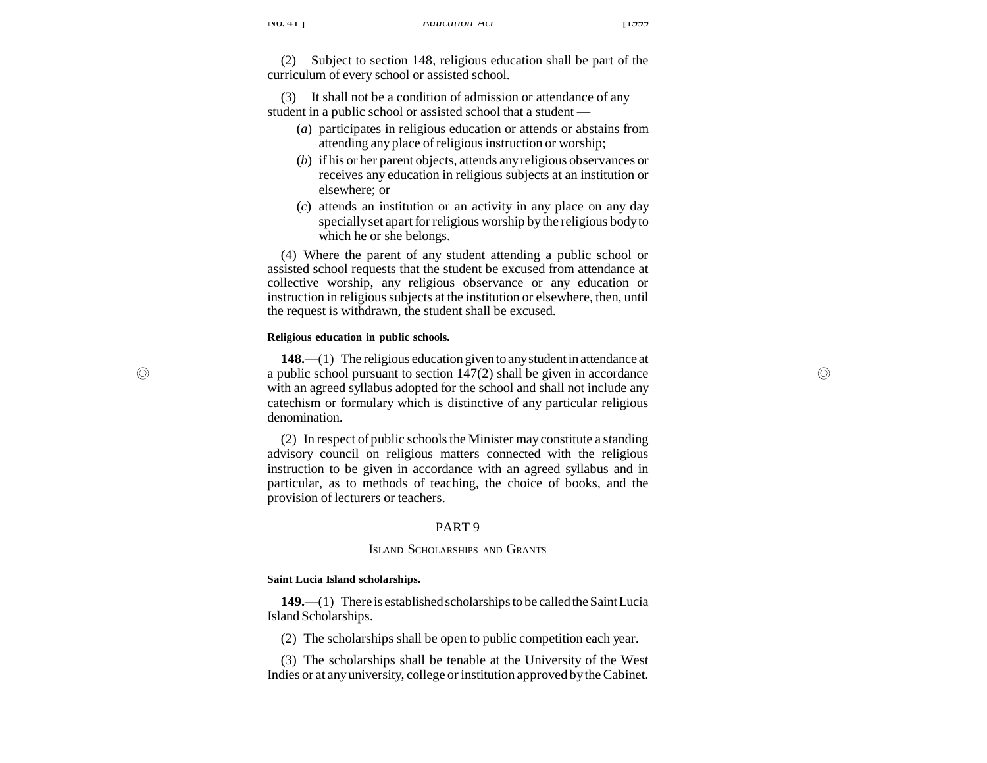$\bigcirc$ 

⊕

(2) Subject to section 148, religious education shall be part of the curriculum of every school or assisted school.

(3) It shall not be a condition of admission or attendance of any student in a public school or assisted school that a student —

- (*a*) participates in religious education or attends or abstains from attending any place of religious instruction or worship;
- (*b*) if his or her parent objects, attends any religious observances or receives any education in religious subjects at an institution or elsewhere; or
- (*c*) attends an institution or an activity in any place on any day specially set apart for religious worship by the religious body to which he or she belongs.

(4) Where the parent of any student attending a public school or assisted school requests that the student be excused from attendance at collective worship, any religious observance or any education or instruction in religious subjects at the institution or elsewhere, then, until the request is withdrawn, the student shall be excused.

# **Religious education in public schools.**

**148.**—(1) The religious education given to any student in attendance at a public school pursuant to section 147(2) shall be given in accordance with an agreed syllabus adopted for the school and shall not include any catechism or formulary which is distinctive of any particular religious denomination.

(2) In respect of public schools the Minister may constitute a standing advisory council on religious matters connected with the religious instruction to be given in accordance with an agreed syllabus and in particular, as to methods of teaching, the choice of books, and the provision of lecturers or teachers.

# PART 9

# ISLAND SCHOLARSHIPS AND GRANTS

# **Saint Lucia Island scholarships.**

**149.**—(1) There is established scholarships to be called the Saint Lucia Island Scholarships.

(2) The scholarships shall be open to public competition each year.

(3) The scholarships shall be tenable at the University of the West Indies or at any university, college or institution approved by the Cabinet.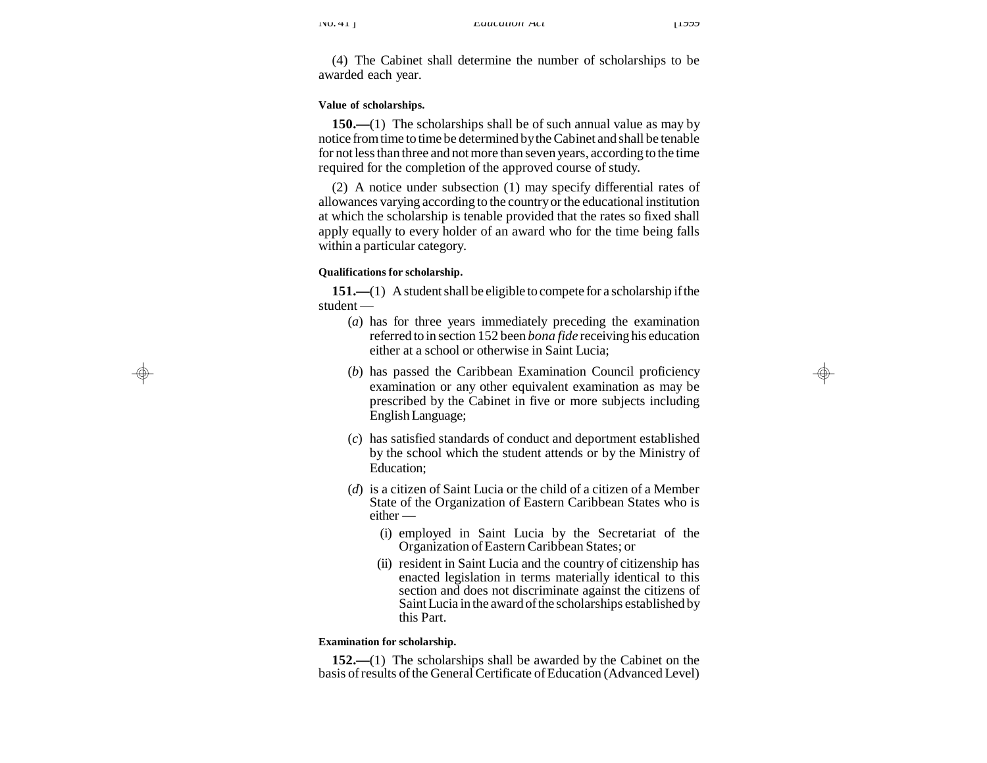$\bigcirc$ 

(4) The Cabinet shall determine the number of scholarships to be awarded each year.

# **Value of scholarships.**

**150.—(1)** The scholarships shall be of such annual value as may by notice from time to time be determined by the Cabinet and shall be tenable for not less than three and not more than seven years, according to the time required for the completion of the approved course of study.

(2) A notice under subsection (1) may specify differential rates of allowances varying according to the country or the educational institution at which the scholarship is tenable provided that the rates so fixed shall apply equally to every holder of an award who for the time being falls within a particular category.

# **Qualifications for scholarship.**

**151.—(1)** A student shall be eligible to compete for a scholarship if the student —

- (*a*) has for three years immediately preceding the examination referred to in section 152 been *bona fide* receiving his education either at a school or otherwise in Saint Lucia;
- (*b*) has passed the Caribbean Examination Council proficiency examination or any other equivalent examination as may be prescribed by the Cabinet in five or more subjects including English Language;
- (*c*) has satisfied standards of conduct and deportment established by the school which the student attends or by the Ministry of Education;
- (*d*) is a citizen of Saint Lucia or the child of a citizen of a Member State of the Organization of Eastern Caribbean States who is either —
	- (i) employed in Saint Lucia by the Secretariat of the Organization of Eastern Caribbean States; or
	- (ii) resident in Saint Lucia and the country of citizenship has enacted legislation in terms materially identical to this section and does not discriminate against the citizens of Saint Lucia in the award of the scholarships established by this Part.

# **Examination for scholarship.**

**152.—(1)** The scholarships shall be awarded by the Cabinet on the basis of results of the General Certificate of Education (Advanced Level)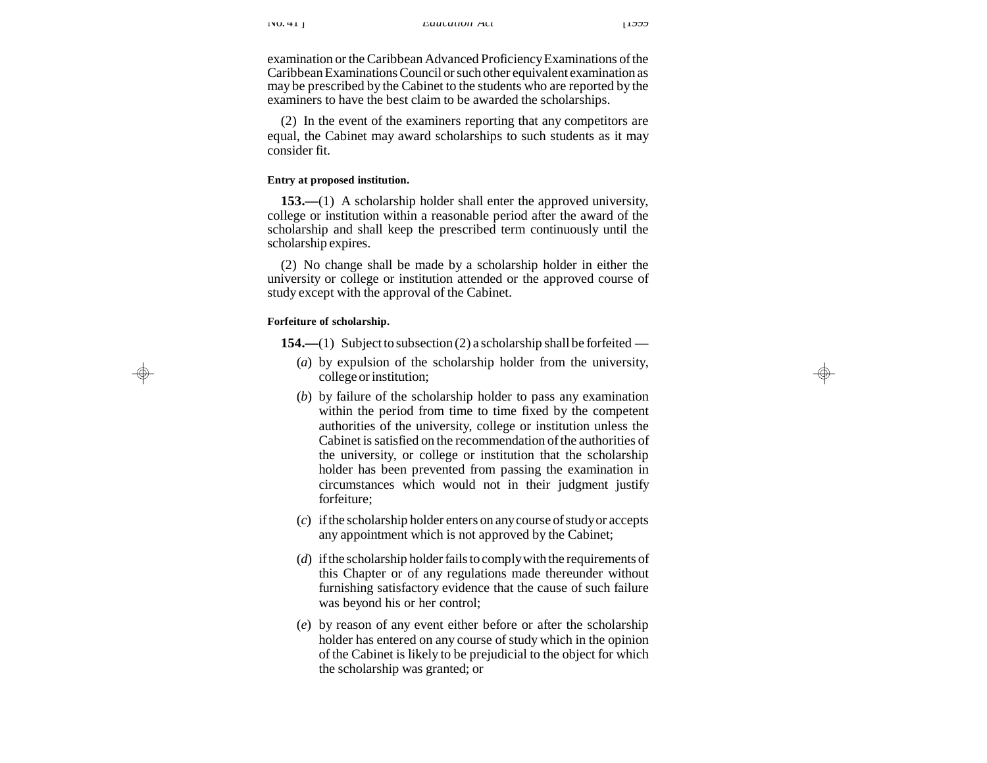examination or the Caribbean Advanced Proficiency Examinations of the Caribbean Examinations Council or such other equivalent examination as may be prescribed by the Cabinet to the students who are reported by the examiners to have the best claim to be awarded the scholarships.

(2) In the event of the examiners reporting that any competitors are equal, the Cabinet may award scholarships to such students as it may consider fit.

# **Entry at proposed institution.**

**153.—(1)** A scholarship holder shall enter the approved university, college or institution within a reasonable period after the award of the scholarship and shall keep the prescribed term continuously until the scholarship expires.

(2) No change shall be made by a scholarship holder in either the university or college or institution attended or the approved course of study except with the approval of the Cabinet.

# **Forfeiture of scholarship.**

⊕

- **154.**—(1) Subject to subsection (2) a scholarship shall be forfeited
	- (*a*) by expulsion of the scholarship holder from the university, college or institution;
	- (*b*) by failure of the scholarship holder to pass any examination within the period from time to time fixed by the competent authorities of the university, college or institution unless the Cabinet is satisfied on the recommendation of the authorities of the university, or college or institution that the scholarship holder has been prevented from passing the examination in circumstances which would not in their judgment justify forfeiture;
	- (*c*) if the scholarship holder enters on any course of study or accepts any appointment which is not approved by the Cabinet;
	- (*d*) if the scholarship holder fails to comply with the requirements of this Chapter or of any regulations made thereunder without furnishing satisfactory evidence that the cause of such failure was beyond his or her control;
	- (*e*) by reason of any event either before or after the scholarship holder has entered on any course of study which in the opinion of the Cabinet is likely to be prejudicial to the object for which the scholarship was granted; or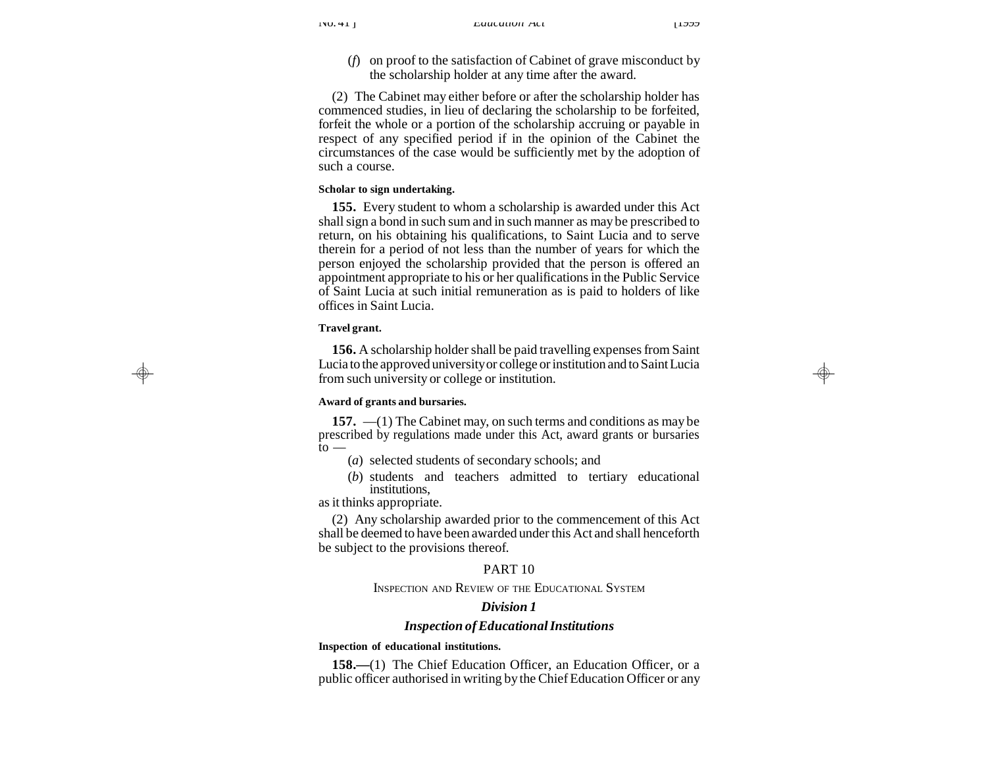$\circledcirc$ 

(*f*) on proof to the satisfaction of Cabinet of grave misconduct by the scholarship holder at any time after the award.

(2) The Cabinet may either before or after the scholarship holder has commenced studies, in lieu of declaring the scholarship to be forfeited, forfeit the whole or a portion of the scholarship accruing or payable in respect of any specified period if in the opinion of the Cabinet the circumstances of the case would be sufficiently met by the adoption of such a course.

# **Scholar to sign undertaking.**

**155.** Every student to whom a scholarship is awarded under this Act shall sign a bond in such sum and in such manner as may be prescribed to return, on his obtaining his qualifications, to Saint Lucia and to serve therein for a period of not less than the number of years for which the person enjoyed the scholarship provided that the person is offered an appointment appropriate to his or her qualifications in the Public Service of Saint Lucia at such initial remuneration as is paid to holders of like offices in Saint Lucia.

# **Travel grant.**

**156.** A scholarship holder shall be paid travelling expenses from Saint Lucia to the approved university or college or institution and to Saint Lucia from such university or college or institution.

# **Award of grants and bursaries.**

**157.** — (1) The Cabinet may, on such terms and conditions as may be prescribed by regulations made under this Act, award grants or bursaries  $to -$ 

- (*a*) selected students of secondary schools; and
- (*b*) students and teachers admitted to tertiary educational institutions,

as it thinks appropriate.

(2) Any scholarship awarded prior to the commencement of this Act shall be deemed to have been awarded under this Act and shall henceforth be subject to the provisions thereof.

# PART 10

INSPECTION AND REVIEW OF THE EDUCATIONAL SYSTEM

# *Division 1*

# *Inspection of Educational Institutions*

# **Inspection of educational institutions.**

**158.—(1)** The Chief Education Officer, an Education Officer, or a public officer authorised in writing by the Chief Education Officer or any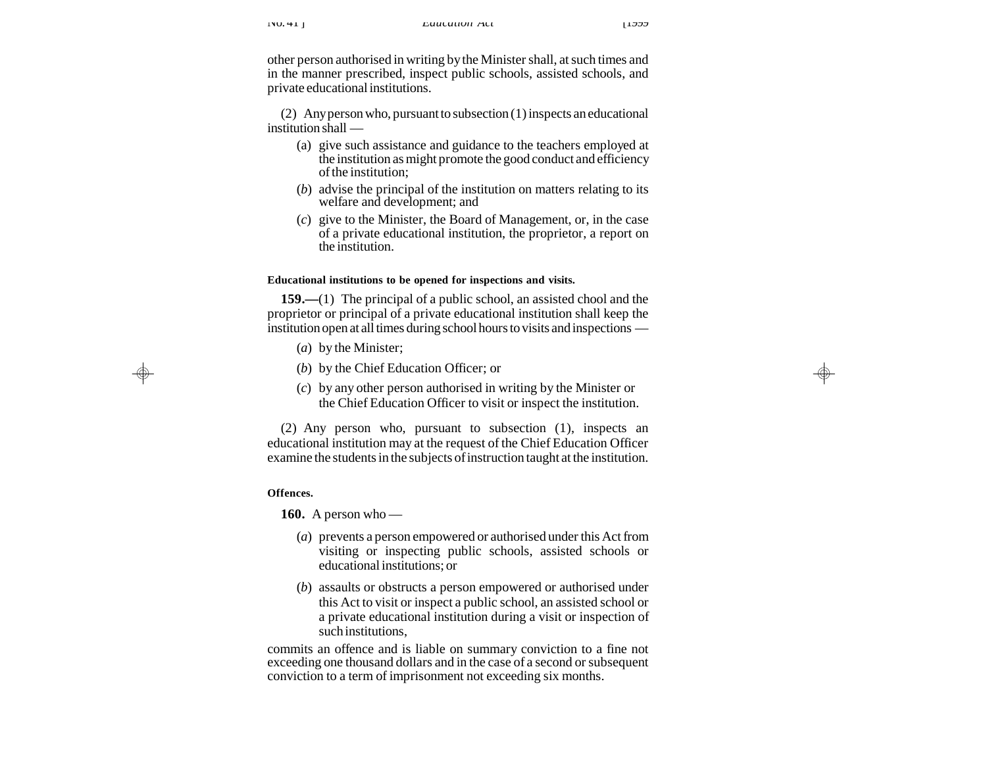other person authorised in writing by the Minister shall, at such times and in the manner prescribed, inspect public schools, assisted schools, and private educational institutions.

(2) Any person who, pursuant to subsection (1) inspects an educational institution shall —

- (a) give such assistance and guidance to the teachers employed at the institution as might promote the good conduct and efficiency of the institution;
- (*b*) advise the principal of the institution on matters relating to its welfare and development; and
- (*c*) give to the Minister, the Board of Management, or, in the case of a private educational institution, the proprietor, a report on the institution.

### **Educational institutions to be opened for inspections and visits.**

**159.—(1)** The principal of a public school, an assisted chool and the proprietor or principal of a private educational institution shall keep the institution open at all times during school hours to visits and inspections —

- (*a*) by the Minister;
- (*b*) by the Chief Education Officer; or
- (*c*) by any other person authorised in writing by the Minister or the Chief Education Officer to visit or inspect the institution.

(2) Any person who, pursuant to subsection (1), inspects an educational institution may at the request of the Chief Education Officer examine the students in the subjects of instruction taught at the institution.

# **Offences.**

 $\bigcirc$ 

**160.** A person who —

- (*a*) prevents a person empowered or authorised under this Act from visiting or inspecting public schools, assisted schools or educational institutions; or
- (*b*) assaults or obstructs a person empowered or authorised under this Act to visit or inspect a public school, an assisted school or a private educational institution during a visit or inspection of such institutions,

commits an offence and is liable on summary conviction to a fine not exceeding one thousand dollars and in the case of a second or subsequent conviction to a term of imprisonment not exceeding six months.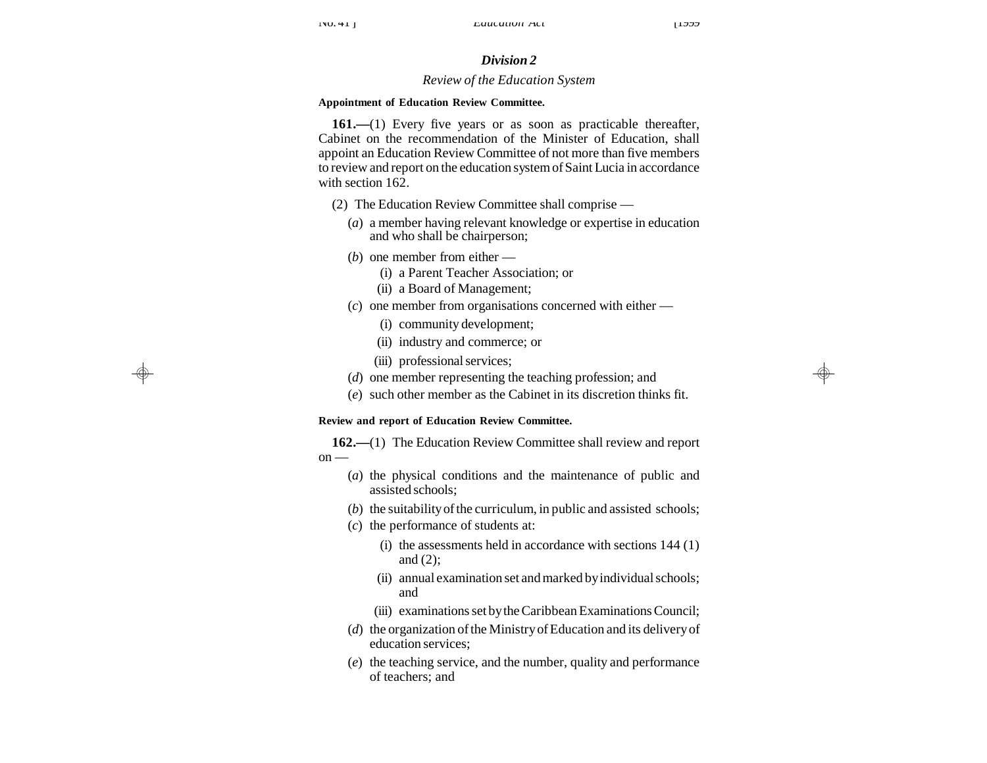# *Division 2*

# *Review of the Education System*

## **Appointment of Education Review Committee.**

**161.—(1)** Every five years or as soon as practicable thereafter, Cabinet on the recommendation of the Minister of Education, shall appoint an Education Review Committee of not more than five members to review and report on the education system of Saint Lucia in accordance with section 162.

- (2) The Education Review Committee shall comprise
	- (*a*) a member having relevant knowledge or expertise in education and who shall be chairperson;
	- (*b*) one member from either
		- (i) a Parent Teacher Association; or
		- (ii) a Board of Management;
	- (*c*) one member from organisations concerned with either
		- (i) community development;
		- (ii) industry and commerce; or
		- (iii) professional services;
	- (*d*) one member representing the teaching profession; and
	- (*e*) such other member as the Cabinet in its discretion thinks fit.

# **Review and report of Education Review Committee.**

**162.—(1)** The Education Review Committee shall review and report  $on$  —

- (*a*) the physical conditions and the maintenance of public and assisted schools;
- (*b*) the suitability of the curriculum, in public and assisted schools;
- (*c*) the performance of students at:
	- (i) the assessments held in accordance with sections 144 (1) and (2);
	- (ii) annual examination set and marked by individual schools; and
	- (iii) examinations set by the Caribbean Examinations Council;
- (*d*) the organization of the Ministry of Education and its delivery of education services;
- (*e*) the teaching service, and the number, quality and performance of teachers; and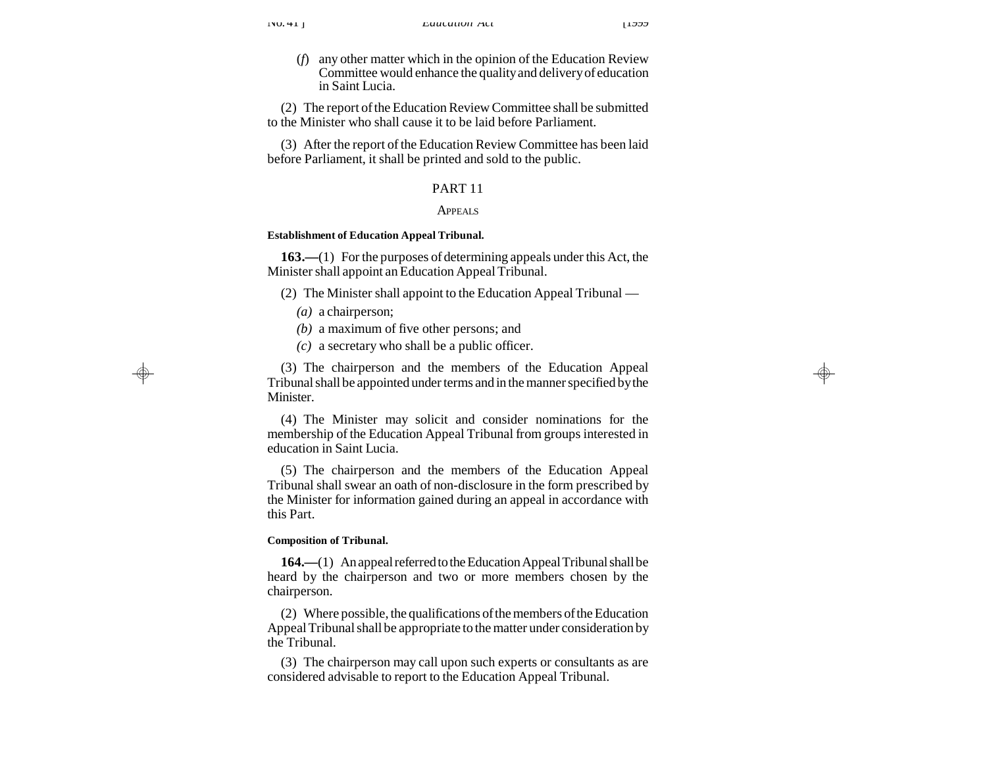(*f*) any other matter which in the opinion of the Education Review Committee would enhance the quality and delivery of education in Saint Lucia.

(2) The report of the Education Review Committee shall be submitted to the Minister who shall cause it to be laid before Parliament.

(3) After the report of the Education Review Committee has been laid before Parliament, it shall be printed and sold to the public.

# PART 11

## APPEALS

### **Establishment of Education Appeal Tribunal.**

**163.—(1)** For the purposes of determining appeals under this Act, the Minister shall appoint an Education Appeal Tribunal.

- (2) The Minister shall appoint to the Education Appeal Tribunal
	- *(a)* a chairperson;

⊕

- *(b)* a maximum of five other persons; and
- *(c)* a secretary who shall be a public officer.

(3) The chairperson and the members of the Education Appeal Tribunal shall be appointed under terms and in the manner specified by the Minister.

(4) The Minister may solicit and consider nominations for the membership of the Education Appeal Tribunal from groups interested in education in Saint Lucia.

(5) The chairperson and the members of the Education Appeal Tribunal shall swear an oath of non-disclosure in the form prescribed by the Minister for information gained during an appeal in accordance with this Part.

### **Composition of Tribunal.**

**164.—(1)** An appeal referred to the Education Appeal Tribunal shall be heard by the chairperson and two or more members chosen by the chairperson.

(2) Where possible, the qualifications of the members of the Education Appeal Tribunal shall be appropriate to the matter under consideration by the Tribunal.

(3) The chairperson may call upon such experts or consultants as are considered advisable to report to the Education Appeal Tribunal.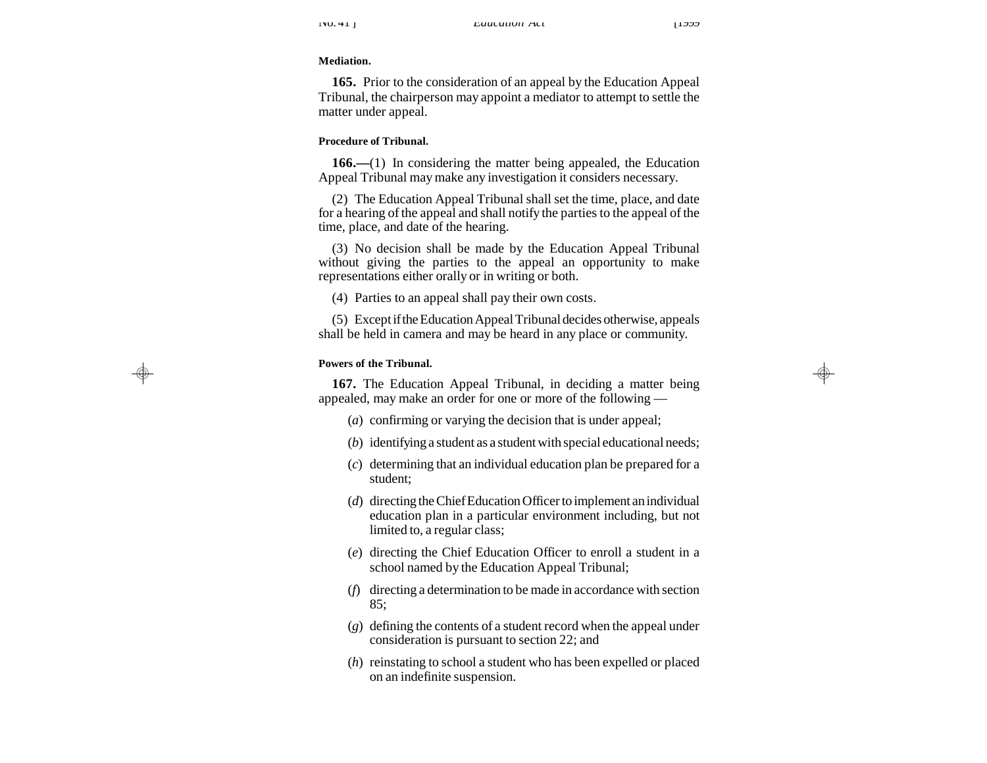◈

# **Mediation.**

**165.** Prior to the consideration of an appeal by the Education Appeal Tribunal, the chairperson may appoint a mediator to attempt to settle the matter under appeal.

# **Procedure of Tribunal.**

**166.—(1)** In considering the matter being appealed, the Education Appeal Tribunal may make any investigation it considers necessary.

(2) The Education Appeal Tribunal shall set the time, place, and date for a hearing of the appeal and shall notify the parties to the appeal of the time, place, and date of the hearing.

(3) No decision shall be made by the Education Appeal Tribunal without giving the parties to the appeal an opportunity to make representations either orally or in writing or both.

(4) Parties to an appeal shall pay their own costs.

(5) Except if the Education Appeal Tribunal decides otherwise, appeals shall be held in camera and may be heard in any place or community.

# **Powers of the Tribunal.**

 $\bigcirc$ 

**167.** The Education Appeal Tribunal, in deciding a matter being appealed, may make an order for one or more of the following —

- (*a*) confirming or varying the decision that is under appeal;
- (*b*) identifying a student as a student with special educational needs;
- (*c*) determining that an individual education plan be prepared for a student;
- (*d*) directing the Chief Education Officer to implement an individual education plan in a particular environment including, but not limited to, a regular class;
- (*e*) directing the Chief Education Officer to enroll a student in a school named by the Education Appeal Tribunal;
- (*f*) directing a determination to be made in accordance with section 85;
- (*g*) defining the contents of a student record when the appeal under consideration is pursuant to section 22; and
- (*h*) reinstating to school a student who has been expelled or placed on an indefinite suspension.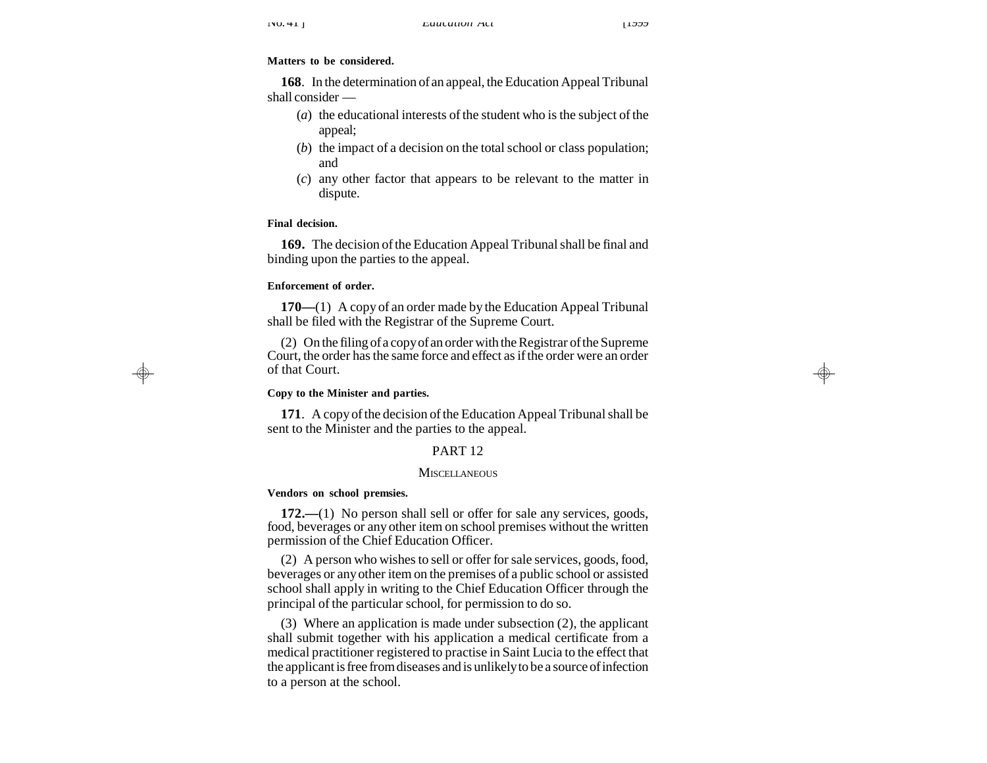### **Matters to be considered.**

**168**. In the determination of an appeal, the Education Appeal Tribunal shall consider —

- (*a*) the educational interests of the student who is the subject of the appeal;
- (*b*) the impact of a decision on the total school or class population; and
- (*c*) any other factor that appears to be relevant to the matter in dispute.

# **Final decision.**

 $\bigoplus$ 

**169.** The decision of the Education Appeal Tribunal shall be final and binding upon the parties to the appeal.

### **Enforcement of order.**

**170—(1)** A copy of an order made by the Education Appeal Tribunal shall be filed with the Registrar of the Supreme Court.

(2) On the filing of a copy of an order with the Registrar of the Supreme Court, the order has the same force and effect as if the order were an order of that Court.

# **Copy to the Minister and parties.**

**171**. A copy of the decision of the Education Appeal Tribunal shall be sent to the Minister and the parties to the appeal.

# PART 12

# **MISCELLANEOUS**

## **Vendors on school premsies.**

**172.**—(1) No person shall sell or offer for sale any services, goods, food, beverages or any other item on school premises without the written permission of the Chief Education Officer.

(2) A person who wishes to sell or offer for sale services, goods, food, beverages or any other item on the premises of a public school or assisted school shall apply in writing to the Chief Education Officer through the principal of the particular school, for permission to do so.

(3) Where an application is made under subsection (2), the applicant shall submit together with his application a medical certificate from a medical practitioner registered to practise in Saint Lucia to the effect that the applicant is free from diseases and is unlikely to be a source of infection to a person at the school.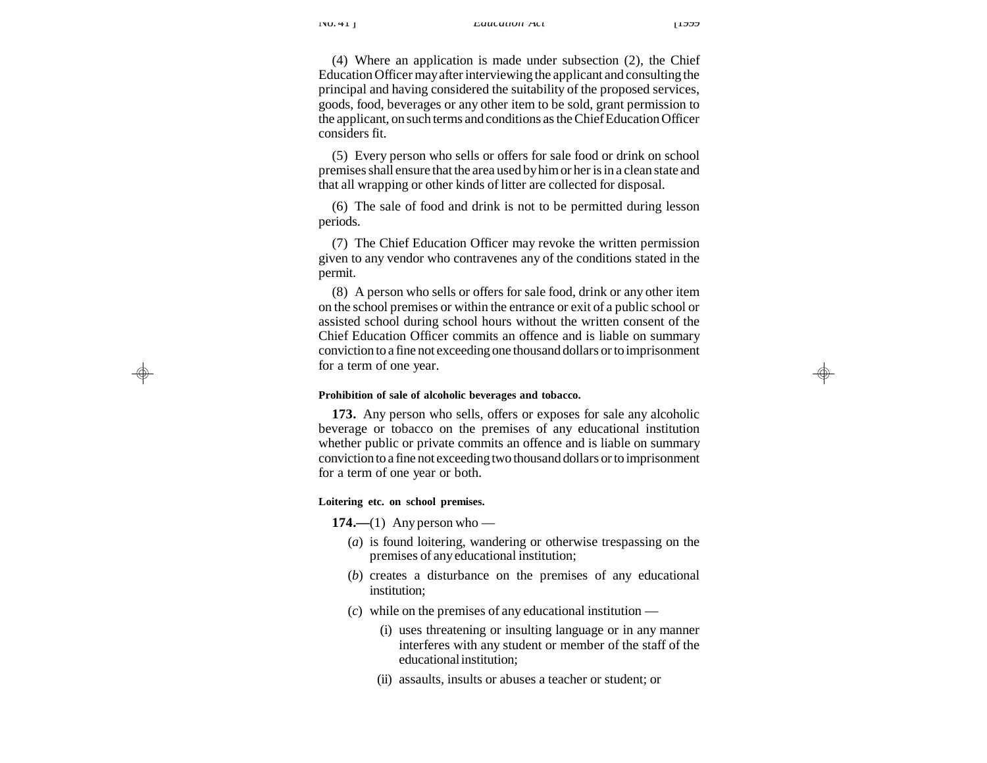$\bigcirc$ 

⊕

(4) Where an application is made under subsection (2), the Chief Education Officer may after interviewing the applicant and consulting the principal and having considered the suitability of the proposed services, goods, food, beverages or any other item to be sold, grant permission to the applicant, on such terms and conditions as the Chief Education Officer considers fit.

(5) Every person who sells or offers for sale food or drink on school premises shall ensure that the area used by him or her is in a clean state and that all wrapping or other kinds of litter are collected for disposal.

(6) The sale of food and drink is not to be permitted during lesson periods.

(7) The Chief Education Officer may revoke the written permission given to any vendor who contravenes any of the conditions stated in the permit.

(8) A person who sells or offers for sale food, drink or any other item on the school premises or within the entrance or exit of a public school or assisted school during school hours without the written consent of the Chief Education Officer commits an offence and is liable on summary conviction to a fine not exceeding one thousand dollars or to imprisonment for a term of one year.

# **Prohibition of sale of alcoholic beverages and tobacco.**

**173.** Any person who sells, offers or exposes for sale any alcoholic beverage or tobacco on the premises of any educational institution whether public or private commits an offence and is liable on summary conviction to a fine not exceeding two thousand dollars or to imprisonment for a term of one year or both.

### **Loitering etc. on school premises.**

**174.—(1)** Any person who —

- (*a*) is found loitering, wandering or otherwise trespassing on the premises of any educational institution;
- (*b*) creates a disturbance on the premises of any educational institution;
- (*c*) while on the premises of any educational institution
	- (i) uses threatening or insulting language or in any manner interferes with any student or member of the staff of the educational institution;
	- (ii) assaults, insults or abuses a teacher or student; or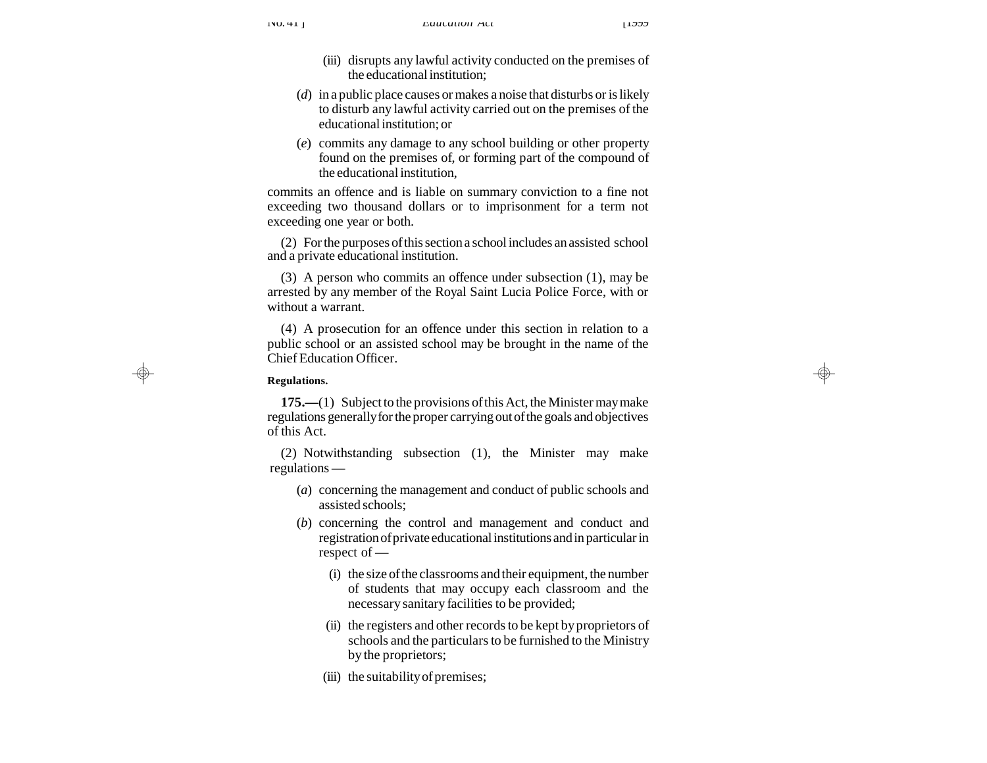- (iii) disrupts any lawful activity conducted on the premises of the educational institution;
- (*d*) in a public place causes or makes a noise that disturbs or is likely to disturb any lawful activity carried out on the premises of the educational institution; or
- (*e*) commits any damage to any school building or other property found on the premises of, or forming part of the compound of the educational institution,

commits an offence and is liable on summary conviction to a fine not exceeding two thousand dollars or to imprisonment for a term not exceeding one year or both.

(2) For the purposes of this section a school includes an assisted school and a private educational institution.

(3) A person who commits an offence under subsection (1), may be arrested by any member of the Royal Saint Lucia Police Force, with or without a warrant.

(4) A prosecution for an offence under this section in relation to a public school or an assisted school may be brought in the name of the Chief Education Officer.

# **Regulations.**

 $\bigcirc$ 

**175.**—(1) Subject to the provisions of this Act, the Minister may make regulations generally for the proper carrying out of the goals and objectives of this Act.

(2) Notwithstanding subsection (1), the Minister may make regulations —

- (*a*) concerning the management and conduct of public schools and assisted schools;
- (*b*) concerning the control and management and conduct and registration of private educational institutions and in particular in respect of —
	- (i) the size of the classrooms and their equipment, the number of students that may occupy each classroom and the necessary sanitary facilities to be provided;
	- (ii) the registers and other records to be kept by proprietors of schools and the particulars to be furnished to the Ministry by the proprietors;
	- (iii) the suitability of premises;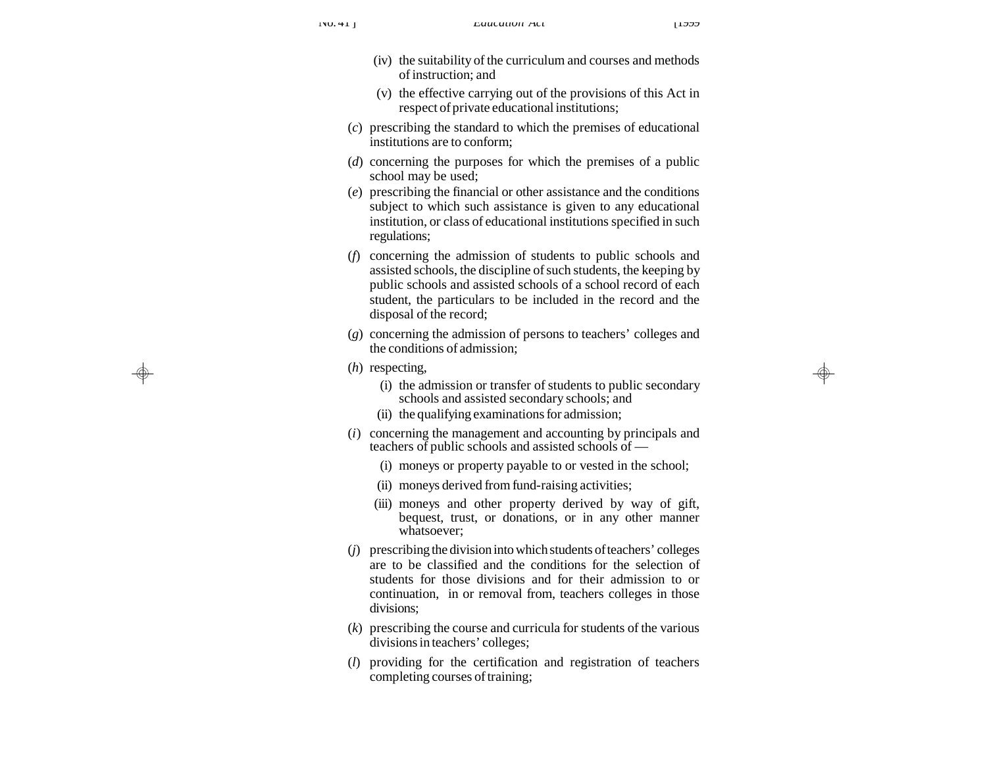◈

- (iv) the suitability of the curriculum and courses and methods of instruction; and
- (v) the effective carrying out of the provisions of this Act in respect of private educational institutions;
- (*c*) prescribing the standard to which the premises of educational institutions are to conform;
- (*d*) concerning the purposes for which the premises of a public school may be used;
- (*e*) prescribing the financial or other assistance and the conditions subject to which such assistance is given to any educational institution, or class of educational institutions specified in such regulations;
- (*f*) concerning the admission of students to public schools and assisted schools, the discipline of such students, the keeping by public schools and assisted schools of a school record of each student, the particulars to be included in the record and the disposal of the record;
- (*g*) concerning the admission of persons to teachers' colleges and the conditions of admission;
- (*h*) respecting,

 $\bigcirc$ 

- (i) the admission or transfer of students to public secondary schools and assisted secondary schools; and
- (ii) the qualifying examinations for admission;
- (*i*) concerning the management and accounting by principals and teachers of public schools and assisted schools of —
	- (i) moneys or property payable to or vested in the school;
	- (ii) moneys derived from fund-raising activities;
	- (iii) moneys and other property derived by way of gift, bequest, trust, or donations, or in any other manner whatsoever;
- (*j*) prescribing the division into which students of teachers' colleges are to be classified and the conditions for the selection of students for those divisions and for their admission to or continuation, in or removal from, teachers colleges in those divisions;
- (*k*) prescribing the course and curricula for students of the various divisions in teachers' colleges;
- (*l*) providing for the certification and registration of teachers completing courses of training;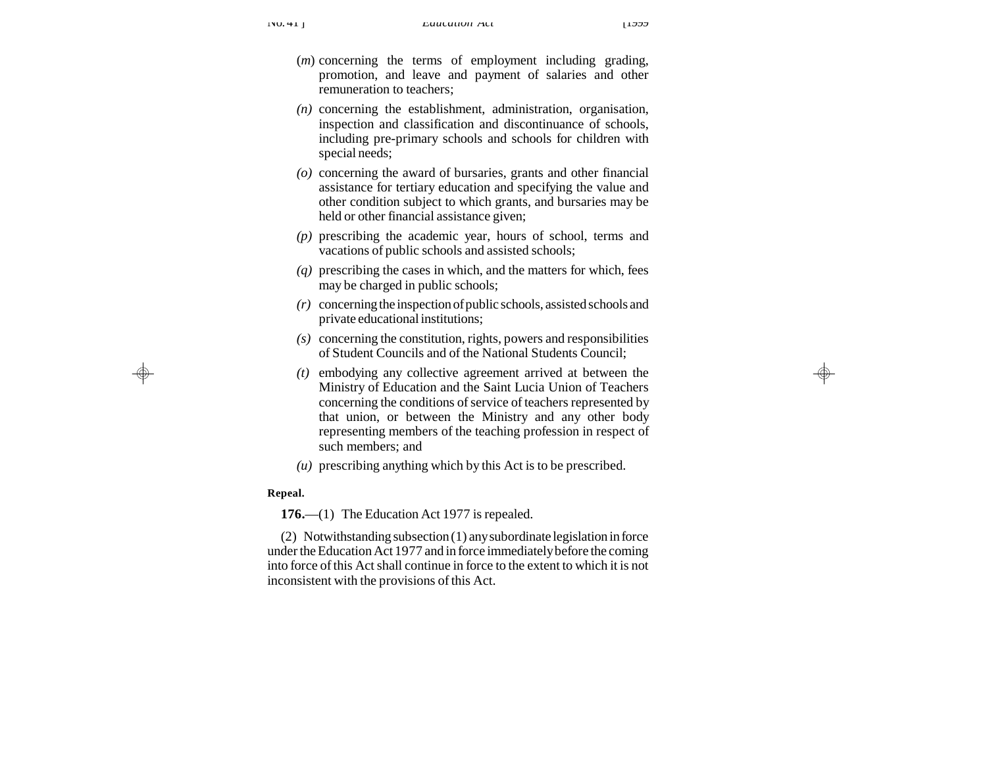- (*m*) concerning the terms of employment including grading, promotion, and leave and payment of salaries and other remuneration to teachers;
- *(n)* concerning the establishment, administration, organisation, inspection and classification and discontinuance of schools, including pre-primary schools and schools for children with special needs;
- *(o)* concerning the award of bursaries, grants and other financial assistance for tertiary education and specifying the value and other condition subject to which grants, and bursaries may be held or other financial assistance given;
- *(p)* prescribing the academic year, hours of school, terms and vacations of public schools and assisted schools;
- *(q)* prescribing the cases in which, and the matters for which, fees may be charged in public schools;
- *(r)* concerning the inspection of public schools, assisted schools and private educational institutions;
- *(s)* concerning the constitution, rights, powers and responsibilities of Student Councils and of the National Students Council;
- *(t)* embodying any collective agreement arrived at between the Ministry of Education and the Saint Lucia Union of Teachers concerning the conditions of service of teachers represented by that union, or between the Ministry and any other body representing members of the teaching profession in respect of such members; and
- *(u)* prescribing anything which by this Act is to be prescribed.

## **Repeal.**

⊕

**176.**—(1) The Education Act 1977 is repealed.

(2) Notwithstanding subsection (1) any subordinate legislation in force under the Education Act 1977 and in force immediately before the coming into force of this Act shall continue in force to the extent to which it is not inconsistent with the provisions of this Act.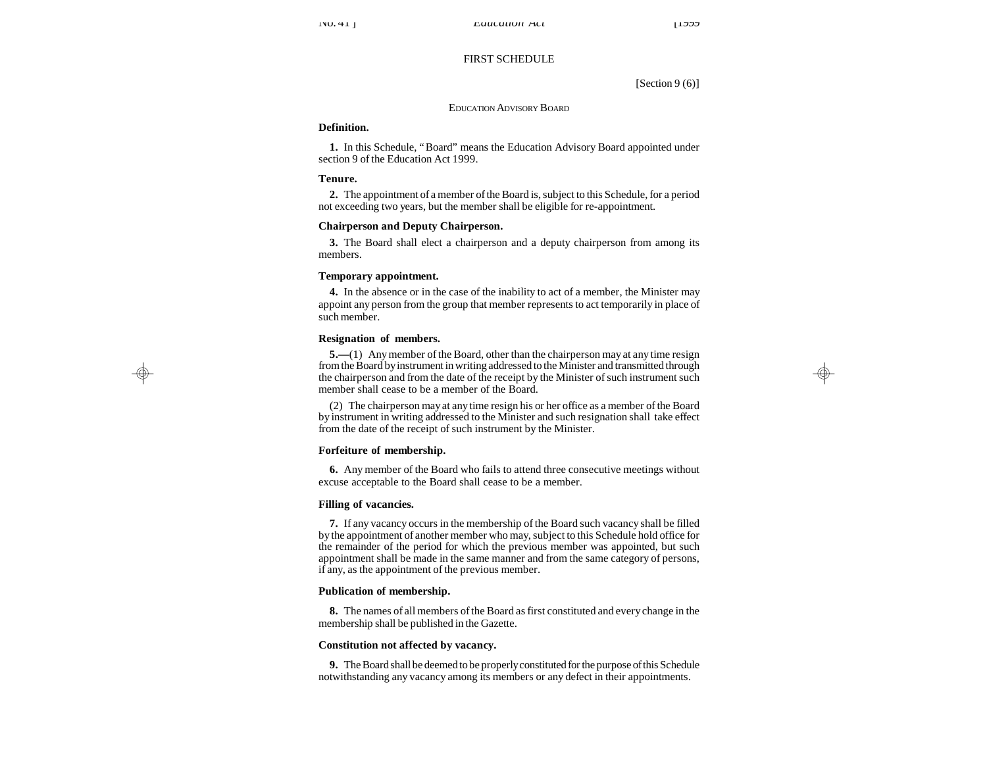### FIRST SCHEDULE

 $[Section 9 (6)]$ 

#### EDUCATION ADVISORY BOARD

### **Definition.**

**1.** In this Schedule, "Board" means the Education Advisory Board appointed under section 9 of the Education Act 1999.

#### **Tenure.**

**2.** The appointment of a member of the Board is, subject to this Schedule, for a period not exceeding two years, but the member shall be eligible for re-appointment.

### **Chairperson and Deputy Chairperson.**

**3.** The Board shall elect a chairperson and a deputy chairperson from among its members.

# **Temporary appointment.**

**4.** In the absence or in the case of the inability to act of a member, the Minister may appoint any person from the group that member represents to act temporarily in place of such member.

### **Resignation of members.**

**5.**—(1) Any member of the Board, other than the chairperson may at any time resign from the Board by instrument in writing addressed to the Minister and transmitted through the chairperson and from the date of the receipt by the Minister of such instrument such member shall cease to be a member of the Board.

(2) The chairperson may at any time resign his or her office as a member of the Board by instrument in writing addressed to the Minister and such resignation shall take effect from the date of the receipt of such instrument by the Minister.

#### **Forfeiture of membership.**

**6.** Any member of the Board who fails to attend three consecutive meetings without excuse acceptable to the Board shall cease to be a member.

### **Filling of vacancies.**

**7.** If any vacancy occurs in the membership of the Board such vacancy shall be filled by the appointment of another member who may, subject to this Schedule hold office for the remainder of the period for which the previous member was appointed, but such appointment shall be made in the same manner and from the same category of persons, if any, as the appointment of the previous member.

#### **Publication of membership.**

**8.** The names of all members of the Board as first constituted and every change in the membership shall be published in the Gazette.

#### **Constitution not affected by vacancy.**

**9.** The Board shall be deemed to be properly constituted for the purpose of this Schedule notwithstanding any vacancy among its members or any defect in their appointments.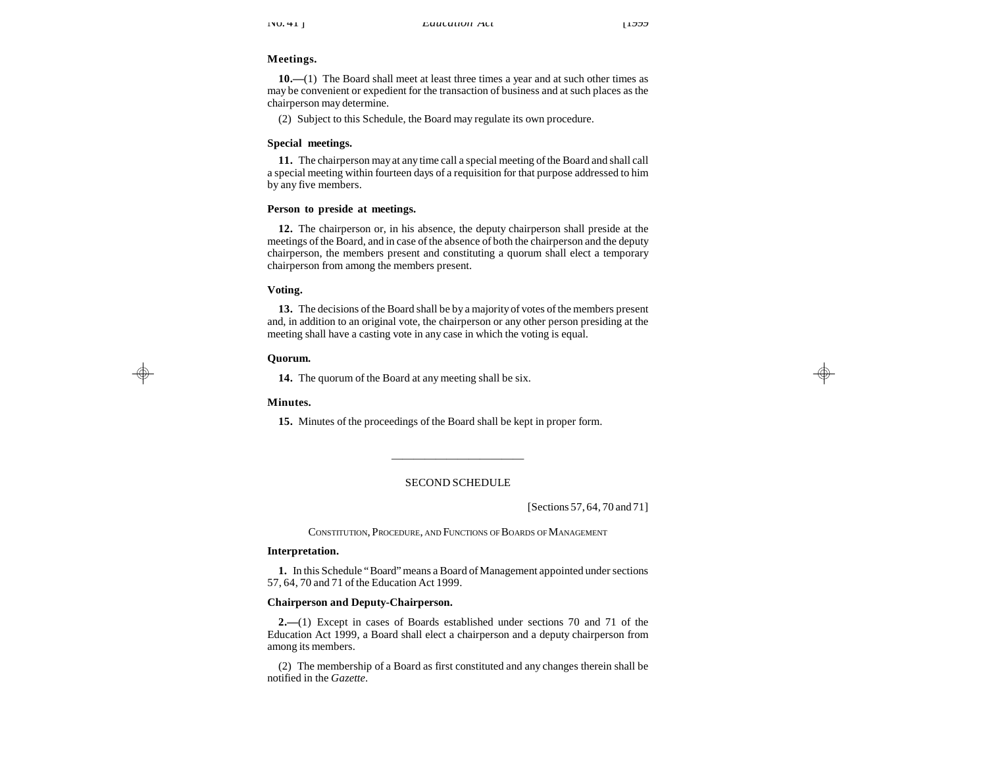### **Meetings.**

**10.——** (1) The Board shall meet at least three times a year and at such other times as may be convenient or expedient for the transaction of business and at such places as the chairperson may determine.

(2) Subject to this Schedule, the Board may regulate its own procedure.

### **Special meetings.**

**11.** The chairperson may at any time call a special meeting of the Board and shall call a special meeting within fourteen days of a requisition for that purpose addressed to him by any five members.

### **Person to preside at meetings.**

**12.** The chairperson or, in his absence, the deputy chairperson shall preside at the meetings of the Board, and in case of the absence of both the chairperson and the deputy chairperson, the members present and constituting a quorum shall elect a temporary chairperson from among the members present.

#### **Voting.**

**13.** The decisions of the Board shall be by a majority of votes of the members present and, in addition to an original vote, the chairperson or any other person presiding at the meeting shall have a casting vote in any case in which the voting is equal.

#### **Quorum.**

 $\bigcirc$ 

**14.** The quorum of the Board at any meeting shall be six.

#### **Minutes.**

**15.** Minutes of the proceedings of the Board shall be kept in proper form.

### SECOND SCHEDULE

————————————

[Sections 57, 64, 70 and 71]

CONSTITUTION, PROCEDURE, AND FUNCTIONS OF BOARDS OF MANAGEMENT

#### **Interpretation.**

**1.** In this Schedule "Board" means a Board of Management appointed under sections 57, 64, 70 and 71 of the Education Act 1999.

### **Chairperson and Deputy-Chairperson.**

**2.**—(1) Except in cases of Boards established under sections 70 and 71 of the Education Act 1999, a Board shall elect a chairperson and a deputy chairperson from among its members.

(2) The membership of a Board as first constituted and any changes therein shall be notified in the *Gazette*.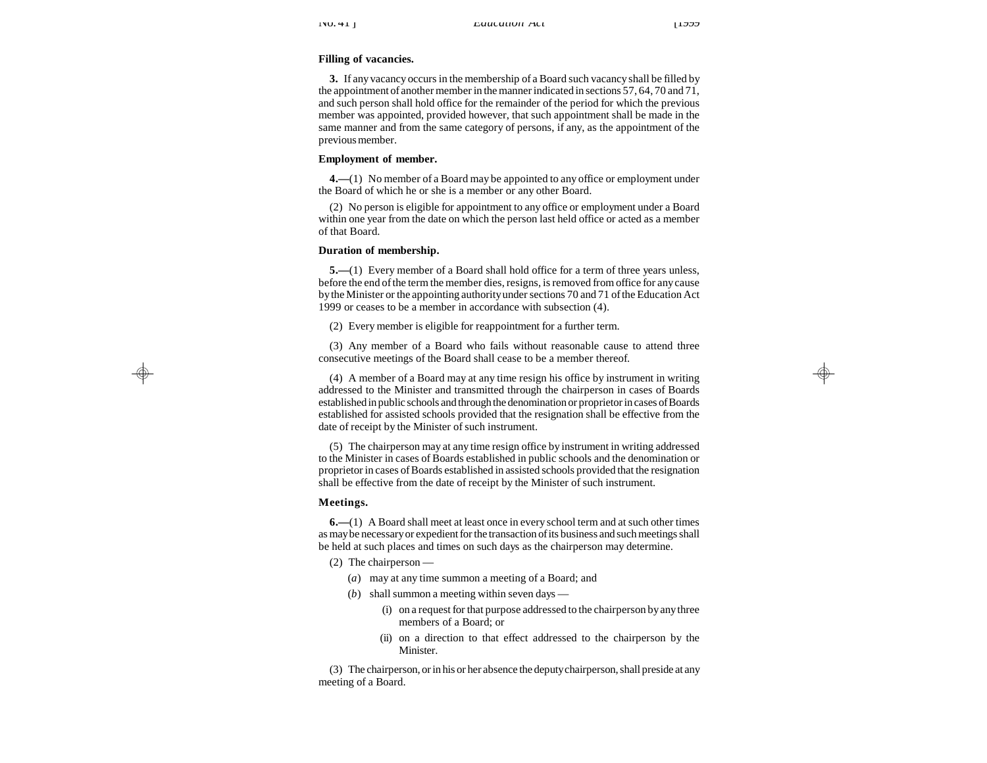### **Filling of vacancies.**

**3.** If any vacancy occurs in the membership of a Board such vacancy shall be filled by the appointment of another member in the manner indicated in sections 57, 64, 70 and 71, and such person shall hold office for the remainder of the period for which the previous member was appointed, provided however, that such appointment shall be made in the same manner and from the same category of persons, if any, as the appointment of the previous member.

### **Employment of member.**

**4.**—(1) No member of a Board may be appointed to any office or employment under the Board of which he or she is a member or any other Board.

(2) No person is eligible for appointment to any office or employment under a Board within one year from the date on which the person last held office or acted as a member of that Board.

### **Duration of membership.**

**5.**—(1) Every member of a Board shall hold office for a term of three years unless, before the end of the term the member dies, resigns, is removed from office for any cause by the Minister or the appointing authority under sections 70 and 71 of the Education Act 1999 or ceases to be a member in accordance with subsection (4).

(2) Every member is eligible for reappointment for a further term.

(3) Any member of a Board who fails without reasonable cause to attend three consecutive meetings of the Board shall cease to be a member thereof.

(4) A member of a Board may at any time resign his office by instrument in writing addressed to the Minister and transmitted through the chairperson in cases of Boards established in public schools and through the denomination or proprietor in cases of Boards established for assisted schools provided that the resignation shall be effective from the date of receipt by the Minister of such instrument.

(5) The chairperson may at any time resign office by instrument in writing addressed to the Minister in cases of Boards established in public schools and the denomination or proprietor in cases of Boards established in assisted schools provided that the resignation shall be effective from the date of receipt by the Minister of such instrument.

#### **Meetings.**

 $\bigcirc$ 

**6.—** (1) A Board shall meet at least once in every school term and at such other times as may be necessary or expedient for the transaction of its business and such meetings shall be held at such places and times on such days as the chairperson may determine.

(2) The chairperson —

- (*a*) may at any time summon a meeting of a Board; and
- (*b*) shall summon a meeting within seven days
	- (i) on a request for that purpose addressed to the chairperson by any three members of a Board; or
	- (ii) on a direction to that effect addressed to the chairperson by the Minister.

(3) The chairperson, or in his or her absence the deputy chairperson, shall preside at any meeting of a Board.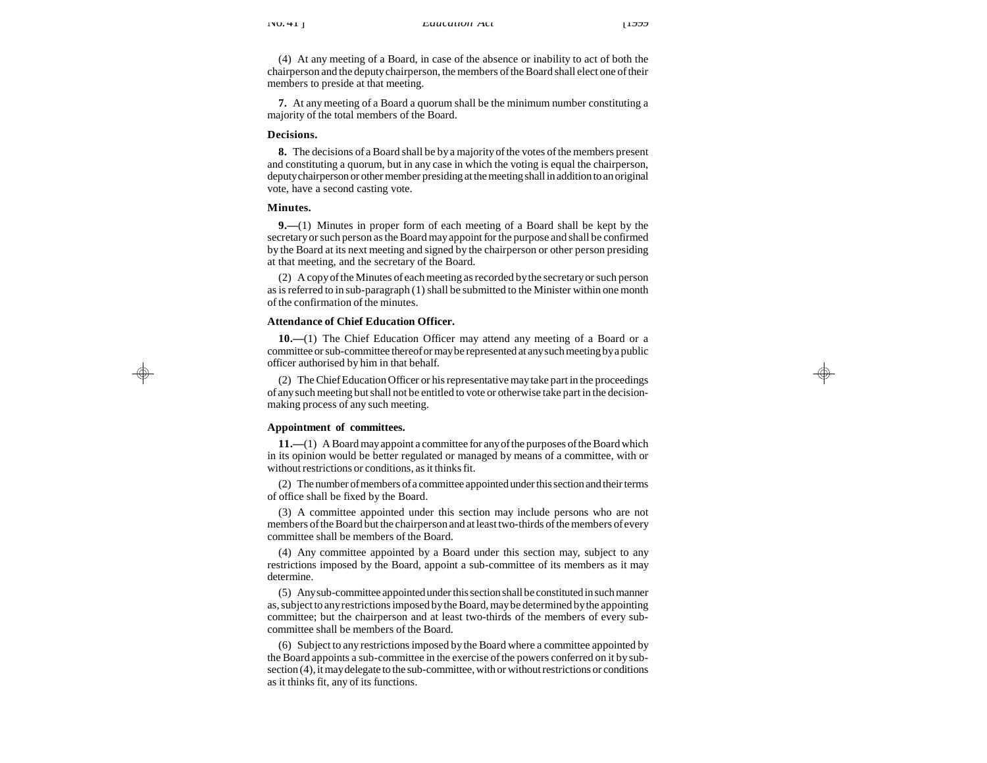(4) At any meeting of a Board, in case of the absence or inability to act of both the chairperson and the deputy chairperson, the members of the Board shall elect one of their members to preside at that meeting.

**7.** At any meeting of a Board a quorum shall be the minimum number constituting a majority of the total members of the Board.

### **Decisions.**

**8.** The decisions of a Board shall be by a majority of the votes of the members present and constituting a quorum, but in any case in which the voting is equal the chairperson, deputy chairperson or other member presiding at the meeting shall in addition to an original vote, have a second casting vote.

### **Minutes.**

⊕

**9.—** (1) Minutes in proper form of each meeting of a Board shall be kept by the secretary or such person as the Board may appoint for the purpose and shall be confirmed by the Board at its next meeting and signed by the chairperson or other person presiding at that meeting, and the secretary of the Board.

(2) A copy of the Minutes of each meeting as recorded by the secretary or such person as is referred to in sub-paragraph (1) shall be submitted to the Minister within one month of the confirmation of the minutes.

#### **Attendance of Chief Education Officer.**

**10.—(1)** The Chief Education Officer may attend any meeting of a Board or a committee or sub-committee thereof or may be represented at any such meeting by a public officer authorised by him in that behalf.

(2) The Chief Education Officer or his representative may take part in the proceedings of any such meeting but shall not be entitled to vote or otherwise take part in the decisionmaking process of any such meeting.

#### **Appointment of committees.**

**11.—** (1) A Board may appoint a committee for any of the purposes of the Board which in its opinion would be better regulated or managed by means of a committee, with or without restrictions or conditions, as it thinks fit.

(2) The number of members of a committee appointed under this section and their terms of office shall be fixed by the Board.

(3) A committee appointed under this section may include persons who are not members of the Board but the chairperson and at least two-thirds of the members of every committee shall be members of the Board.

(4) Any committee appointed by a Board under this section may, subject to any restrictions imposed by the Board, appoint a sub-committee of its members as it may determine.

(5) Any sub-committee appointed under this section shall be constituted in such manner as, subject to any restrictions imposed by the Board, may be determined by the appointing committee; but the chairperson and at least two-thirds of the members of every subcommittee shall be members of the Board.

(6) Subject to any restrictions imposed by the Board where a committee appointed by the Board appoints a sub-committee in the exercise of the powers conferred on it by subsection (4), it may delegate to the sub-committee, with or without restrictions or conditions as it thinks fit, any of its functions.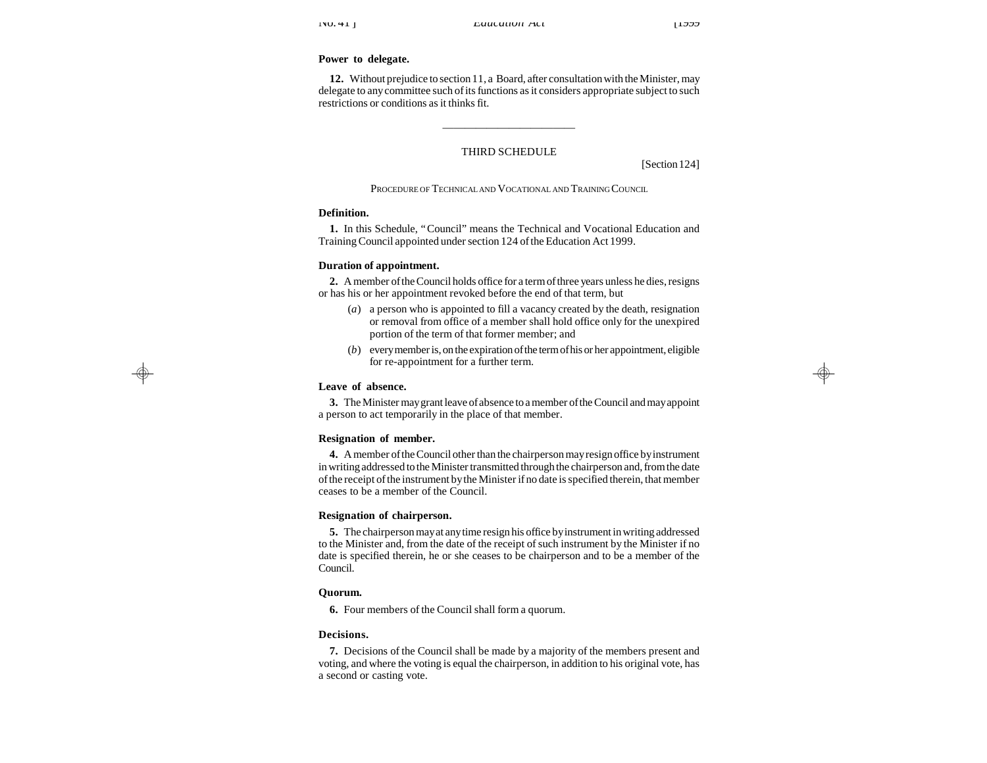#### **Power to delegate.**

**12.** Without prejudice to section 11, a Board, after consultation with the Minister, may delegate to any committee such of its functions as it considers appropriate subject to such restrictions or conditions as it thinks fit.

### THIRD SCHEDULE

————————————

[Section 124]

PROCEDURE OF TECHNICAL AND VOCATIONAL AND TRAINING COUNCIL

### **Definition.**

**1.** In this Schedule, "Council" means the Technical and Vocational Education and Training Council appointed under section 124 of the Education Act 1999.

#### **Duration of appointment.**

**2.** A member of the Council holds office for a term of three years unless he dies, resigns or has his or her appointment revoked before the end of that term, but

- (*a*) a person who is appointed to fill a vacancy created by the death, resignation or removal from office of a member shall hold office only for the unexpired portion of the term of that former member; and
- (*b*) every member is, on the expiration of the term of his or her appointment, eligible for re-appointment for a further term.

#### **Leave of absence.**

 $\bigcirc$ 



**3.** The Minister may grant leave of absence to a member of the Council and may appoint a person to act temporarily in the place of that member.

### **Resignation of member.**

**4.** A member of the Council other than the chairperson may resign office by instrument in writing addressed to the Minister transmitted through the chairperson and, from the date of the receipt of the instrument by the Minister if no date is specified therein, that member ceases to be a member of the Council.

#### **Resignation of chairperson.**

**5.** The chairperson may at any time resign his office by instrument in writing addressed to the Minister and, from the date of the receipt of such instrument by the Minister if no date is specified therein, he or she ceases to be chairperson and to be a member of the Council.

### **Quorum.**

**6.** Four members of the Council shall form a quorum.

### **Decisions.**

**7.** Decisions of the Council shall be made by a majority of the members present and voting, and where the voting is equal the chairperson, in addition to his original vote, has a second or casting vote.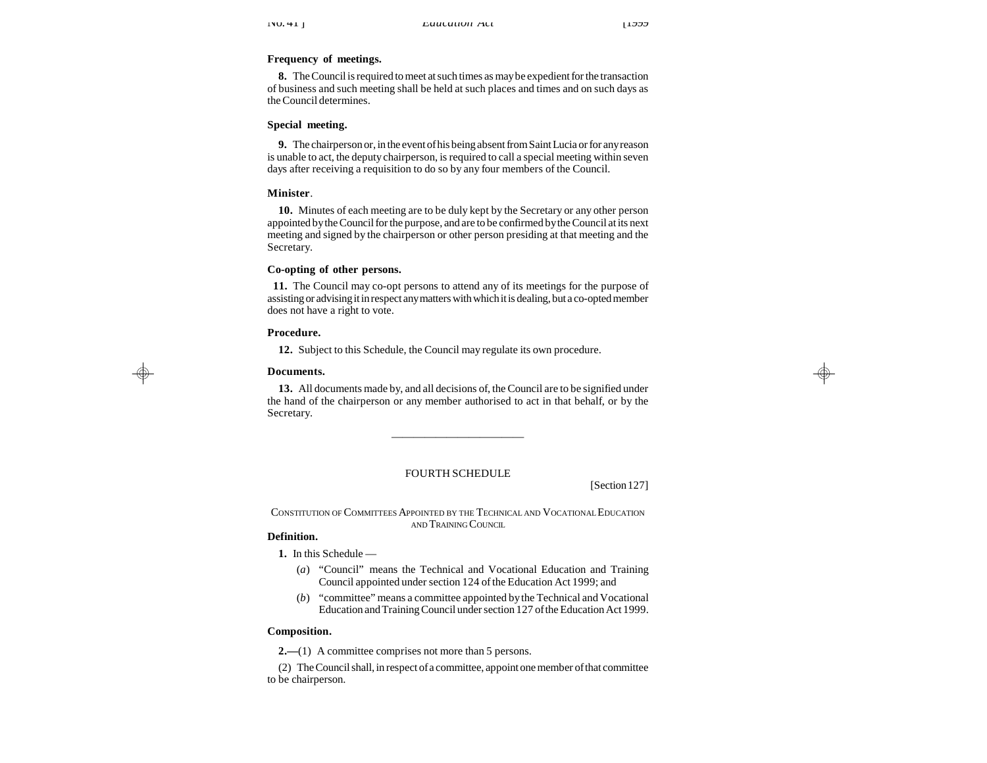### **Frequency of meetings.**

**8.** The Council is required to meet at such times as may be expedient for the transaction of business and such meeting shall be held at such places and times and on such days as the Council determines.

## **Special meeting.**

**9.** The chairperson or, in the event of his being absent from Saint Lucia or for any reason is unable to act, the deputy chairperson, is required to call a special meeting within seven days after receiving a requisition to do so by any four members of the Council.

### **Minister**.

**10.** Minutes of each meeting are to be duly kept by the Secretary or any other person appointed by the Council for the purpose, and are to be confirmed by the Council at its next meeting and signed by the chairperson or other person presiding at that meeting and the Secretary.

## **Co-opting of other persons.**

**11.** The Council may co-opt persons to attend any of its meetings for the purpose of assisting or advising it in respect any matters with which it is dealing, but a co-opted member does not have a right to vote.

### **Procedure.**

**12.** Subject to this Schedule, the Council may regulate its own procedure.

### **Documents.**

⊕

**13.** All documents made by, and all decisions of, the Council are to be signified under the hand of the chairperson or any member authorised to act in that behalf, or by the Secretary.

————————————

### FOURTH SCHEDULE

[Section 127]

⊕

CONSTITUTION OF COMMITTEES APPOINTED BY THE TECHNICAL AND VOCATIONAL EDUCATION AND TRAINING COUNCIL

# **Definition.**

- **1.** In this Schedule
	- (*a*) "Council" means the Technical and Vocational Education and Training Council appointed under section 124 of the Education Act 1999; and
	- (*b*) "committee" means a committee appointed by the Technical and Vocational Education and Training Council under section 127 of the Education Act 1999.

### **Composition.**

**2.**—(1) A committee comprises not more than 5 persons.

(2) The Council shall, in respect of a committee, appoint one member of that committee to be chairperson.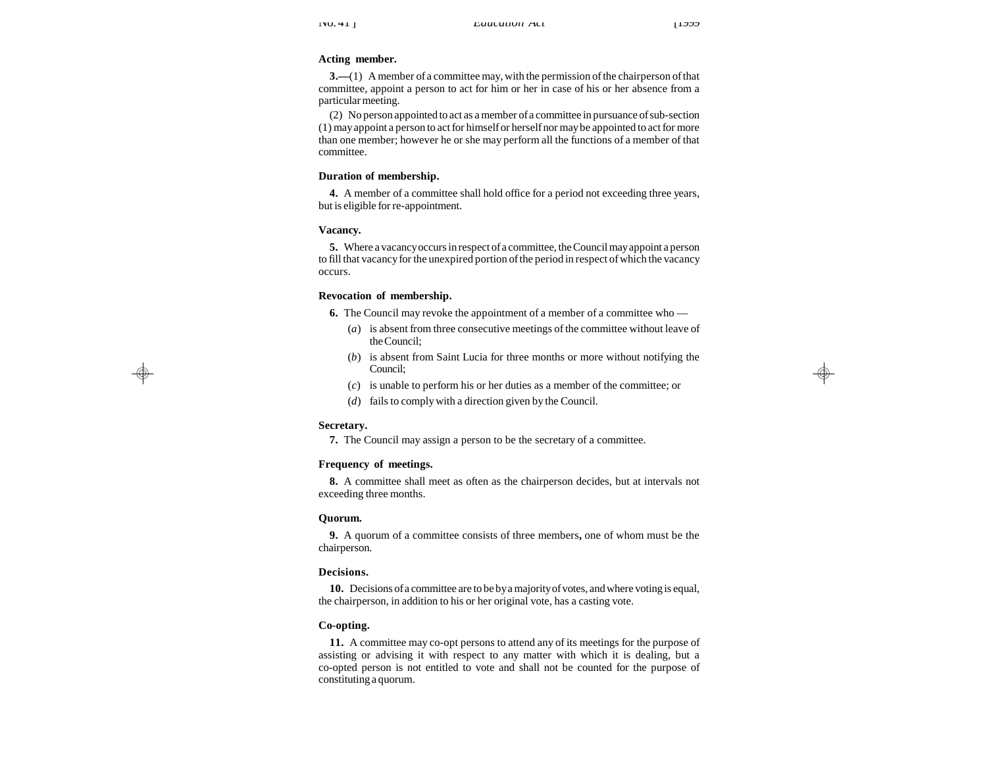### **Acting member.**

**3.**—(1) A member of a committee may, with the permission of the chairperson of that committee, appoint a person to act for him or her in case of his or her absence from a particular meeting.

(2) No person appointed to act as a member of a committee in pursuance of sub-section (1) may appoint a person to act for himself or herself nor may be appointed to act for more than one member; however he or she may perform all the functions of a member of that committee.

### **Duration of membership.**

**4.** A member of a committee shall hold office for a period not exceeding three years, but is eligible for re-appointment.

#### **Vacancy.**

**5.** Where a vacancy occurs in respect of a committee, the Council may appoint a person to fill that vacancy for the unexpired portion of the period in respect of which the vacancy occurs.

## **Revocation of membership.**

- **6.** The Council may revoke the appointment of a member of a committee who
	- (*a*) is absent from three consecutive meetings of the committee without leave of the Council;
	- (*b*) is absent from Saint Lucia for three months or more without notifying the Council;
	- (*c*) is unable to perform his or her duties as a member of the committee; or
	- (*d*) fails to comply with a direction given by the Council.

#### **Secretary.**

 $\circledast$ 

**7.** The Council may assign a person to be the secretary of a committee.

#### **Frequency of meetings.**

**8.** A committee shall meet as often as the chairperson decides, but at intervals not exceeding three months.

# **Quorum.**

**9.** A quorum of a committee consists of three members**,** one of whom must be the chairperson.

### **Decisions.**

**10.** Decisions of a committee are to be by a majority of votes, and where voting is equal, the chairperson, in addition to his or her original vote, has a casting vote.

### **Co-opting.**

**11.** A committee may co-opt persons to attend any of its meetings for the purpose of assisting or advising it with respect to any matter with which it is dealing, but a co-opted person is not entitled to vote and shall not be counted for the purpose of constituting a quorum.